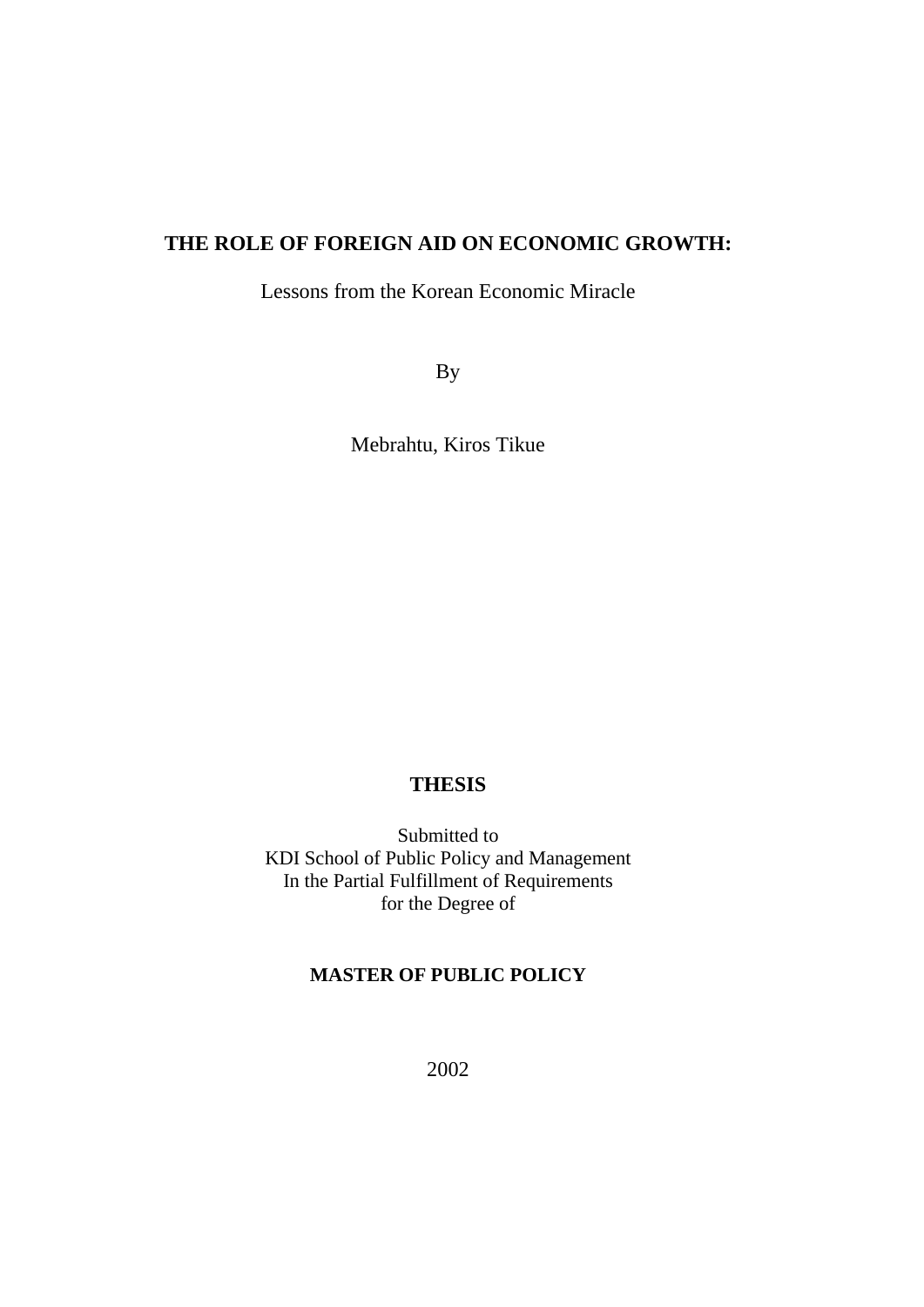# **THE ROLE OF FOREIGN AID ON ECONOMIC GROWTH:**

Lessons from the Korean Economic Miracle

By

Mebrahtu, Kiros Tikue

## **THESIS**

Submitted to KDI School of Public Policy and Management In the Partial Fulfillment of Requirements for the Degree of

## **MASTER OF PUBLIC POLICY**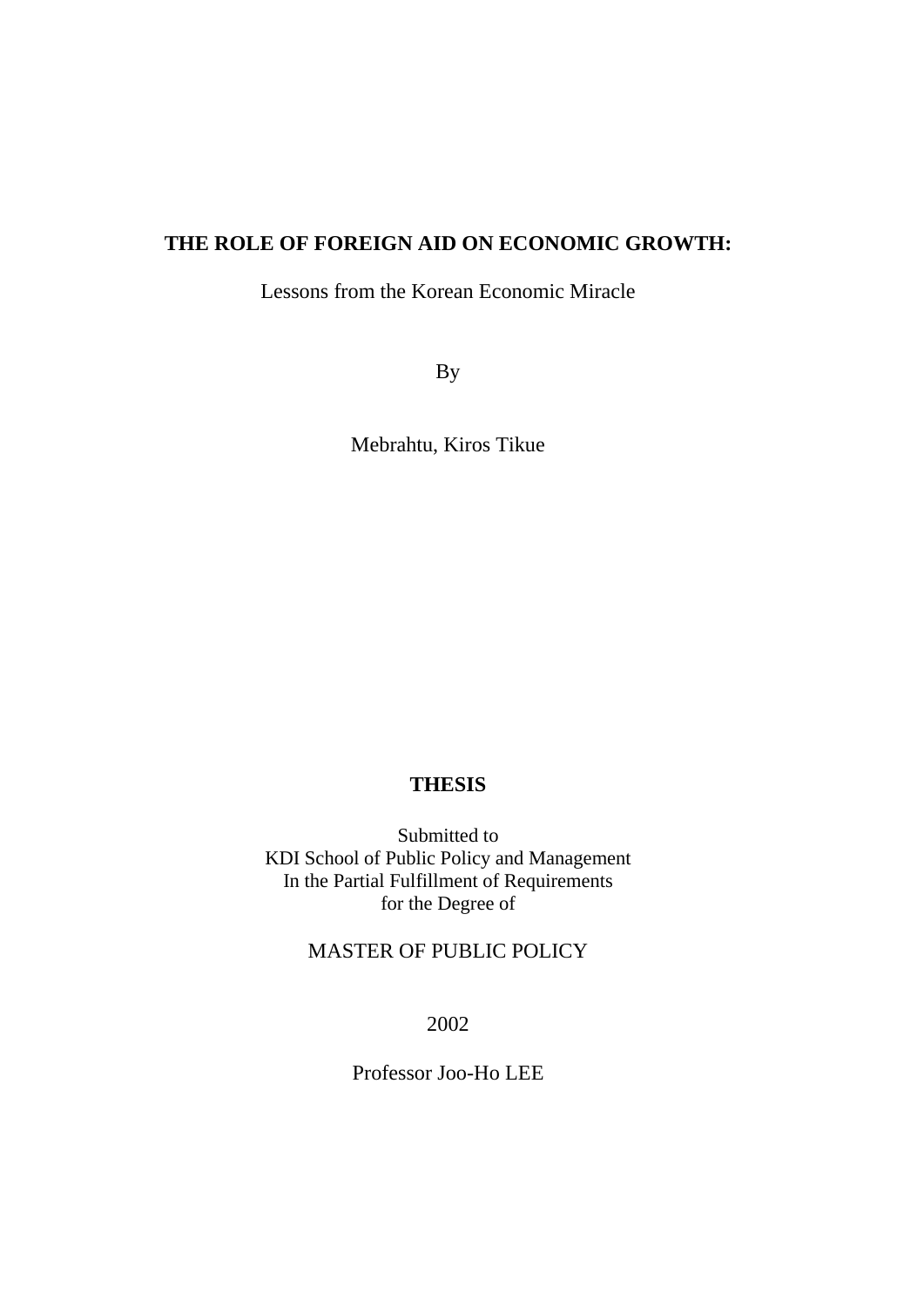# **THE ROLE OF FOREIGN AID ON ECONOMIC GROWTH:**

Lessons from the Korean Economic Miracle

By

Mebrahtu, Kiros Tikue

## **THESIS**

Submitted to KDI School of Public Policy and Management In the Partial Fulfillment of Requirements for the Degree of

# MASTER OF PUBLIC POLICY

2002

Professor Joo-Ho LEE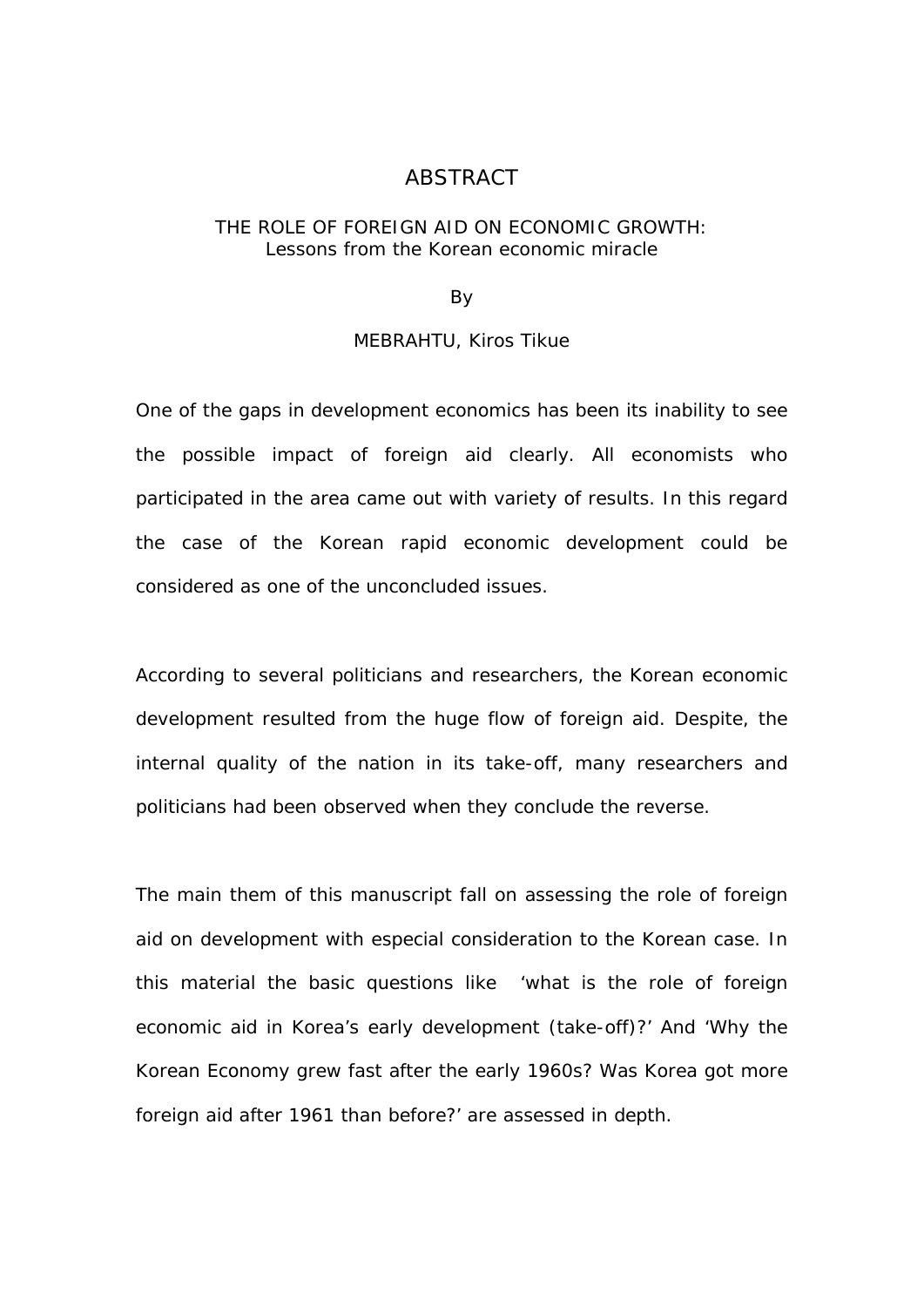## ABSTRACT

### THE ROLE OF FOREIGN AID ON ECONOMIC GROWTH: Lessons from the Korean economic miracle

## By

### MEBRAHTU, Kiros Tikue

One of the gaps in development economics has been its inability to see the possible impact of foreign aid clearly. All economists who participated in the area came out with variety of results. In this regard the case of the Korean rapid economic development could be considered as one of the unconcluded issues.

According to several politicians and researchers, the Korean economic development resulted from the huge flow of foreign aid. Despite, the internal quality of the nation in its take-off, many researchers and politicians had been observed when they conclude the reverse.

The main them of this manuscript fall on assessing the role of foreign aid on development with especial consideration to the Korean case. In this material the basic questions like 'what is the role of foreign economic aid in Korea's early development (take-off)?' And 'Why the Korean Economy grew fast after the early 1960s? Was Korea got more foreign aid after 1961 than before?' are assessed in depth.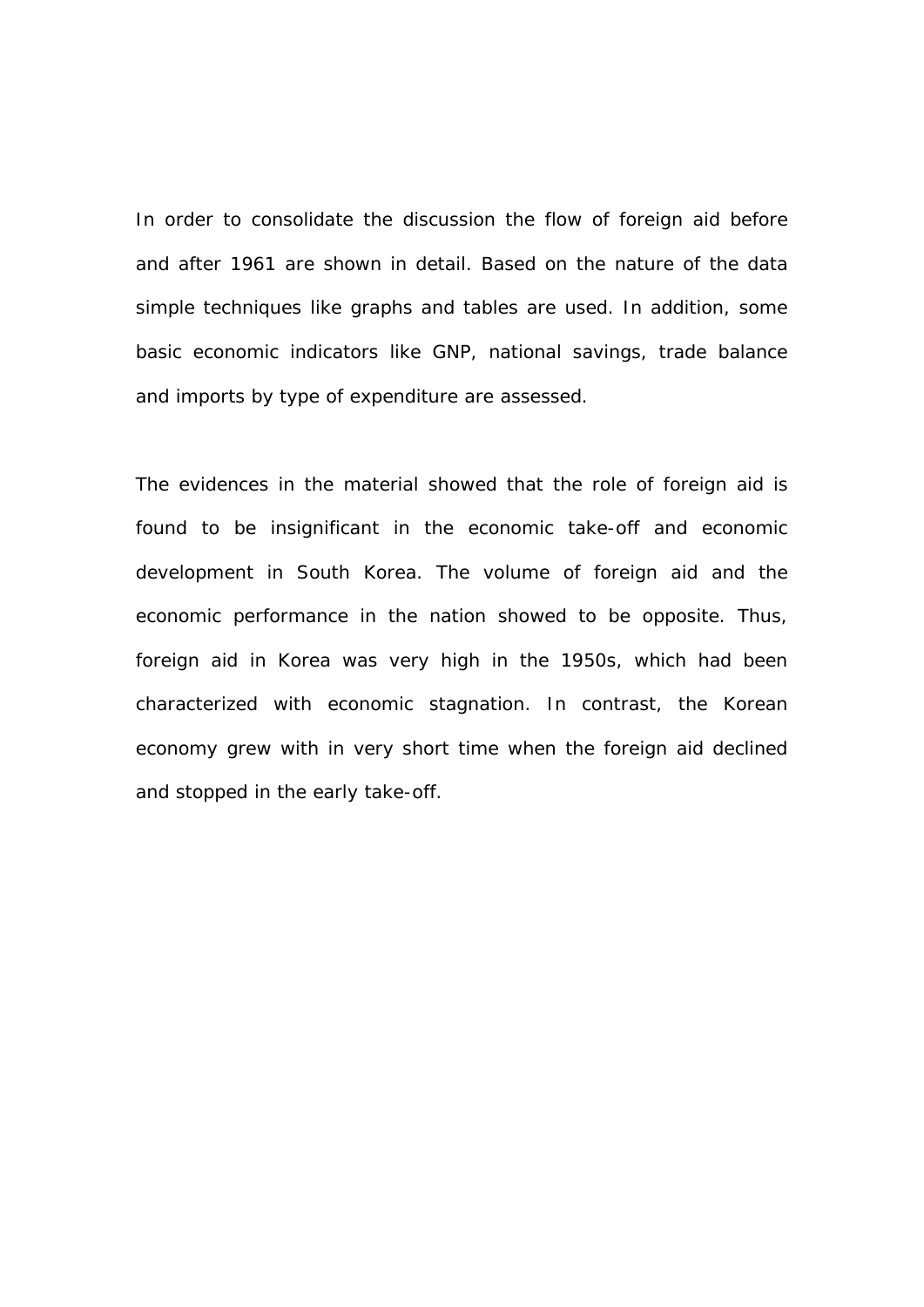In order to consolidate the discussion the flow of foreign aid before and after 1961 are shown in detail. Based on the nature of the data simple techniques like graphs and tables are used. In addition, some basic economic indicators like GNP, national savings, trade balance and imports by type of expenditure are assessed.

The evidences in the material showed that the role of foreign aid is found to be insignificant in the economic take-off and economic development in South Korea. The volume of foreign aid and the economic performance in the nation showed to be opposite. Thus, foreign aid in Korea was very high in the 1950s, which had been characterized with economic stagnation. In contrast, the Korean economy grew with in very short time when the foreign aid declined and stopped in the early take-off.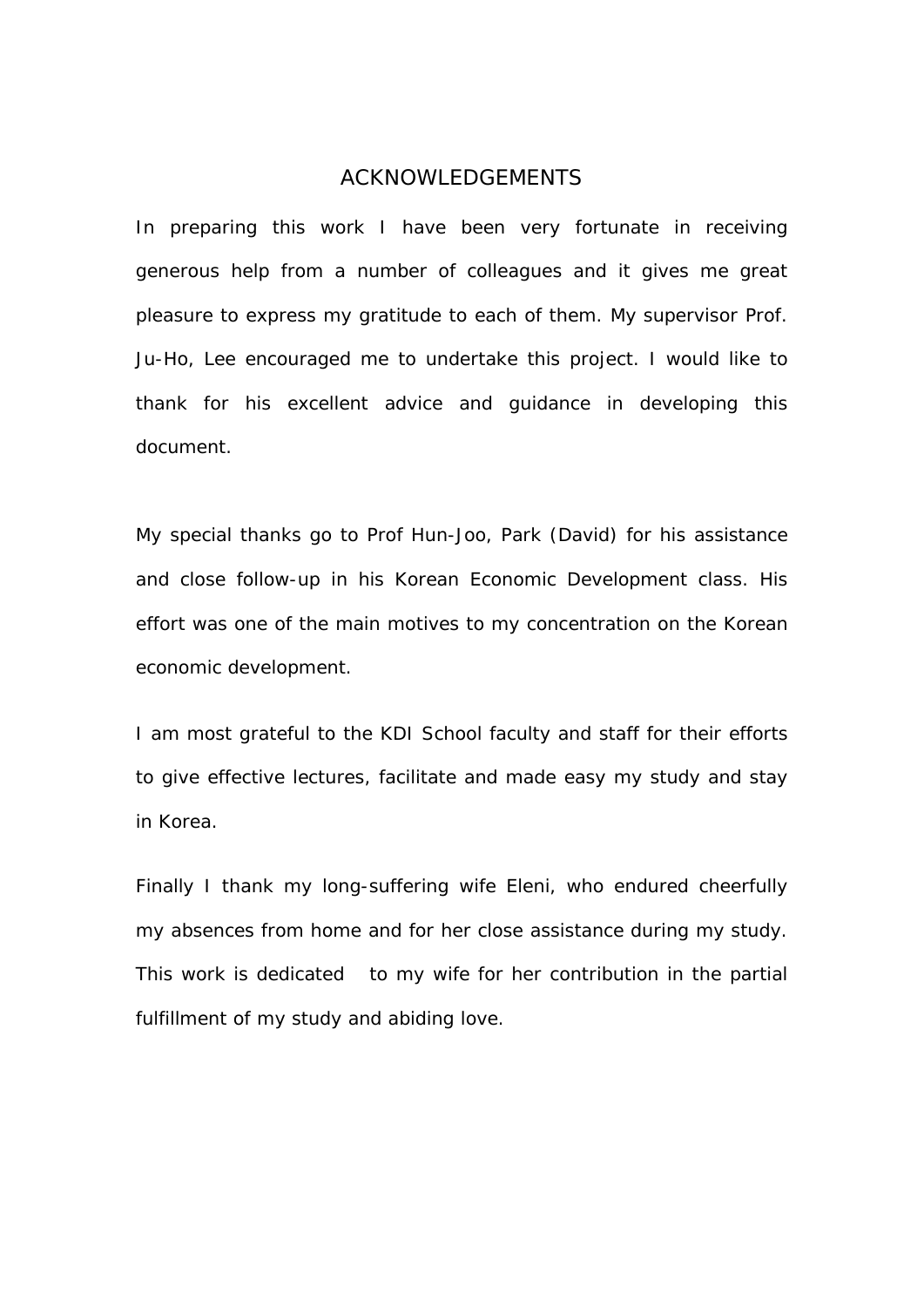## *ACKNOWLEDGEMENTS*

In preparing this work I have been very fortunate in receiving generous help from a number of colleagues and it gives me great pleasure to express my gratitude to each of them. My supervisor Prof. Ju-Ho, Lee encouraged me to undertake this project. I would like to thank for his excellent advice and guidance in developing this document.

My special thanks go to Prof Hun-Joo, Park (David) for his assistance and close follow-up in his Korean Economic Development class. His effort was one of the main motives to my concentration on the Korean economic development.

I am most grateful to the KDI School faculty and staff for their efforts to give effective lectures, facilitate and made easy my study and stay in Korea.

Finally I thank my long-suffering wife Eleni, who endured cheerfully my absences from home and for her close assistance during my study. This work is dedicated to my wife for her contribution in the partial fulfillment of my study and abiding love.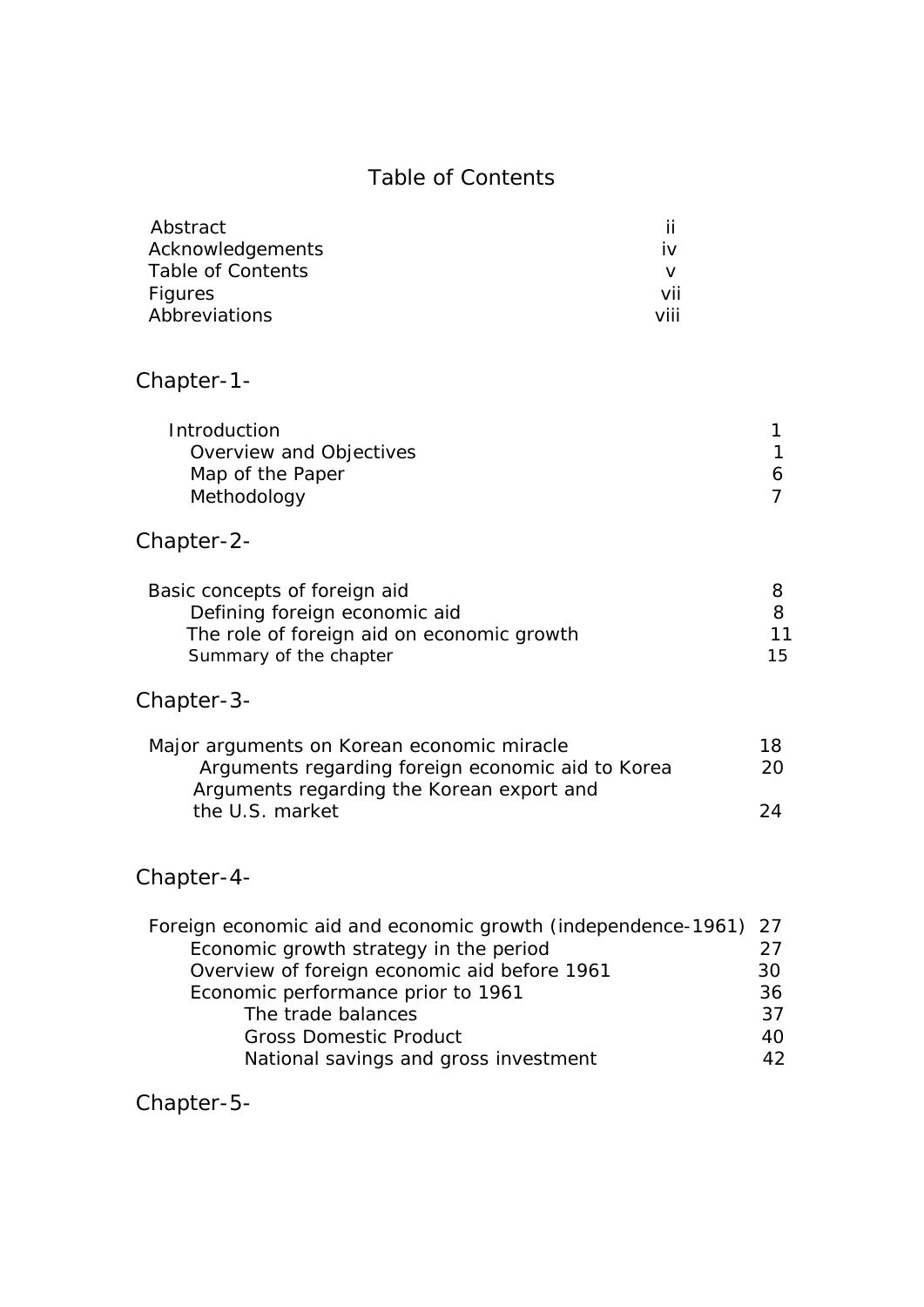# Table of Contents

| Abstract          |      |
|-------------------|------|
| Acknowledgements  | İV.  |
| Table of Contents |      |
| <b>Figures</b>    | vii  |
| Abbreviations     | viii |

# Chapter-1-

| <b>Introduction</b>     |   |
|-------------------------|---|
| Overview and Objectives |   |
| Map of the Paper        | 6 |
| Methodology             |   |
|                         |   |

# Chapter-2-

| Basic concepts of foreign aid              |    |
|--------------------------------------------|----|
| Defining foreign economic aid              | я  |
| The role of foreign aid on economic growth | 11 |
| Summary of the chapter                     | 15 |

# Chapter-3-

| Major arguments on Korean economic miracle        | 18. |
|---------------------------------------------------|-----|
| Arguments regarding foreign economic aid to Korea | 20. |
| Arguments regarding the Korean export and         |     |
| the U.S. market                                   | 24  |

# Chapter-4-

| Foreign economic aid and economic growth (independence-1961) 27 |    |
|-----------------------------------------------------------------|----|
| Economic growth strategy in the period                          | 27 |
| Overview of foreign economic aid before 1961                    | 30 |
| Economic performance prior to 1961                              | 36 |
| The trade balances                                              | 37 |
| <b>Gross Domestic Product</b>                                   | 40 |
| National savings and gross investment                           | 42 |
|                                                                 |    |

Chapter-5-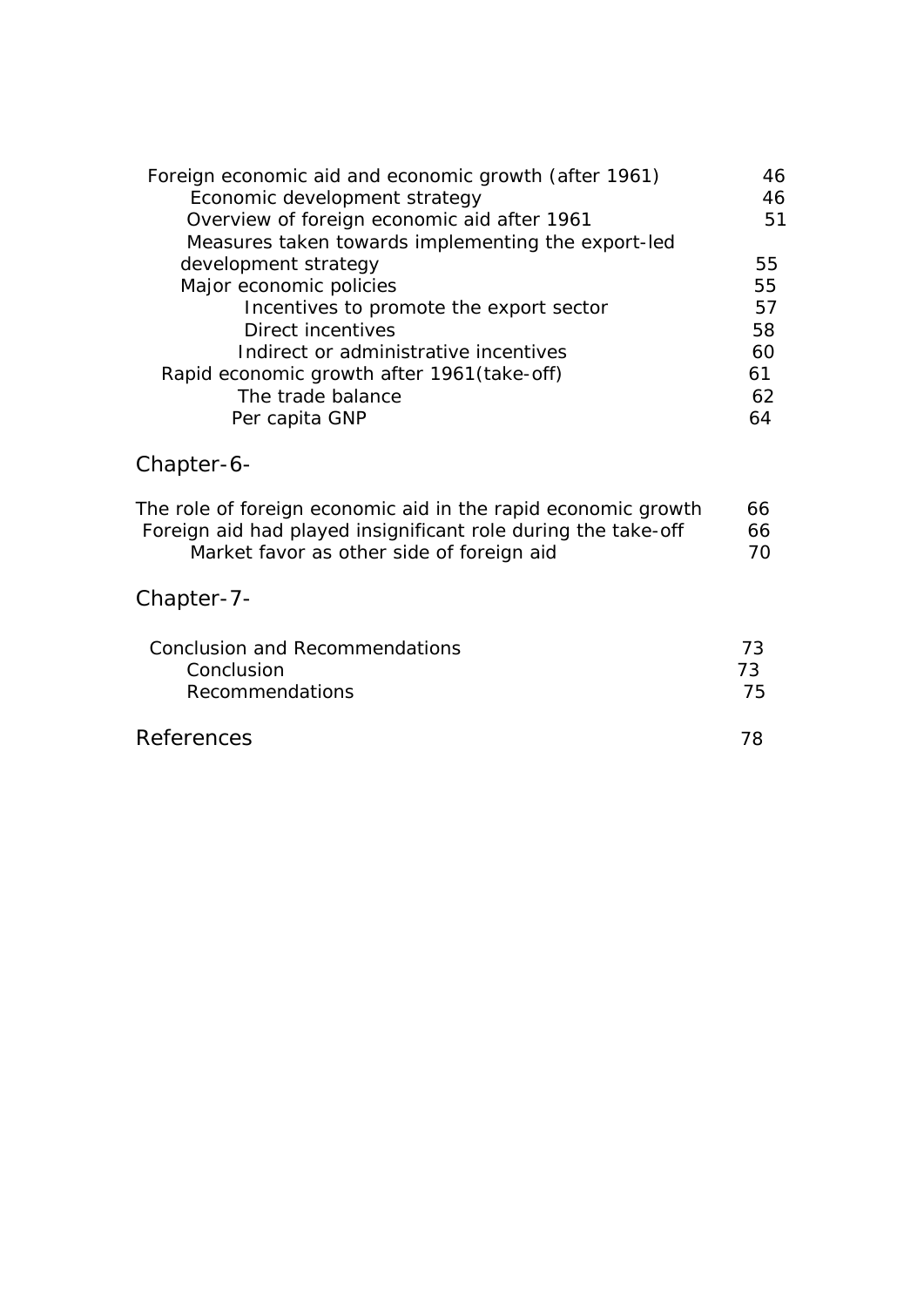| Foreign economic aid and economic growth (after 1961) | 46 |
|-------------------------------------------------------|----|
| Economic development strategy                         | 46 |
| Overview of foreign economic aid after 1961           | 51 |
| Measures taken towards implementing the export-led    |    |
| development strategy                                  | 55 |
| Major economic policies                               | 55 |
| Incentives to promote the export sector               | 57 |
| Direct incentives                                     | 58 |
| Indirect or administrative incentives                 | 60 |
| Rapid economic growth after 1961(take-off)            | 61 |
| The trade balance                                     | 62 |
| Per capita GNP                                        |    |

# Chapter-6-

| The role of foreign economic aid in the rapid economic growth | 66. |
|---------------------------------------------------------------|-----|
| Foreign aid had played insignificant role during the take-off | 66  |
| Market favor as other side of foreign aid                     | 70. |

# Chapter-7-

| Conclusion and Recommendations | 73 |
|--------------------------------|----|
| Conclusion                     | フマ |
| <b>Recommendations</b>         | 75 |
| <b>References</b>              |    |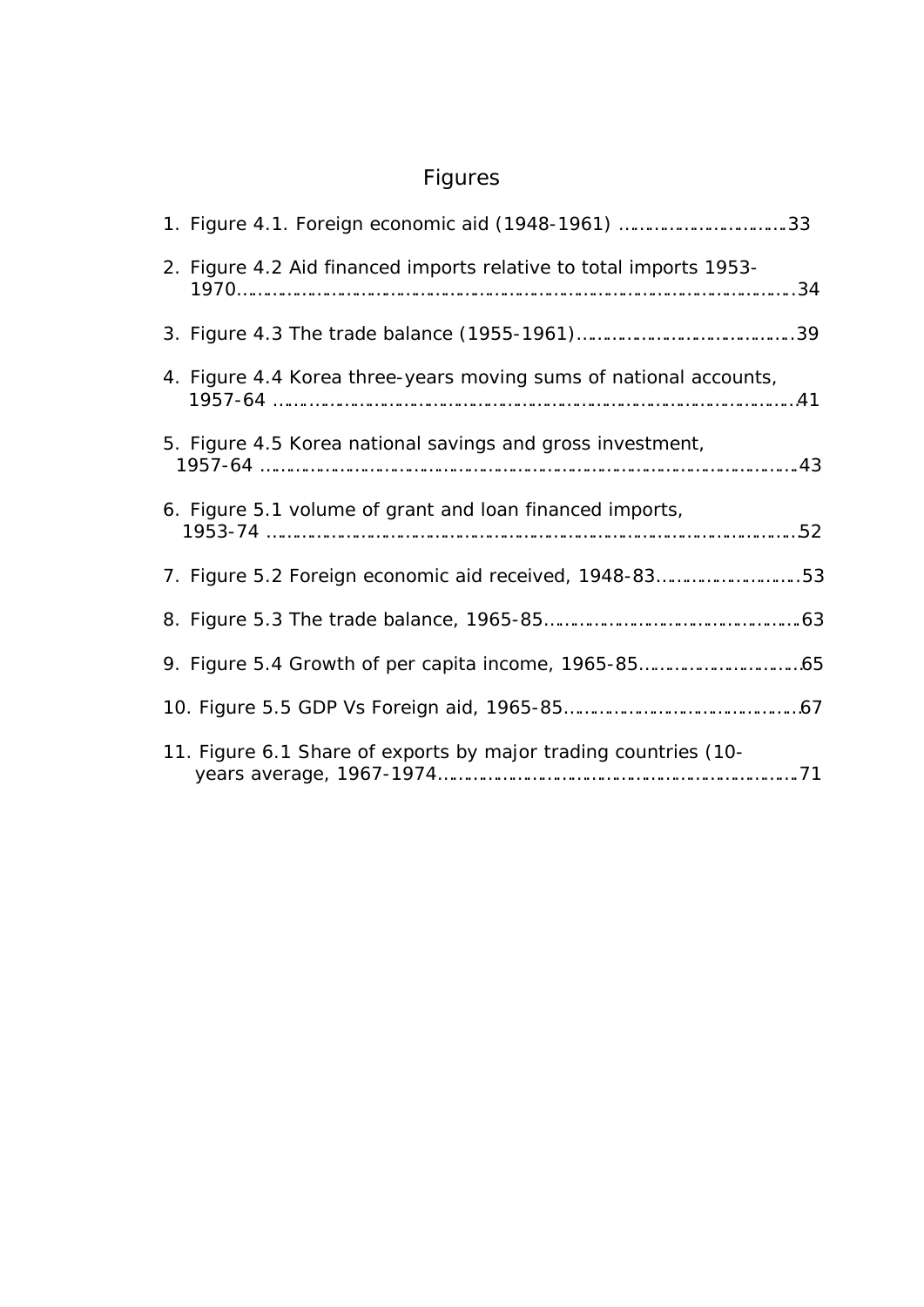# Figures

| 1. Figure 4.1. Foreign economic aid (1948-1961) 33                 |
|--------------------------------------------------------------------|
| 2. Figure 4.2 Aid financed imports relative to total imports 1953- |
|                                                                    |
| 4. Figure 4.4 Korea three-years moving sums of national accounts,  |
| 5. Figure 4.5 Korea national savings and gross investment,         |
| 6. Figure 5.1 volume of grant and loan financed imports,           |
| 7. Figure 5.2 Foreign economic aid received, 1948-8353             |
|                                                                    |
|                                                                    |
|                                                                    |
| 11. Figure 6.1 Share of exports by major trading countries (10-    |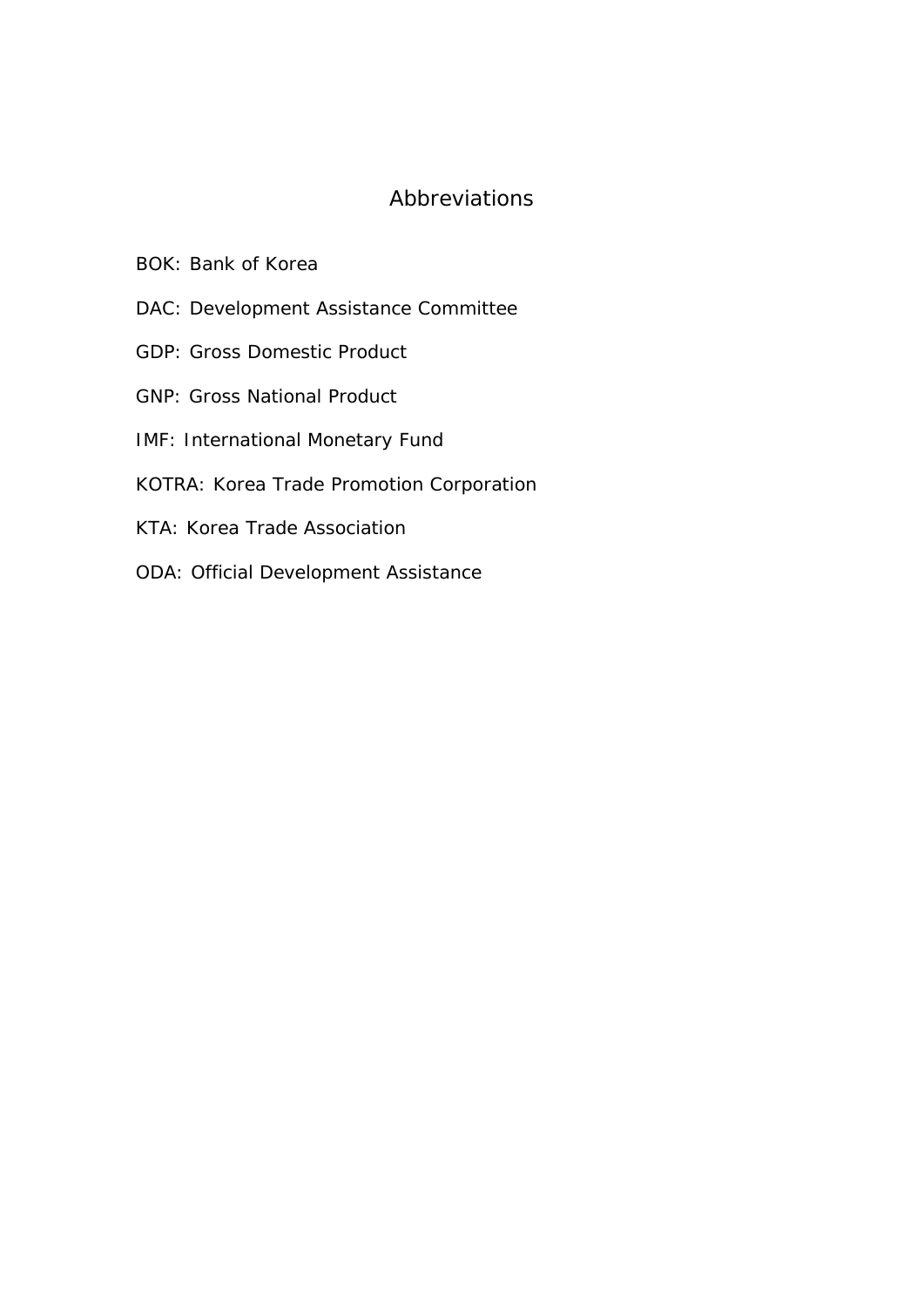# *Abbreviations*

- BOK: Bank of Korea
- DAC: Development Assistance Committee
- GDP: Gross Domestic Product
- GNP: Gross National Product
- IMF: International Monetary Fund
- KOTRA: Korea Trade Promotion Corporation
- KTA: Korea Trade Association
- ODA: Official Development Assistance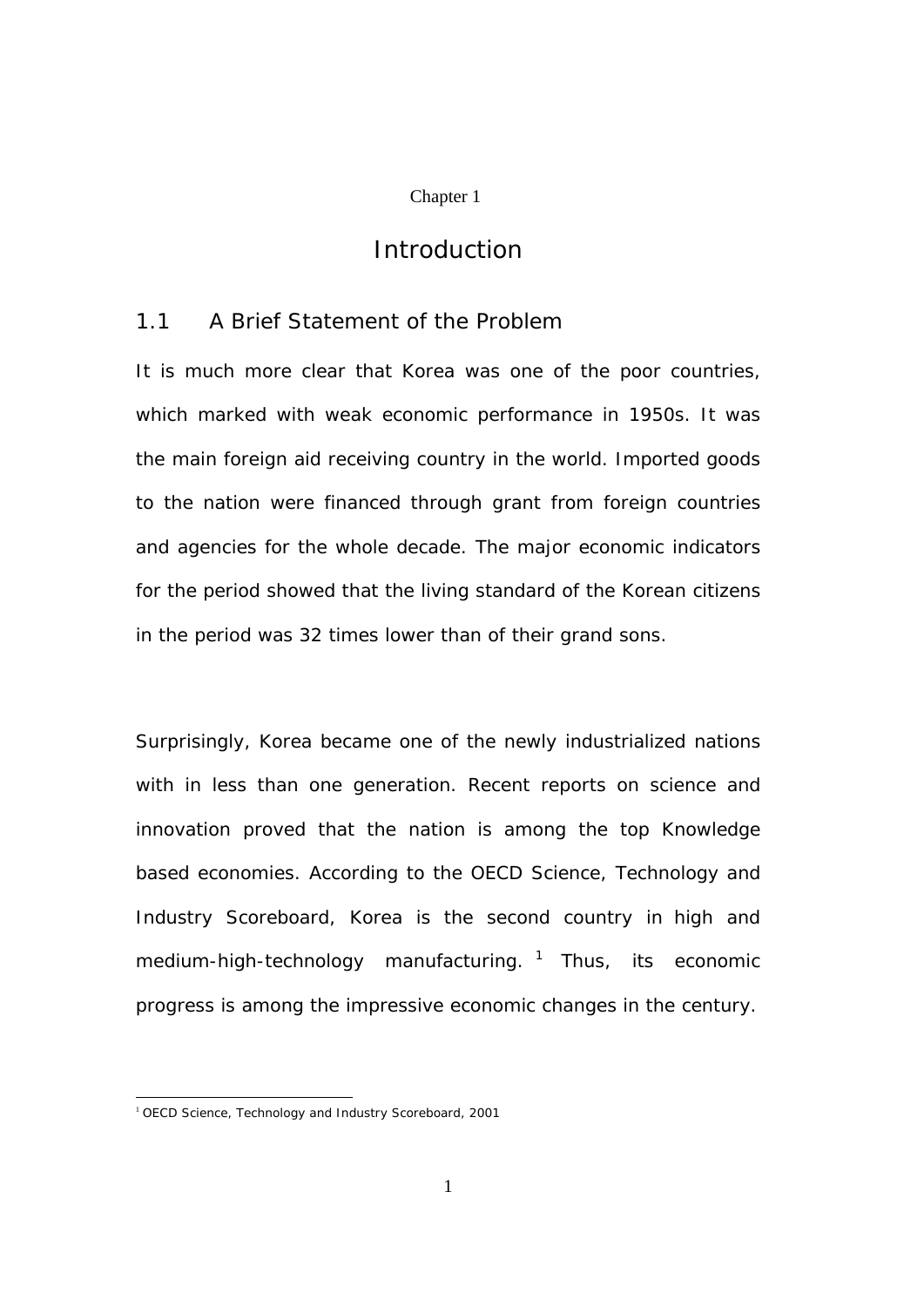#### Chapter 1

# *Introduction*

## 1.1 A Brief Statement of the Problem

It is much more clear that Korea was one of the poor countries, which marked with weak economic performance in 1950s. It was the main foreign aid receiving country in the world. Imported goods to the nation were financed through grant from foreign countries and agencies for the whole decade. The major economic indicators for the period showed that the living standard of the Korean citizens in the period was 32 times lower than of their grand sons.

Surprisingly, Korea became one of the newly industrialized nations with in less than one generation. Recent reports on science and innovation proved that the nation is among the top Knowledge based economies. According to the OECD Science, Technology and Industry Scoreboard, Korea is the second country in high and medium-high-technology manufacturing.  $1$  Thus, its economic progress is among the impressive economic changes in the century.

 $\overline{a}$ 

<sup>&</sup>lt;sup>1</sup> OECD Science, Technology and Industry Scoreboard, 2001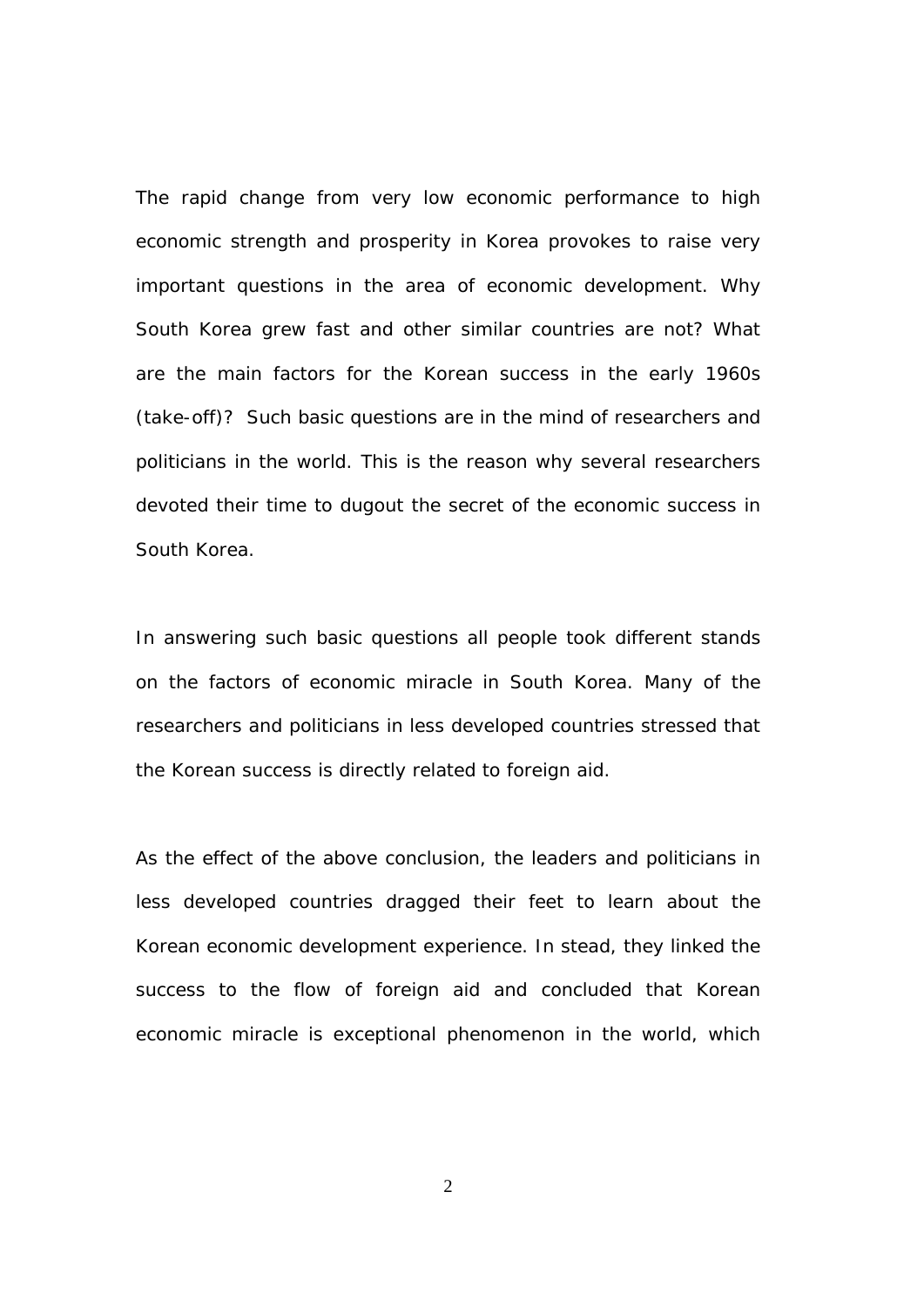The rapid change from very low economic performance to high economic strength and prosperity in Korea provokes to raise very important questions in the area of economic development. Why South Korea grew fast and other similar countries are not? What are the main factors for the Korean success in the early 1960s (take-off)? Such basic questions are in the mind of researchers and politicians in the world. This is the reason why several researchers devoted their time to dugout the secret of the economic success in South Korea.

In answering such basic questions all people took different stands on the factors of economic miracle in South Korea. Many of the researchers and politicians in less developed countries stressed that the Korean success is directly related to foreign aid.

As the effect of the above conclusion, the leaders and politicians in less developed countries dragged their feet to learn about the Korean economic development experience. In stead, they linked the success to the flow of foreign aid and concluded that Korean economic miracle is exceptional phenomenon in the world, which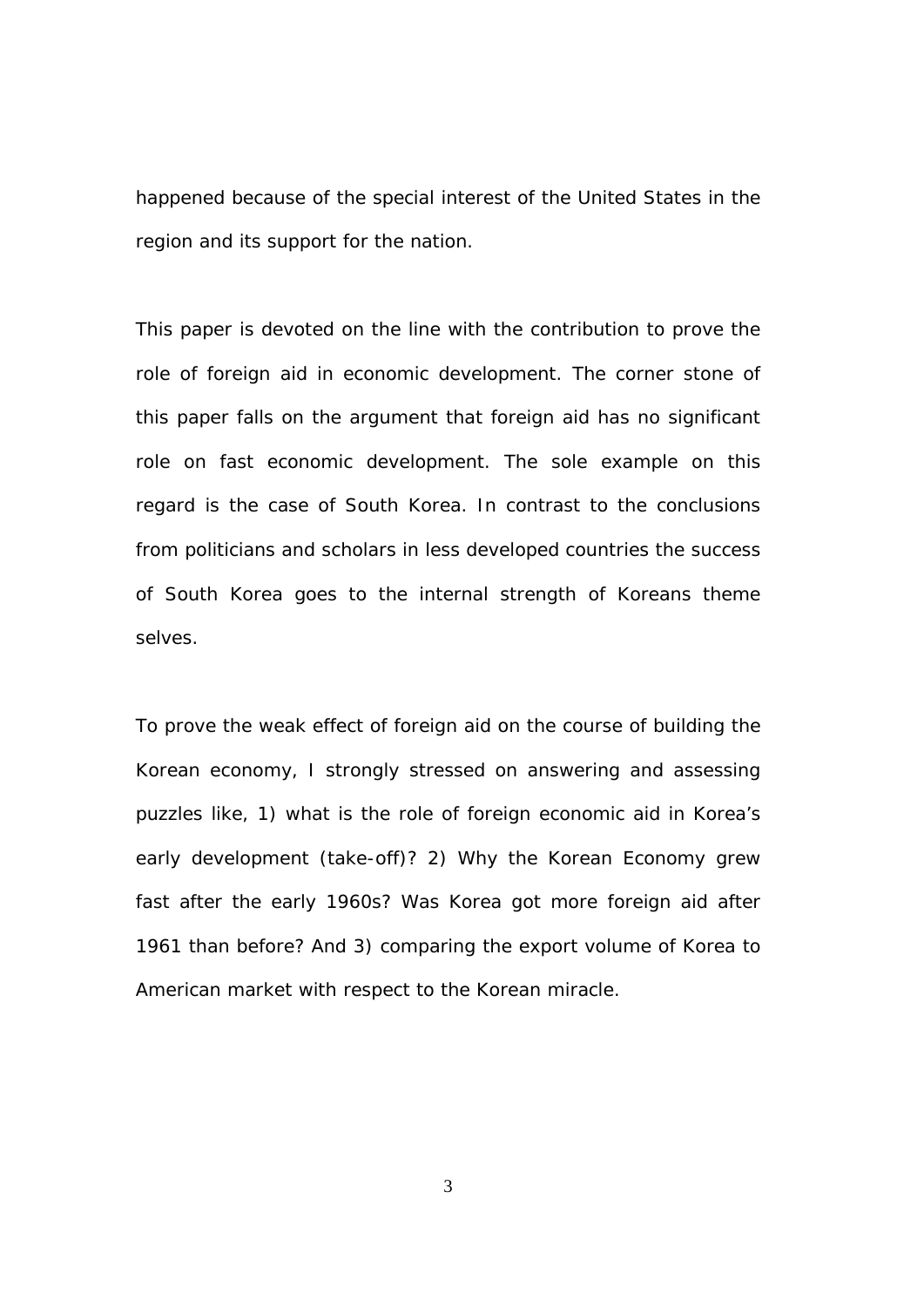happened because of the special interest of the United States in the region and its support for the nation.

This paper is devoted on the line with the contribution to prove the role of foreign aid in economic development. The corner stone of this paper falls on the argument that foreign aid has no significant role on fast economic development. The sole example on this regard is the case of South Korea. In contrast to the conclusions from politicians and scholars in less developed countries the success of South Korea goes to the internal strength of Koreans theme selves.

To prove the weak effect of foreign aid on the course of building the Korean economy, I strongly stressed on answering and assessing puzzles like, 1) what is the role of foreign economic aid in Korea's early development (take-off)? 2) Why the Korean Economy grew fast after the early 1960s? Was Korea got more foreign aid after 1961 than before? And 3) comparing the export volume of Korea to American market with respect to the Korean miracle.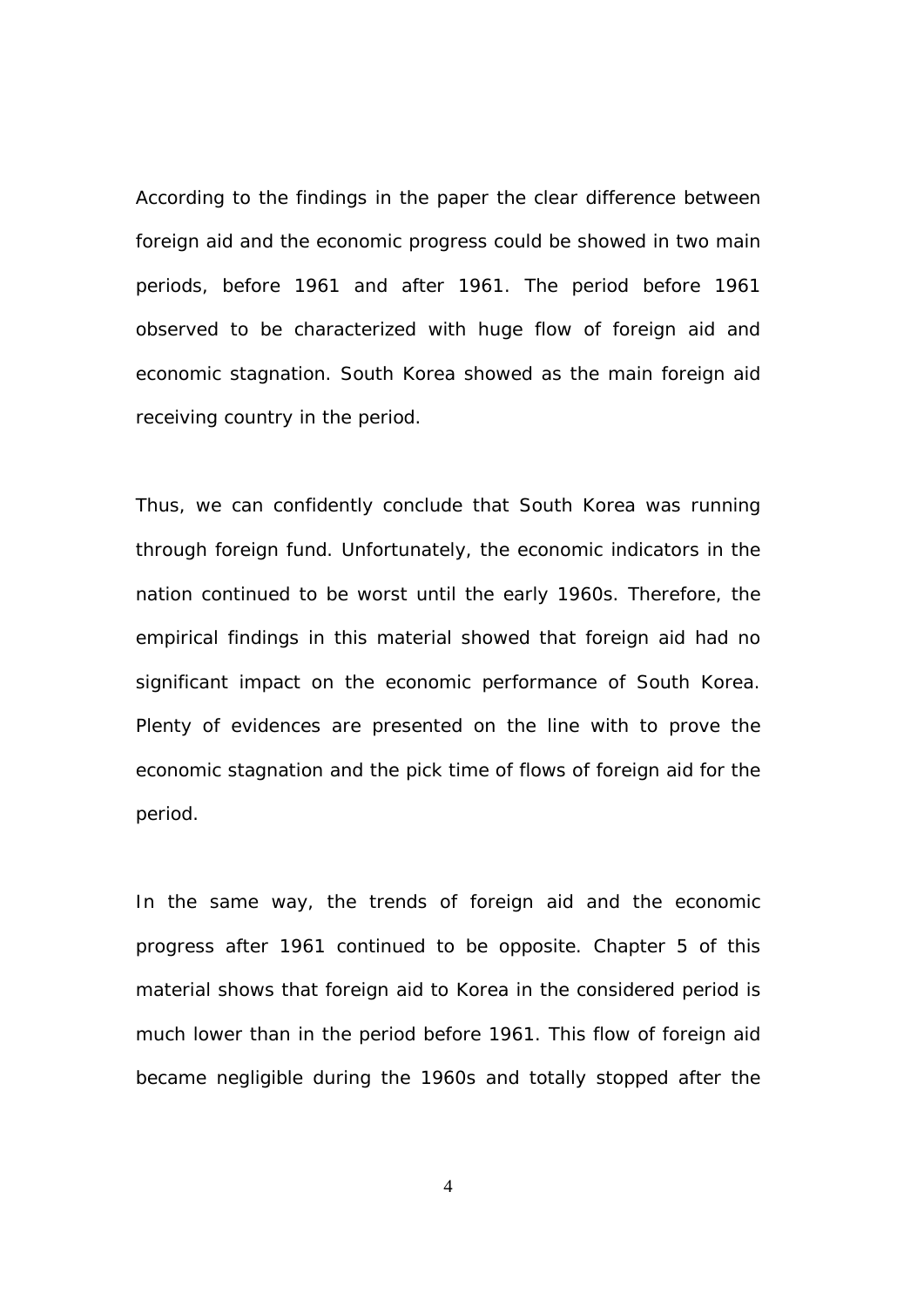According to the findings in the paper the clear difference between foreign aid and the economic progress could be showed in two main periods, before 1961 and after 1961. The period before 1961 observed to be characterized with huge flow of foreign aid and economic stagnation. South Korea showed as the main foreign aid receiving country in the period.

Thus, we can confidently conclude that South Korea was running through foreign fund. Unfortunately, the economic indicators in the nation continued to be worst until the early 1960s. Therefore, the empirical findings in this material showed that foreign aid had no significant impact on the economic performance of South Korea. Plenty of evidences are presented on the line with to prove the economic stagnation and the pick time of flows of foreign aid for the period.

In the same way, the trends of foreign aid and the economic progress after 1961 continued to be opposite. Chapter 5 of this material shows that foreign aid to Korea in the considered period is much lower than in the period before 1961. This flow of foreign aid became negligible during the 1960s and totally stopped after the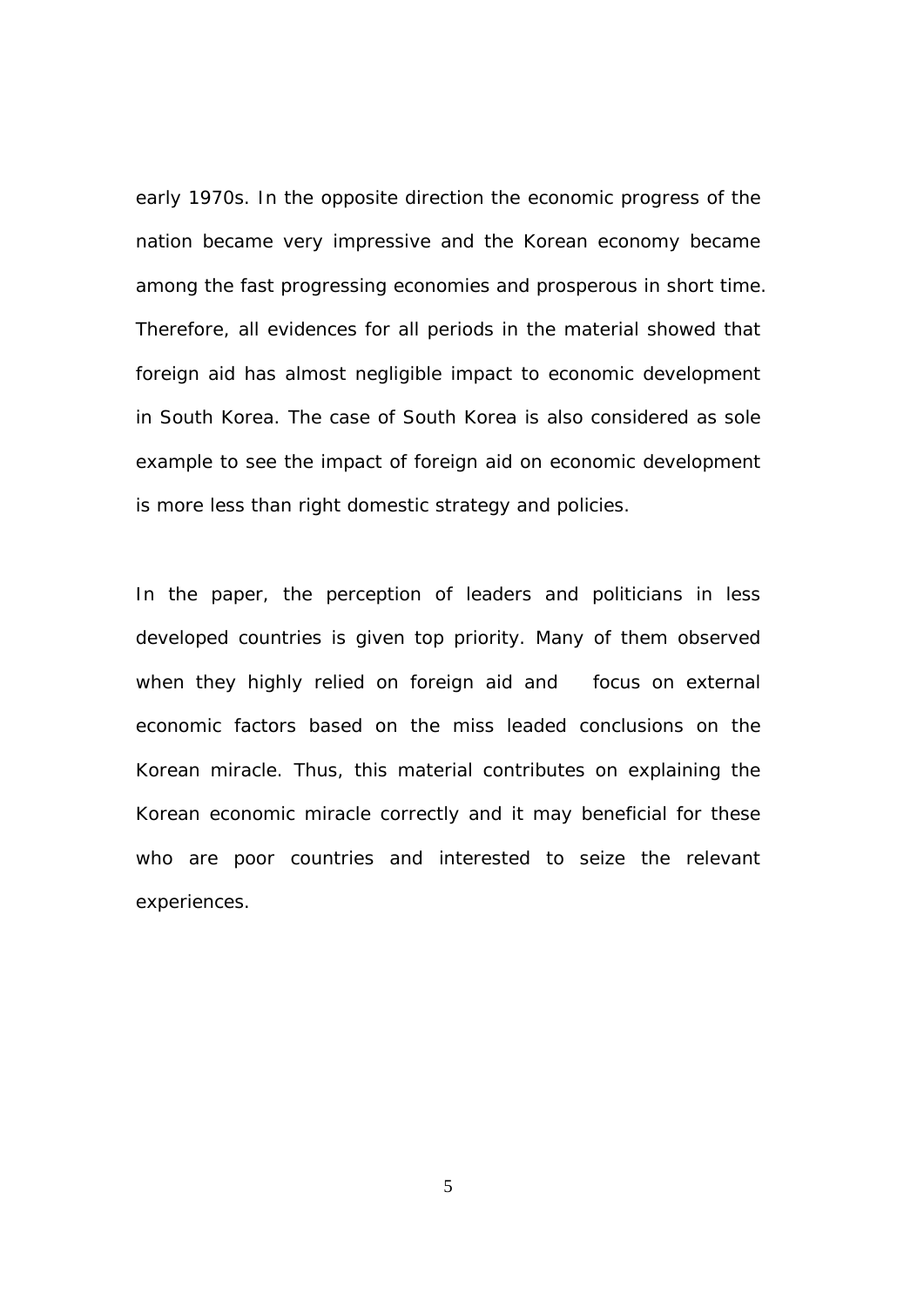early 1970s. In the opposite direction the economic progress of the nation became very impressive and the Korean economy became among the fast progressing economies and prosperous in short time. Therefore, all evidences for all periods in the material showed that foreign aid has almost negligible impact to economic development in South Korea. The case of South Korea is also considered as sole example to see the impact of foreign aid on economic development is more less than right domestic strategy and policies.

In the paper, the perception of leaders and politicians in less developed countries is given top priority. Many of them observed when they highly relied on foreign aid and focus on external economic factors based on the miss leaded conclusions on the Korean miracle. Thus, this material contributes on explaining the Korean economic miracle correctly and it may beneficial for these who are poor countries and interested to seize the relevant experiences.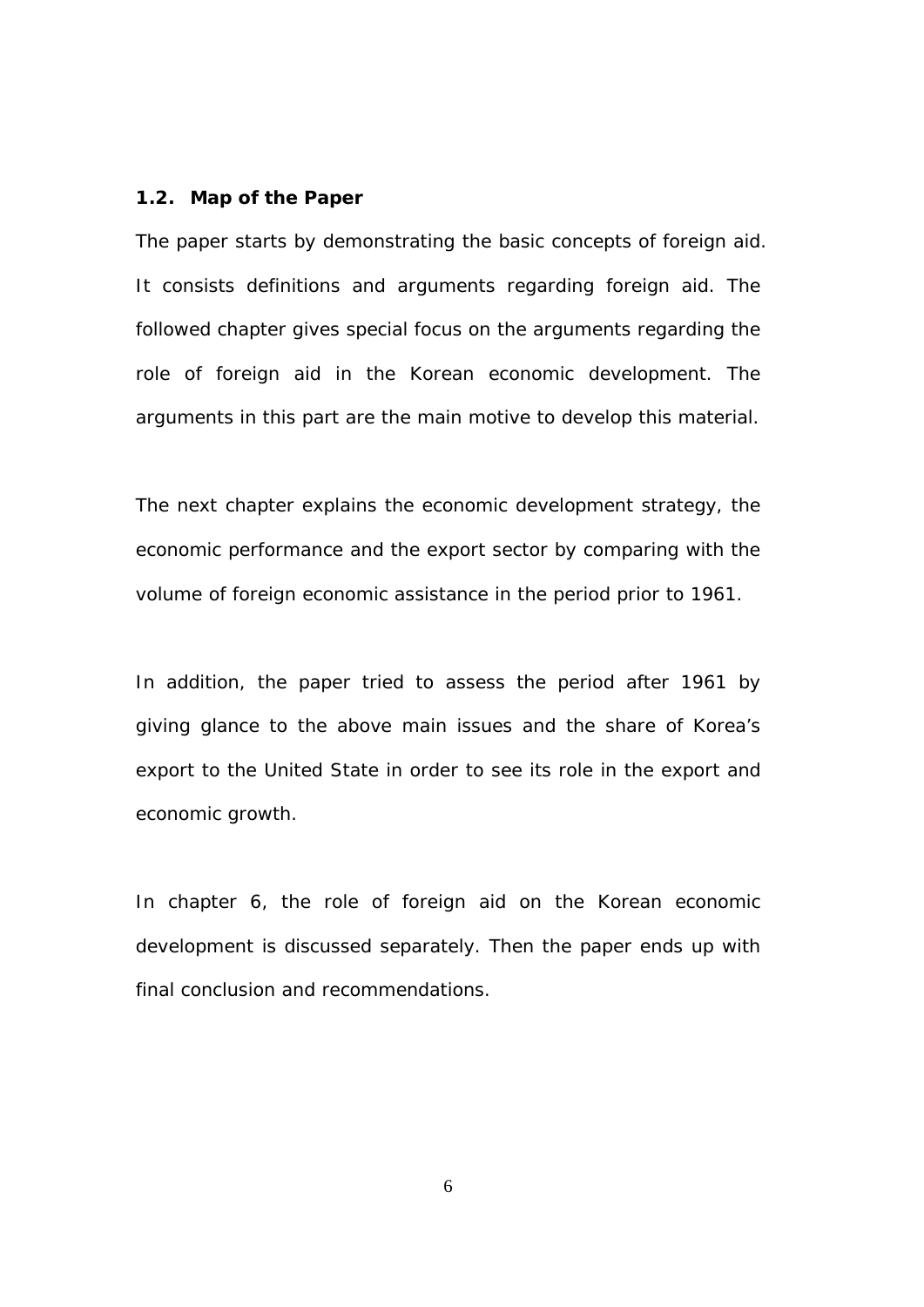### **1.2. Map of the Paper**

The paper starts by demonstrating the basic concepts of foreign aid. It consists definitions and arguments regarding foreign aid. The followed chapter gives special focus on the arguments regarding the role of foreign aid in the Korean economic development. The arguments in this part are the main motive to develop this material.

The next chapter explains the economic development strategy, the economic performance and the export sector by comparing with the volume of foreign economic assistance in the period prior to 1961.

In addition, the paper tried to assess the period after 1961 by giving glance to the above main issues and the share of Korea's export to the United State in order to see its role in the export and economic growth.

In chapter 6, the role of foreign aid on the Korean economic development is discussed separately. Then the paper ends up with final conclusion and recommendations.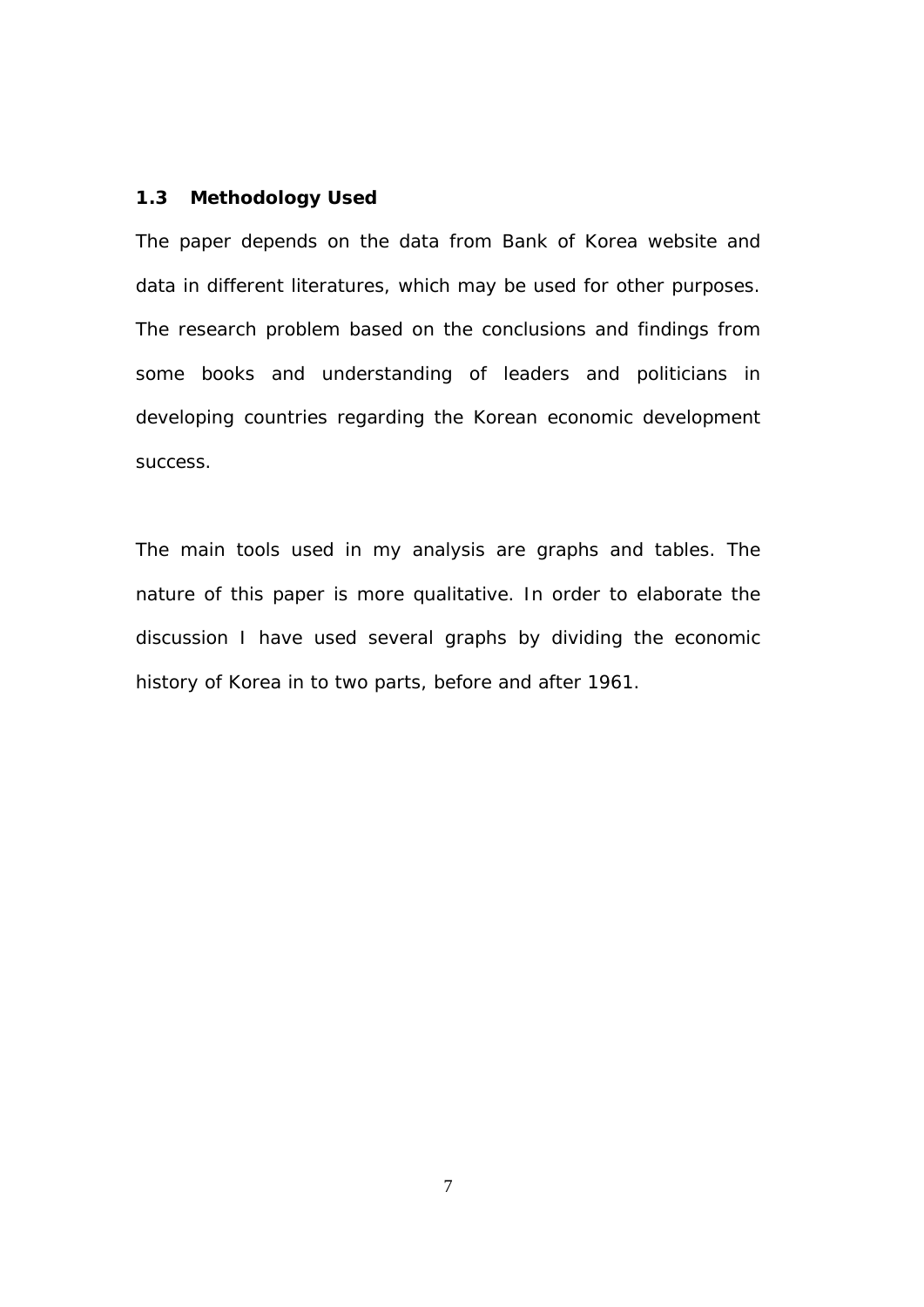### **1.3 Methodology Used**

The paper depends on the data from Bank of Korea website and data in different literatures, which may be used for other purposes. The research problem based on the conclusions and findings from some books and understanding of leaders and politicians in developing countries regarding the Korean economic development success.

The main tools used in my analysis are graphs and tables. The nature of this paper is more qualitative. In order to elaborate the discussion I have used several graphs by dividing the economic history of Korea in to two parts, before and after 1961.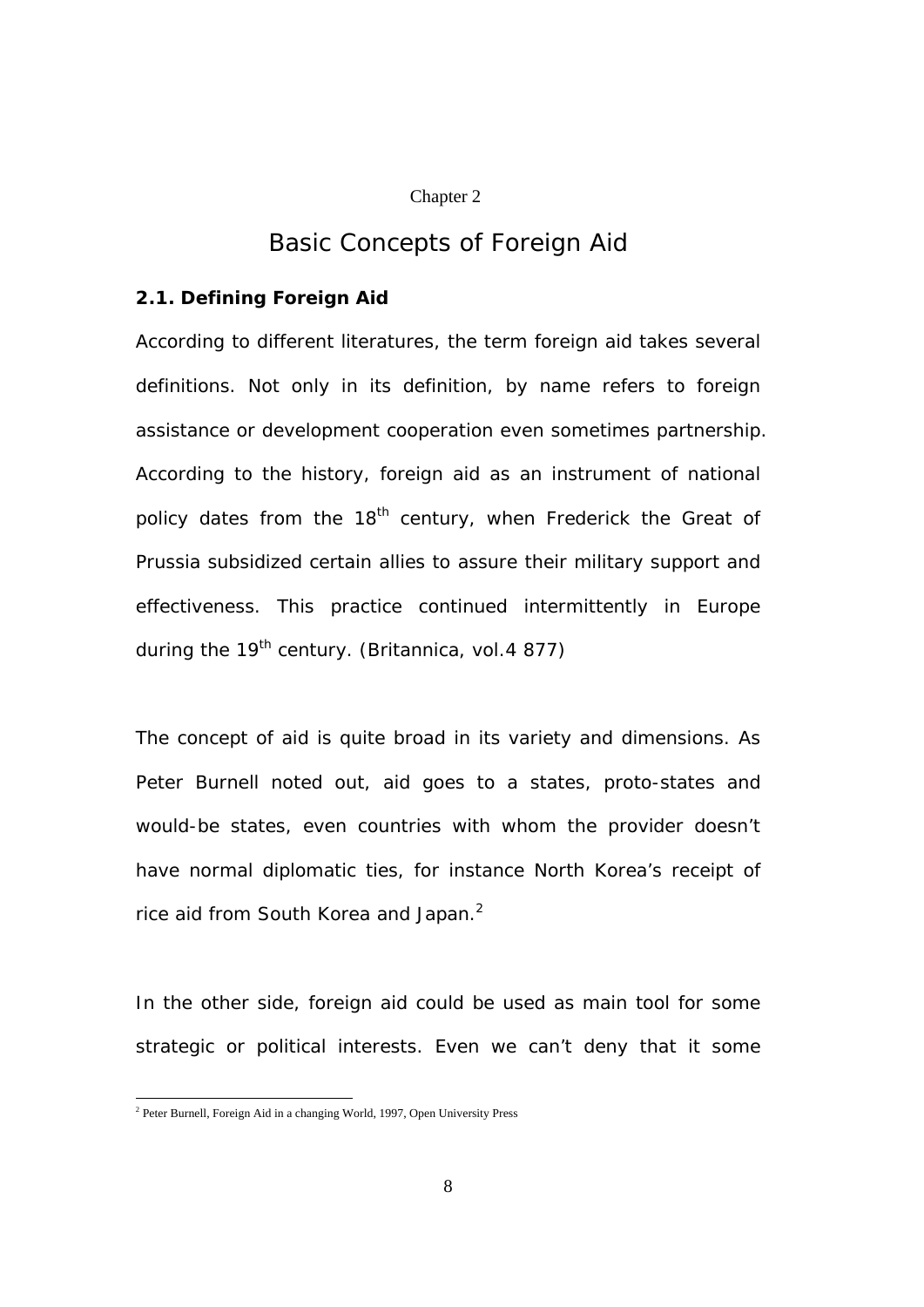#### Chapter 2

# *Basic Concepts of Foreign Aid*

## **2.1. Defining Foreign Aid**

According to different literatures, the term foreign aid takes several definitions. Not only in its definition, by name refers to foreign assistance or development cooperation even sometimes partnership. According to the history, foreign aid as an instrument of national policy dates from the 18<sup>th</sup> century, when Frederick the Great of Prussia subsidized certain allies to assure their military support and effectiveness. This practice continued intermittently in Europe during the  $19<sup>th</sup>$  century. (Britannica, vol. 4 877)

The concept of aid is quite broad in its variety and dimensions. As Peter Burnell noted out, aid goes to a states, proto-states and would-be states, even countries with whom the provider doesn't have normal diplomatic ties, for instance North Korea's receipt of rice aid from South Korea and Japan. $^2$ 

In the other side, foreign aid could be used as main tool for some strategic or political interests. Even we can't deny that it some

 2 Peter Burnell, Foreign Aid in a changing World, 1997, Open University Press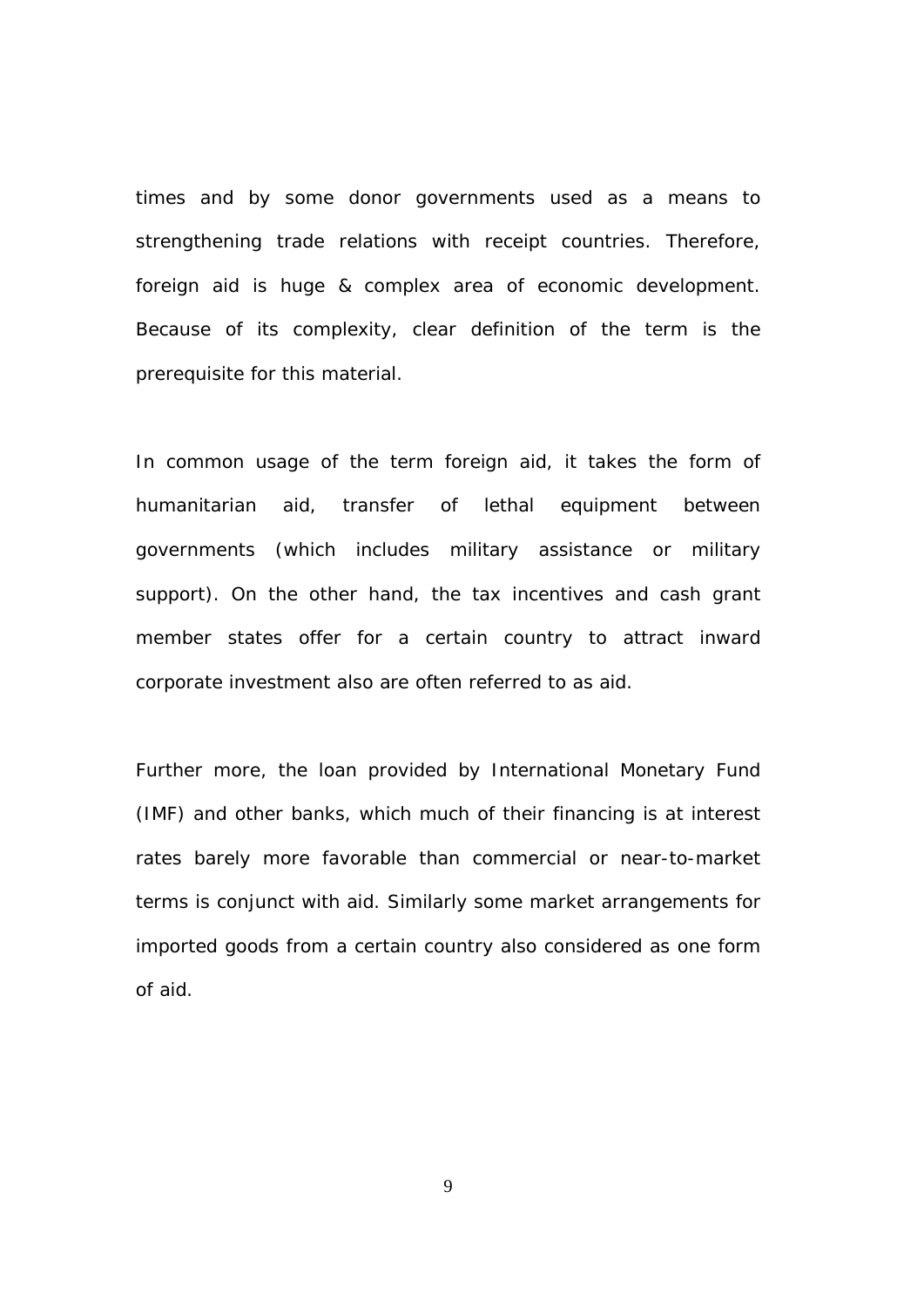times and by some donor governments used as a means to strengthening trade relations with receipt countries. Therefore, foreign aid is huge & complex area of economic development. Because of its complexity, clear definition of the term is the prerequisite for this material.

In common usage of the term foreign aid, it takes the form of humanitarian aid, transfer of lethal equipment between governments (which includes military assistance or military support). On the other hand, the tax incentives and cash grant member states offer for a certain country to attract inward corporate investment also are often referred to as aid.

Further more, the loan provided by International Monetary Fund (IMF) and other banks, which much of their financing is at interest rates barely more favorable than commercial or near-to-market terms is conjunct with aid. Similarly some market arrangements for imported goods from a certain country also considered as one form of aid.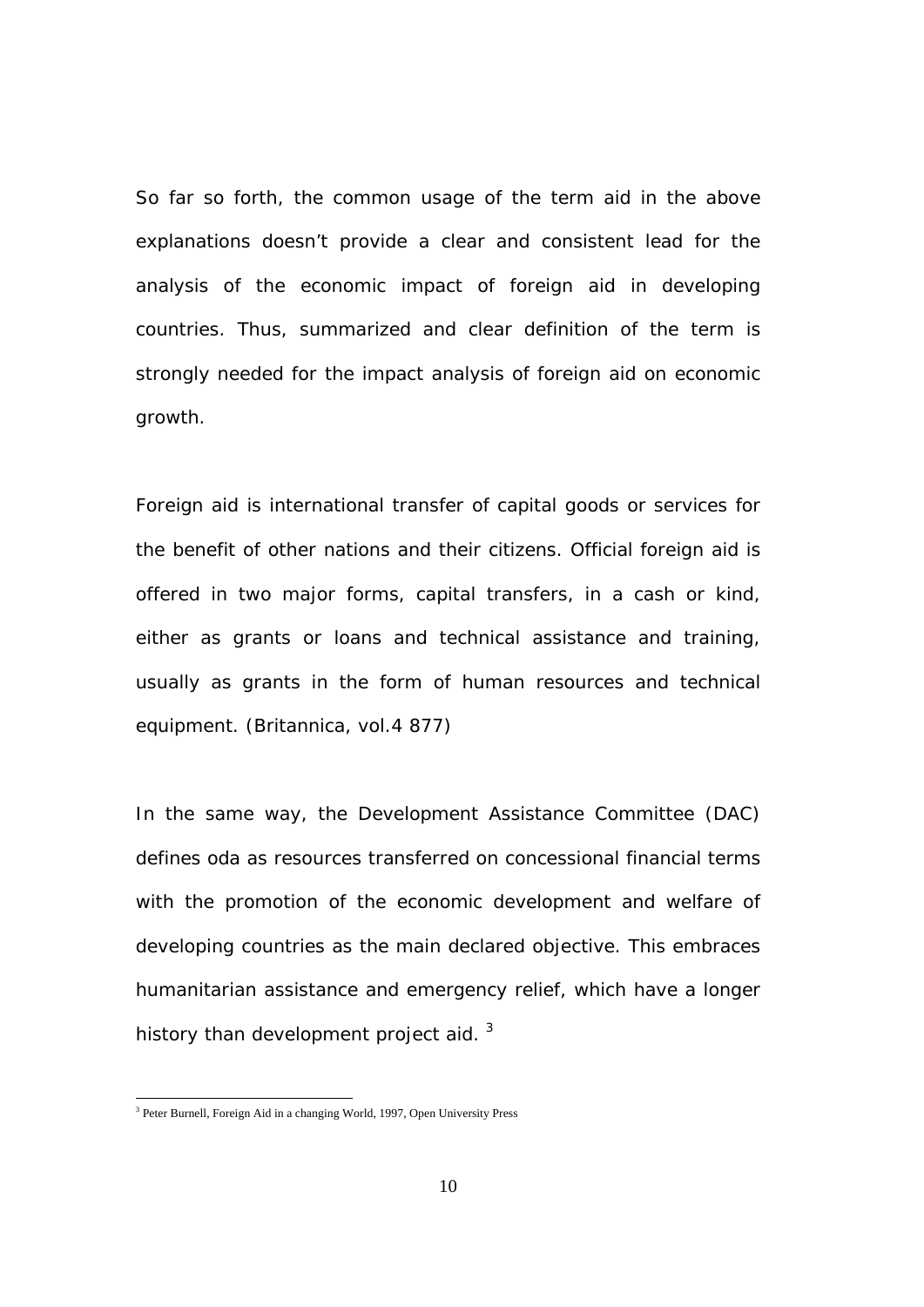So far so forth, the common usage of the term aid in the above explanations doesn't provide a clear and consistent lead for the analysis of the economic impact of foreign aid in developing countries. Thus, summarized and clear definition of the term is strongly needed for the impact analysis of foreign aid on economic growth.

Foreign aid is international transfer of capital goods or services for the benefit of other nations and their citizens. Official foreign aid is offered in two major forms, capital transfers, in a cash or kind, either as grants or loans and technical assistance and training, usually as grants in the form of human resources and technical equipment. (Britannica, vol.4 877)

In the same way, the Development Assistance Committee (DAC) defines oda as resources transferred on concessional financial terms with the promotion of the economic development and welfare of developing countries as the main declared objective. This embraces humanitarian assistance and emergency relief, which have a longer history than development project aid.  $3$ 

 3 Peter Burnell, Foreign Aid in a changing World, 1997, Open University Press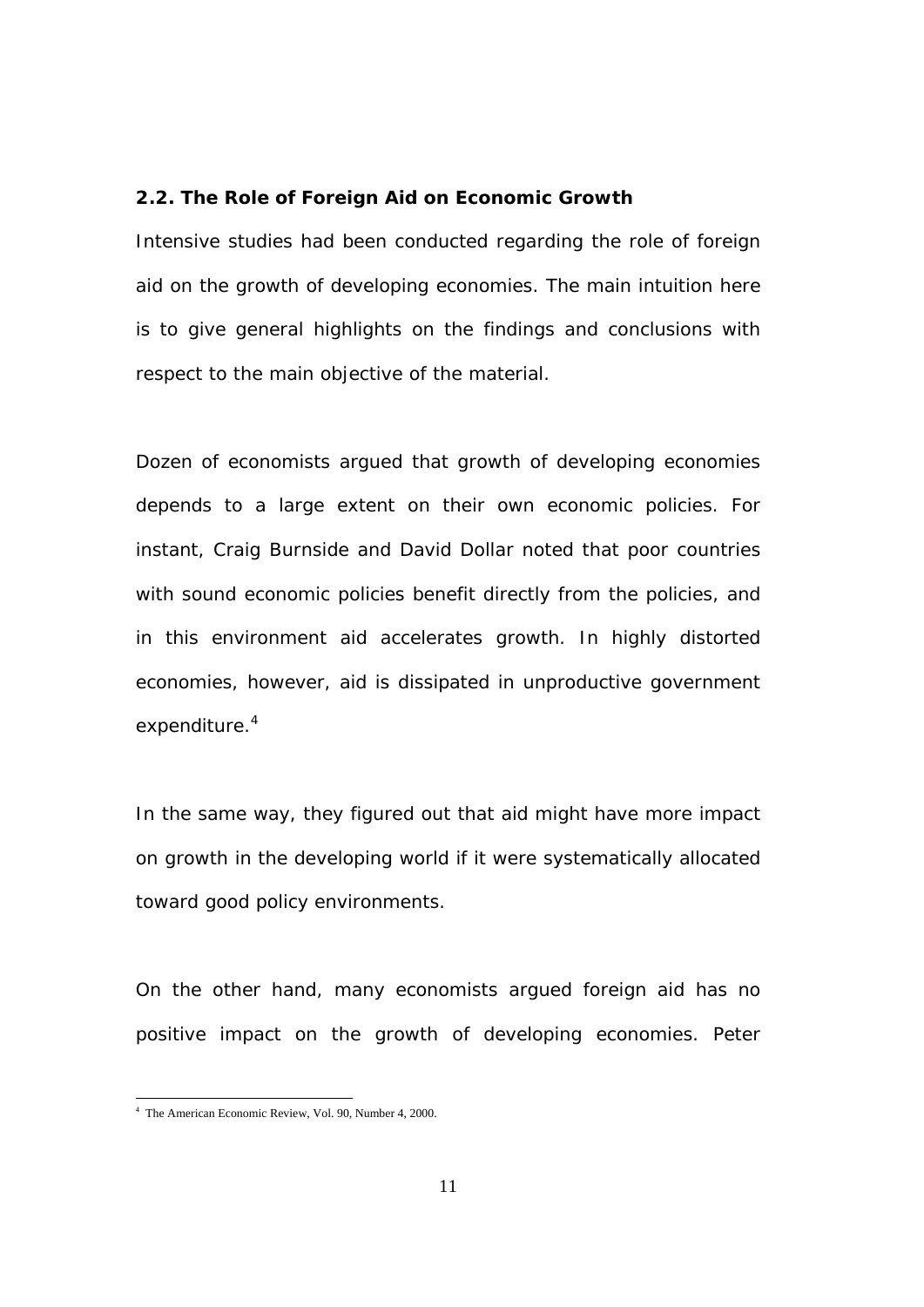### **2.2. The Role of Foreign Aid on Economic Growth**

Intensive studies had been conducted regarding the role of foreign aid on the growth of developing economies. The main intuition here is to give general highlights on the findings and conclusions with respect to the main objective of the material.

Dozen of economists argued that growth of developing economies depends to a large extent on their own economic policies. For instant, Craig Burnside and David Dollar noted that poor countries with sound economic policies benefit directly from the policies, and in this environment aid accelerates growth. In highly distorted economies, however, aid is dissipated in unproductive government expenditure.<sup>4</sup>

In the same way, they figured out that aid might have more impact on growth in the developing world if it were systematically allocated toward good policy environments.

On the other hand, many economists argued foreign aid has no positive impact on the growth of developing economies. Peter

<sup>4</sup> The American Economic Review, Vol. 90, Number 4, 2000.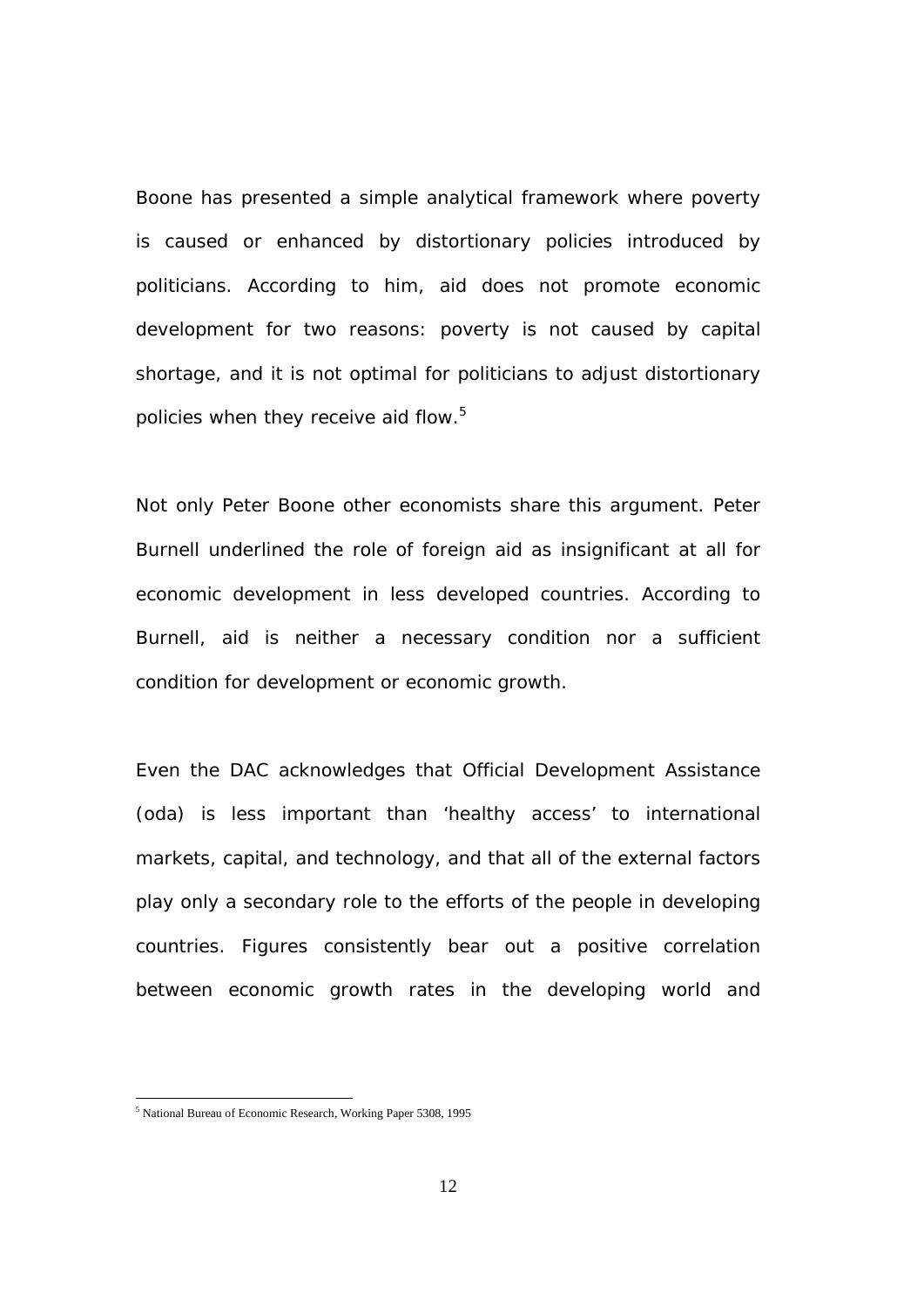Boone has presented a simple analytical framework where poverty is caused or enhanced by distortionary policies introduced by politicians. According to him, aid does not promote economic development for two reasons: poverty is not caused by capital shortage, and it is not optimal for politicians to adjust distortionary policies when they receive aid flow.<sup>5</sup>

Not only Peter Boone other economists share this argument. Peter Burnell underlined the role of foreign aid as insignificant at all for economic development in less developed countries. According to Burnell, aid is neither a necessary condition nor a sufficient condition for development or economic growth.

Even the DAC acknowledges that Official Development Assistance (oda) is less important than 'healthy access' to international markets, capital, and technology, and that all of the external factors play only a secondary role to the efforts of the people in developing countries. Figures consistently bear out a positive correlation between economic growth rates in the developing world and

<sup>5</sup> National Bureau of Economic Research, Working Paper 5308, 1995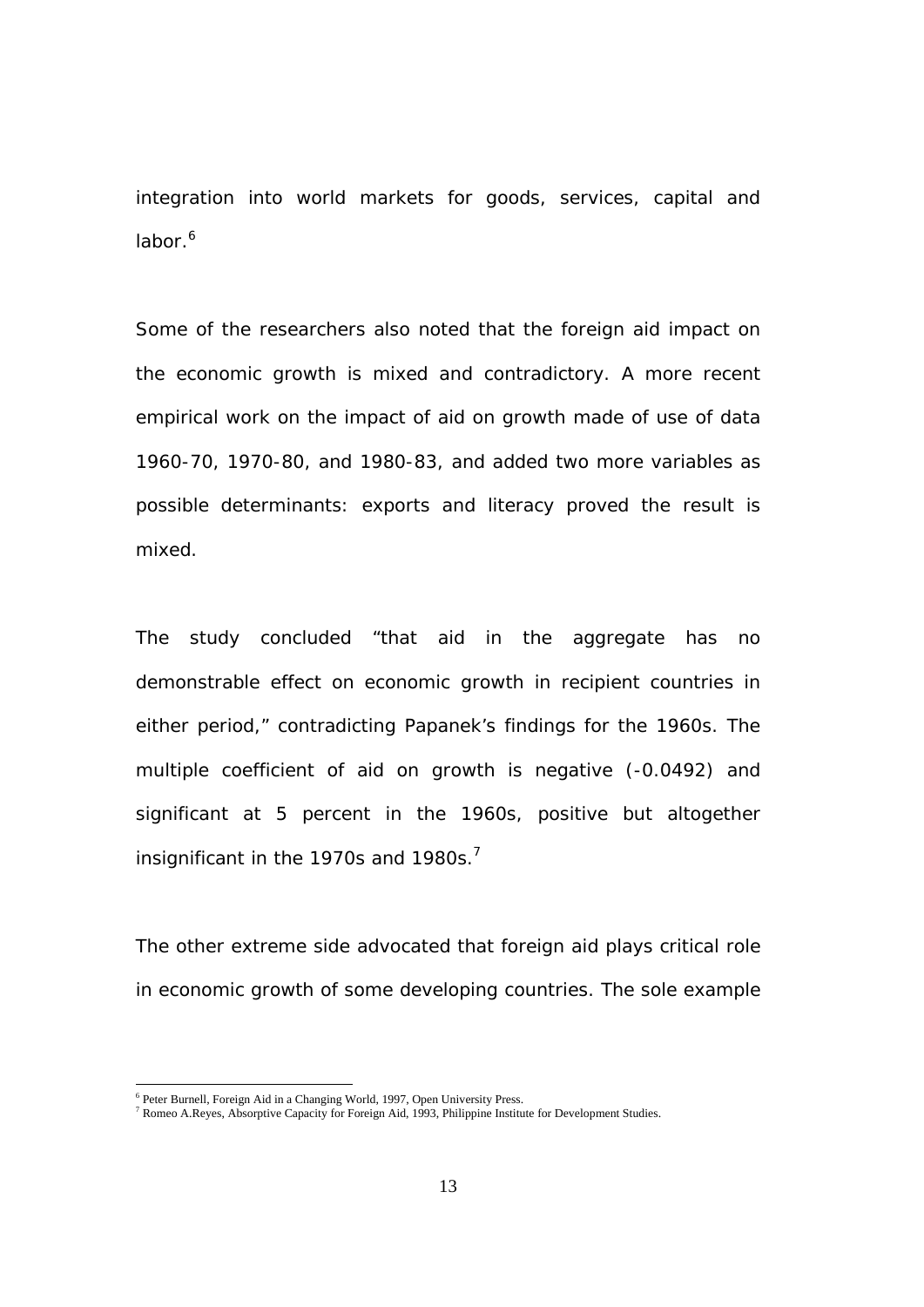integration into world markets for goods, services, capital and labor.<sup>6</sup>

Some of the researchers also noted that the foreign aid impact on the economic growth is mixed and contradictory. A more recent empirical work on the impact of aid on growth made of use of data 1960-70, 1970-80, and 1980-83, and added two more variables as possible determinants: exports and literacy proved the result is mixed.

The study concluded "that aid in the aggregate has no demonstrable effect on economic growth in recipient countries in either period," contradicting Papanek's findings for the 1960s. The multiple coefficient of aid on growth is negative (-0.0492) and significant at 5 percent in the 1960s, positive but altogether insignificant in the 1970s and 1980s.<sup>7</sup>

The other extreme side advocated that foreign aid plays critical role in economic growth of some developing countries. The sole example

 $\frac{1}{6}$ 

<sup>&</sup>lt;sup>6</sup> Peter Burnell, Foreign Aid in a Changing World, 1997, Open University Press.<br><sup>7</sup> Romeo A.Reyes, Absorptive Capacity for Foreign Aid, 1993, Philippine Institute for Development Studies.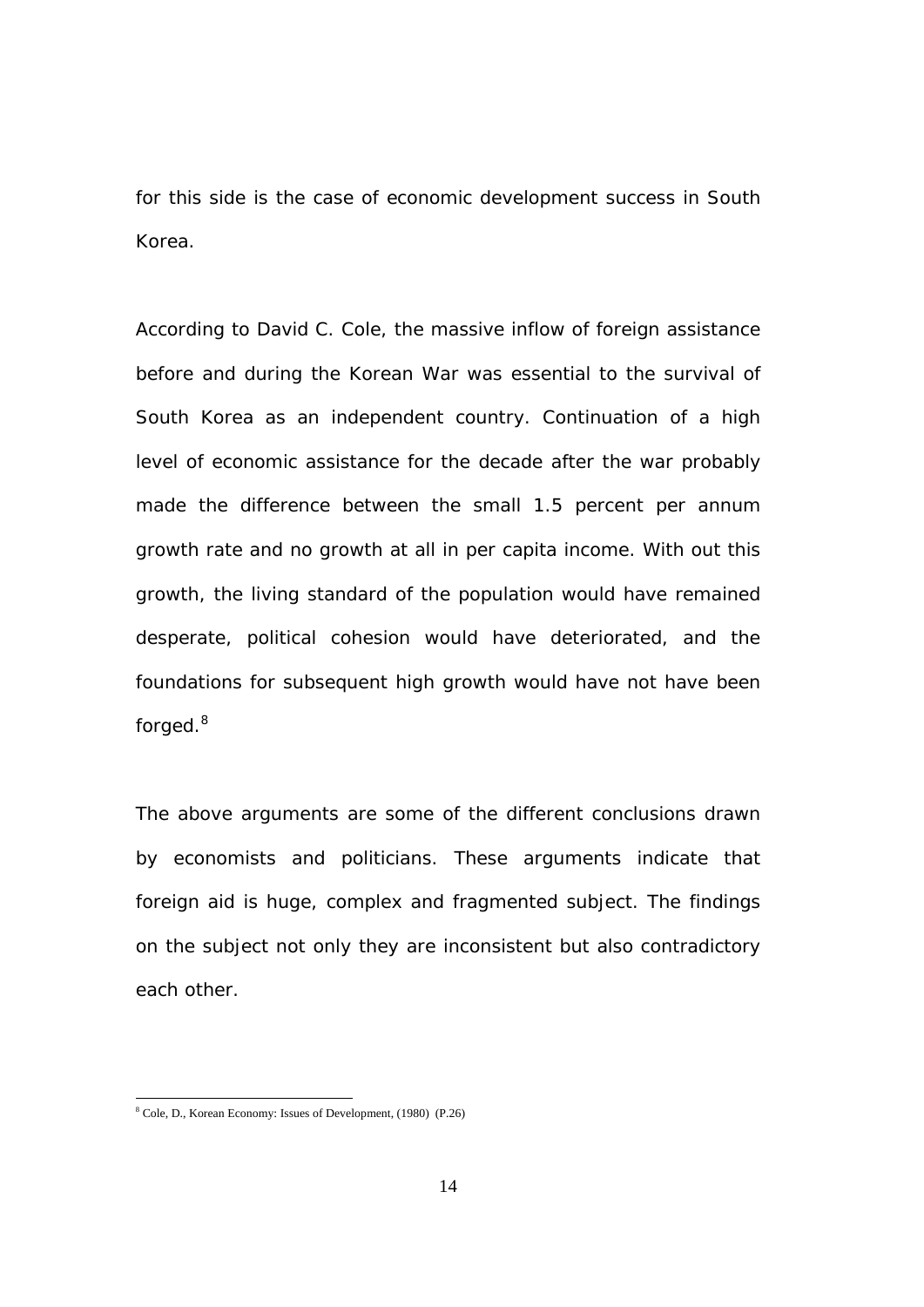for this side is the case of economic development success in South Korea.

According to David C. Cole, the massive inflow of foreign assistance before and during the Korean War was essential to the survival of South Korea as an independent country. Continuation of a high level of economic assistance for the decade after the war probably made the difference between the small 1.5 percent per annum growth rate and no growth at all in per capita income. With out this growth, the living standard of the population would have remained desperate, political cohesion would have deteriorated, and the foundations for subsequent high growth would have not have been forged.<sup>8</sup>

The above arguments are some of the different conclusions drawn by economists and politicians. These arguments indicate that foreign aid is huge, complex and fragmented subject. The findings on the subject not only they are inconsistent but also contradictory each other.

<sup>8</sup> Cole, D., Korean Economy: Issues of Development, (1980) (P.26)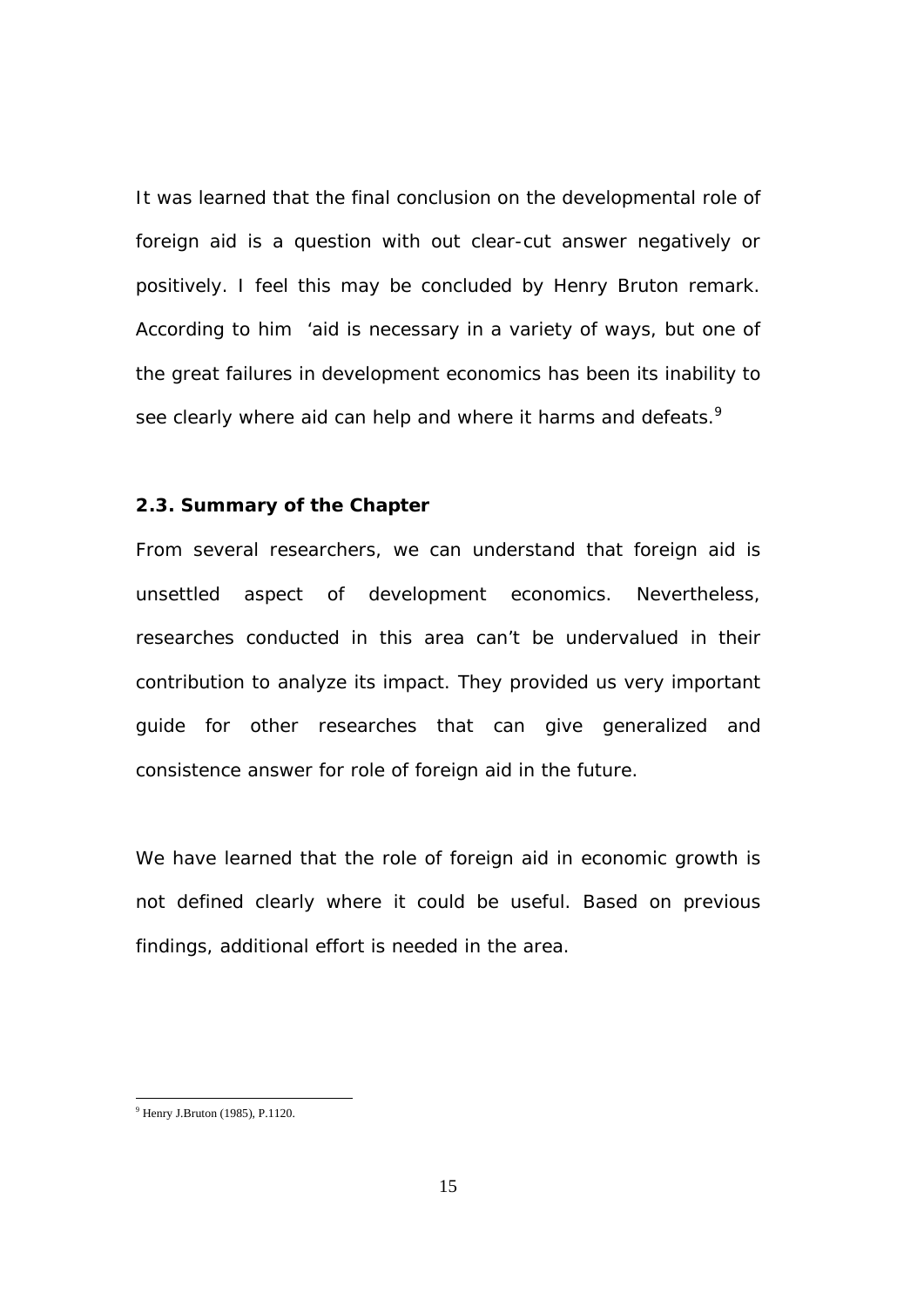It was learned that the final conclusion on the developmental role of foreign aid is a question with out clear-cut answer negatively or positively. I feel this may be concluded by Henry Bruton remark. According to him 'aid is necessary in a variety of ways, but one of the great failures in development economics has been its inability to see clearly where aid can help and where it harms and defeats. $9$ 

#### **2.3. Summary of the Chapter**

From several researchers, we can understand that foreign aid is unsettled aspect of development economics. Nevertheless, researches conducted in this area can't be undervalued in their contribution to analyze its impact. They provided us very important guide for other researches that can give generalized and consistence answer for role of foreign aid in the future.

We have learned that the role of foreign aid in economic growth is not defined clearly where it could be useful. Based on previous findings, additional effort is needed in the area.

<sup>&</sup>lt;sup>9</sup> Henry J.Bruton (1985), P.1120.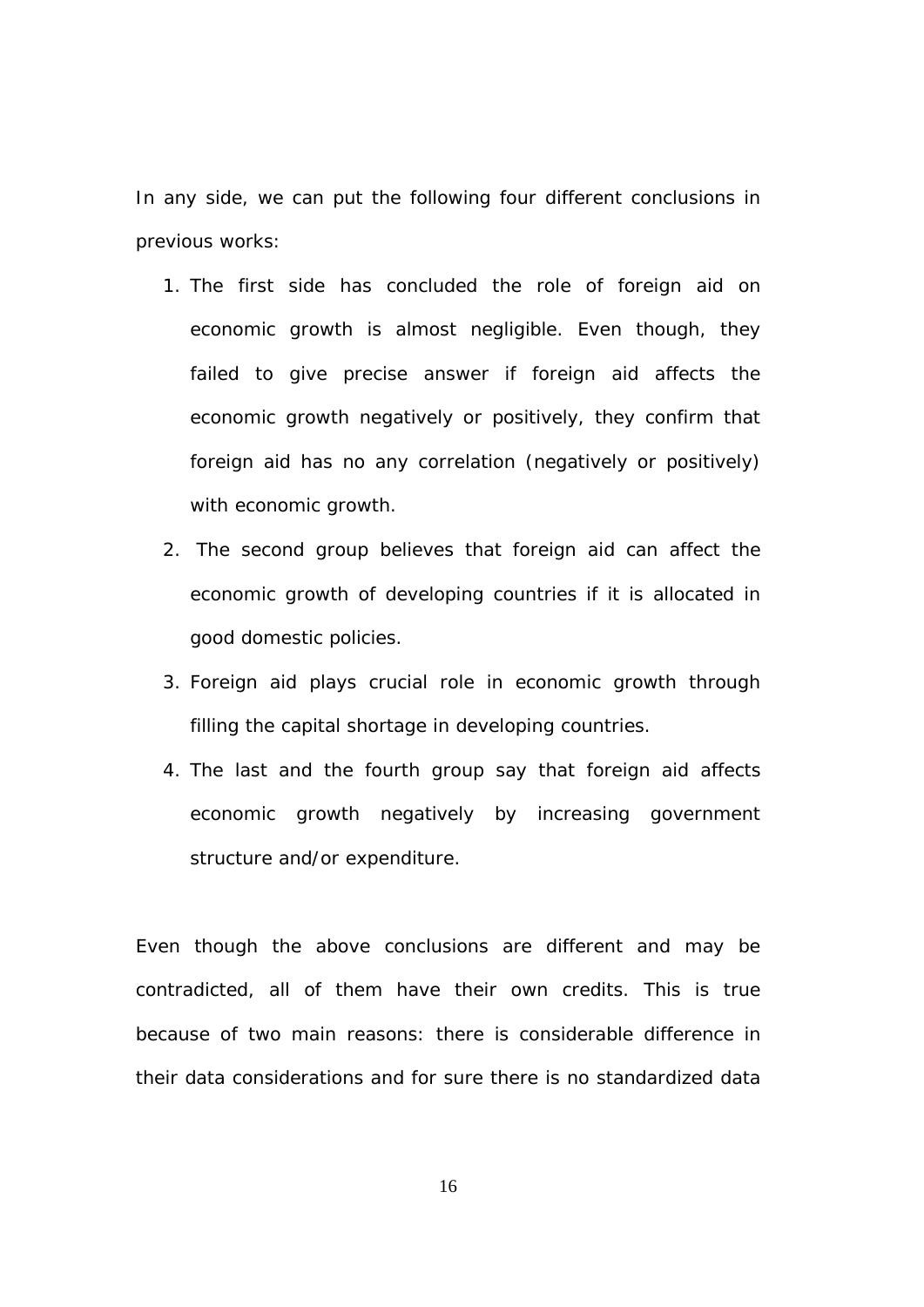In any side, we can put the following four different conclusions in previous works:

- 1. The first side has concluded the role of foreign aid on economic growth is almost negligible. Even though, they failed to give precise answer if foreign aid affects the economic growth negatively or positively, they confirm that foreign aid has no any correlation (negatively or positively) with economic growth.
- 2. The second group believes that foreign aid can affect the economic growth of developing countries if it is allocated in good domestic policies.
- 3. Foreign aid plays crucial role in economic growth through filling the capital shortage in developing countries.
- 4. The last and the fourth group say that foreign aid affects economic growth negatively by increasing government structure and/or expenditure.

Even though the above conclusions are different and may be contradicted, all of them have their own credits. This is true because of two main reasons: there is considerable difference in their data considerations and for sure there is no standardized data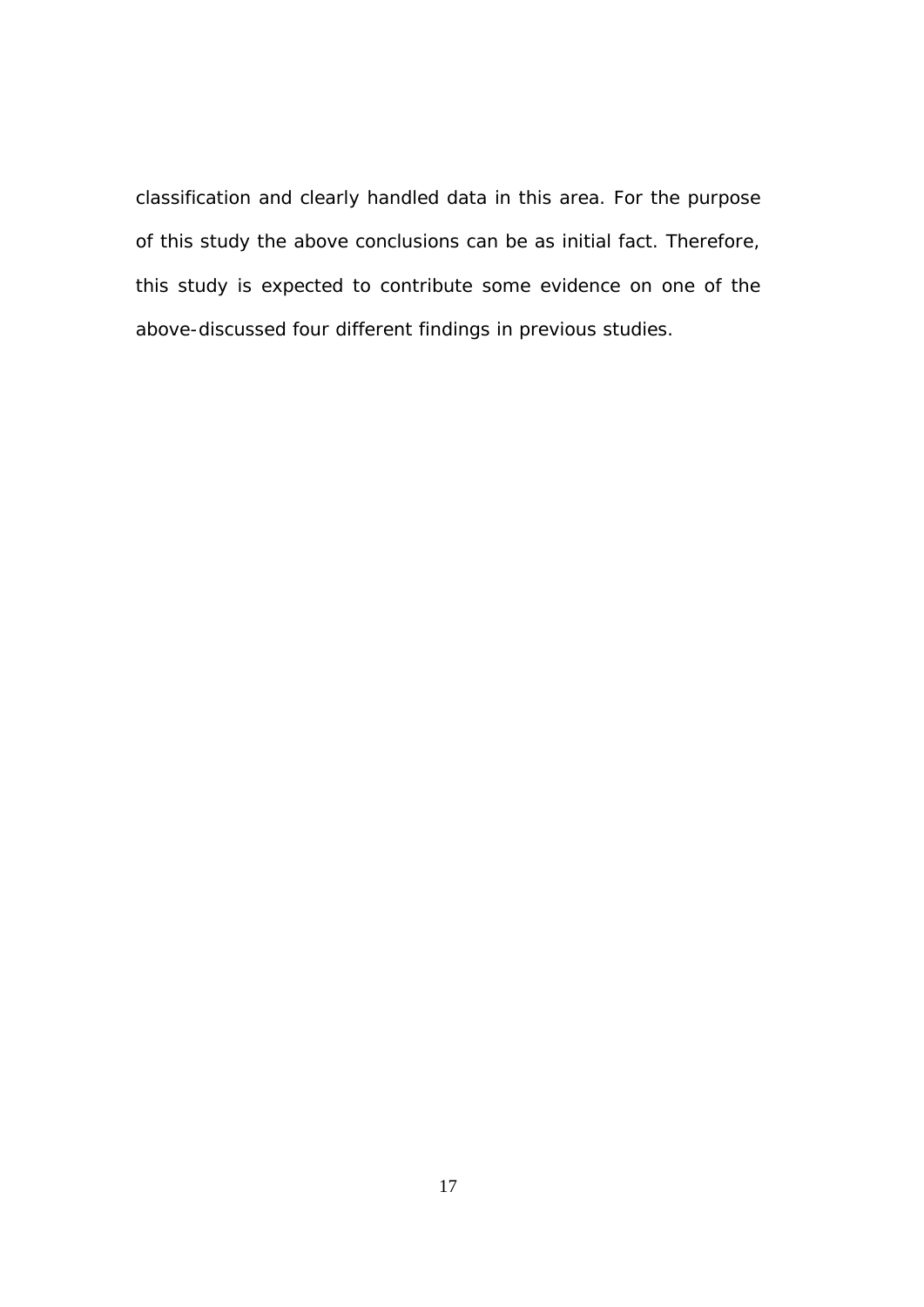classification and clearly handled data in this area. For the purpose of this study the above conclusions can be as initial fact. Therefore, this study is expected to contribute some evidence on one of the above-discussed four different findings in previous studies.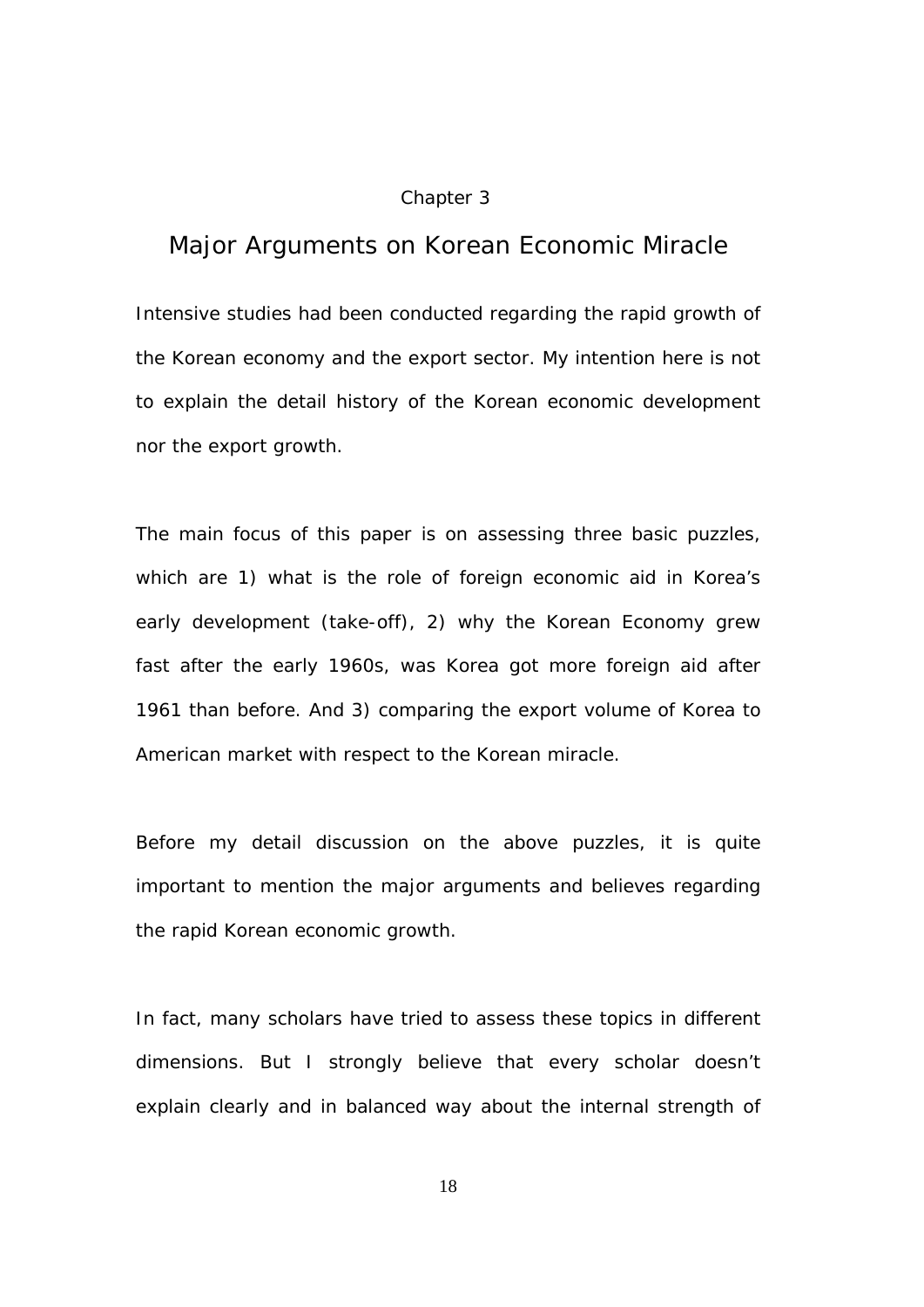### Chapter 3

# *Major Arguments on Korean Economic Miracle*

Intensive studies had been conducted regarding the rapid growth of the Korean economy and the export sector. My intention here is not to explain the detail history of the Korean economic development nor the export growth.

The main focus of this paper is on assessing three basic puzzles, which are 1) what is the role of foreign economic aid in Korea's early development (take-off), 2) why the Korean Economy grew fast after the early 1960s, was Korea got more foreign aid after 1961 than before. And 3) comparing the export volume of Korea to American market with respect to the Korean miracle.

Before my detail discussion on the above puzzles, it is quite important to mention the major arguments and believes regarding the rapid Korean economic growth.

In fact, many scholars have tried to assess these topics in different dimensions. But I strongly believe that every scholar doesn't explain clearly and in balanced way about the internal strength of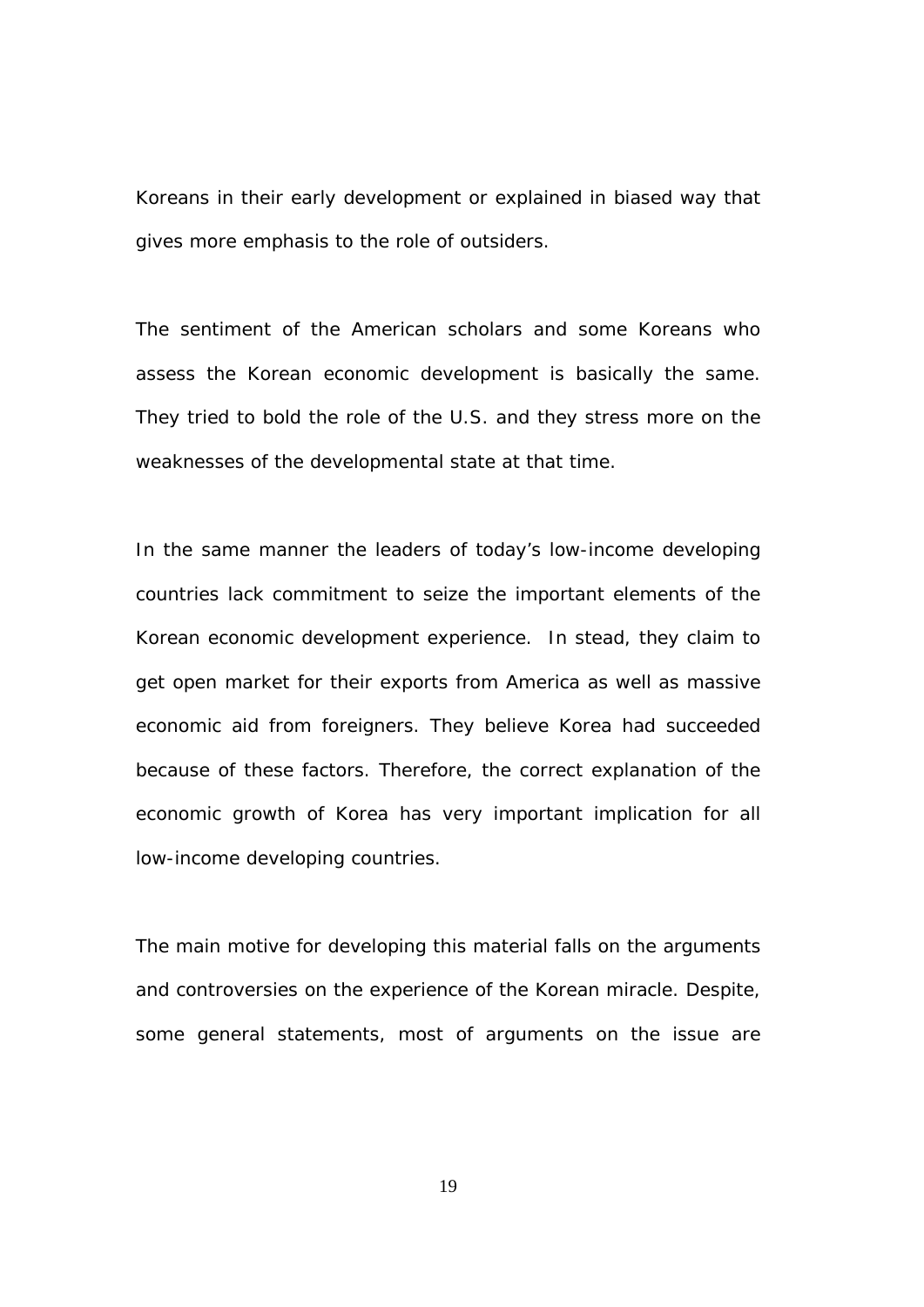Koreans in their early development or explained in biased way that gives more emphasis to the role of outsiders.

The sentiment of the American scholars and some Koreans who assess the Korean economic development is basically the same. They tried to bold the role of the U.S. and they stress more on the weaknesses of the developmental state at that time.

In the same manner the leaders of today's low-income developing countries lack commitment to seize the important elements of the Korean economic development experience. In stead, they claim to get open market for their exports from America as well as massive economic aid from foreigners. They believe Korea had succeeded because of these factors. Therefore, the correct explanation of the economic growth of Korea has very important implication for all low-income developing countries.

The main motive for developing this material falls on the arguments and controversies on the experience of the Korean miracle. Despite, some general statements, most of arguments on the issue are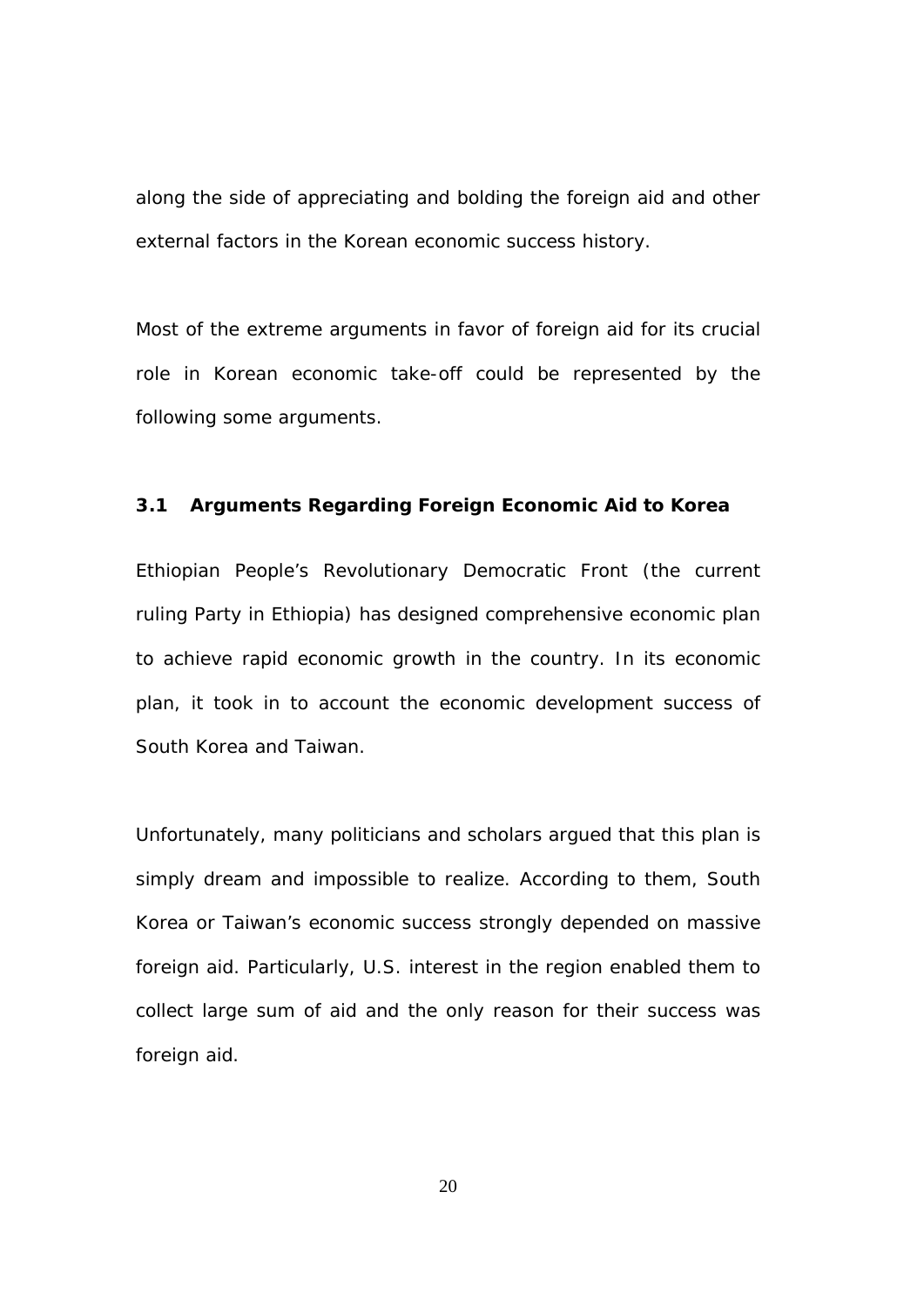along the side of appreciating and bolding the foreign aid and other external factors in the Korean economic success history.

Most of the extreme arguments in favor of foreign aid for its crucial role in Korean economic take-off could be represented by the following some arguments.

## **3.1 Arguments Regarding Foreign Economic Aid to Korea**

Ethiopian People's Revolutionary Democratic Front (the current ruling Party in Ethiopia) has designed comprehensive economic plan to achieve rapid economic growth in the country. In its economic plan, it took in to account the economic development success of South Korea and Taiwan.

Unfortunately, many politicians and scholars argued that this plan is simply dream and impossible to realize. According to them, South Korea or Taiwan's economic success strongly depended on massive foreign aid. Particularly, U.S. interest in the region enabled them to collect large sum of aid and the only reason for their success was foreign aid.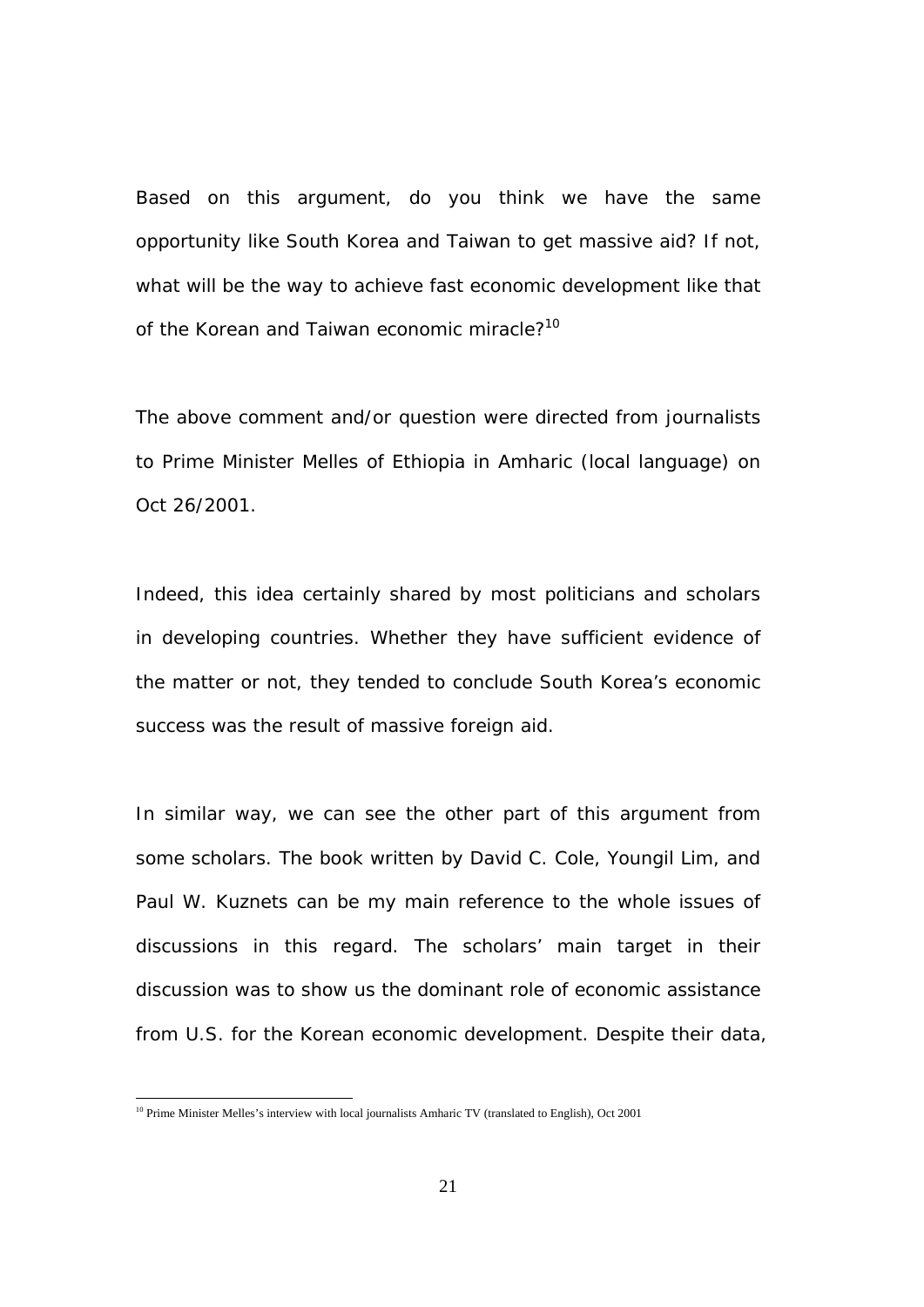Based on this argument, do you think we have the same opportunity like South Korea and Taiwan to get massive aid? If not, what will be the way to achieve fast economic development like that of the Korean and Taiwan economic miracle?<sup>10</sup>

The above comment and/or question were directed from journalists to Prime Minister Melles of Ethiopia in Amharic (local language) on Oct 26/2001.

Indeed, this idea certainly shared by most politicians and scholars in developing countries. Whether they have sufficient evidence of the matter or not, they tended to conclude South Korea's economic success was the result of massive foreign aid.

In similar way, we can see the other part of this argument from some scholars. The book written by David C. Cole, Youngil Lim, and Paul W. Kuznets can be my main reference to the whole issues of discussions in this regard. The scholars' main target in their discussion was to show us the dominant role of economic assistance from U.S. for the Korean economic development. Despite their data,

 $10$  Prime Minister Melles's interview with local journalists Amharic TV (translated to English), Oct 2001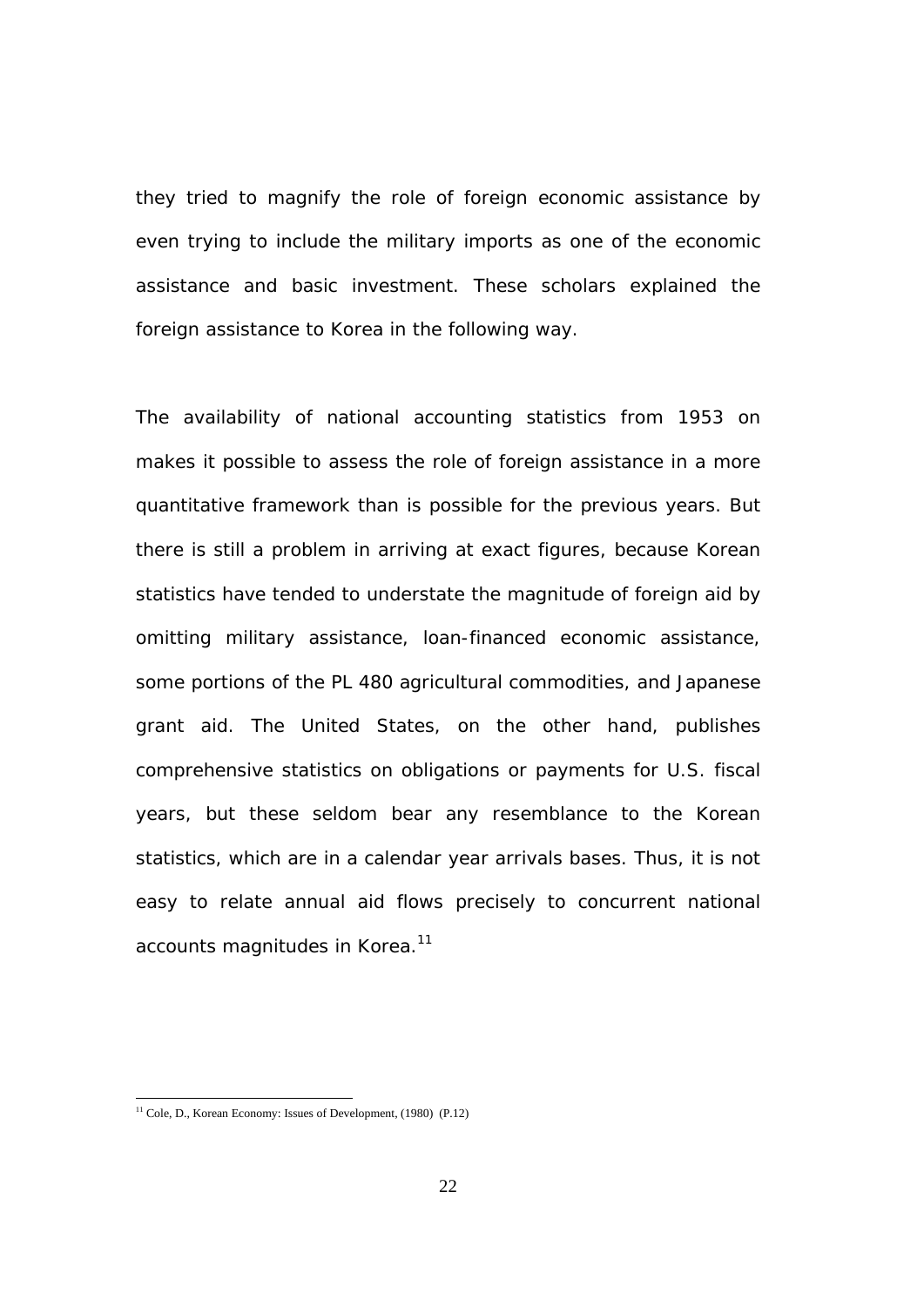they tried to magnify the role of foreign economic assistance by even trying to include the military imports as one of the economic assistance and basic investment. These scholars explained the foreign assistance to Korea in the following way.

The availability of national accounting statistics from 1953 on makes it possible to assess the role of foreign assistance in a more quantitative framework than is possible for the previous years. But there is still a problem in arriving at exact figures, because Korean statistics have tended to understate the magnitude of foreign aid by omitting military assistance, loan-financed economic assistance, some portions of the PL 480 agricultural commodities, and Japanese grant aid. The United States, on the other hand, publishes comprehensive statistics on obligations or payments for U.S. fiscal years, but these seldom bear any resemblance to the Korean statistics, which are in a calendar year arrivals bases. Thus, it is not easy to relate annual aid flows precisely to concurrent national accounts magnitudes in Korea.<sup>11</sup>

 $11$  Cole, D., Korean Economy: Issues of Development, (1980) (P.12)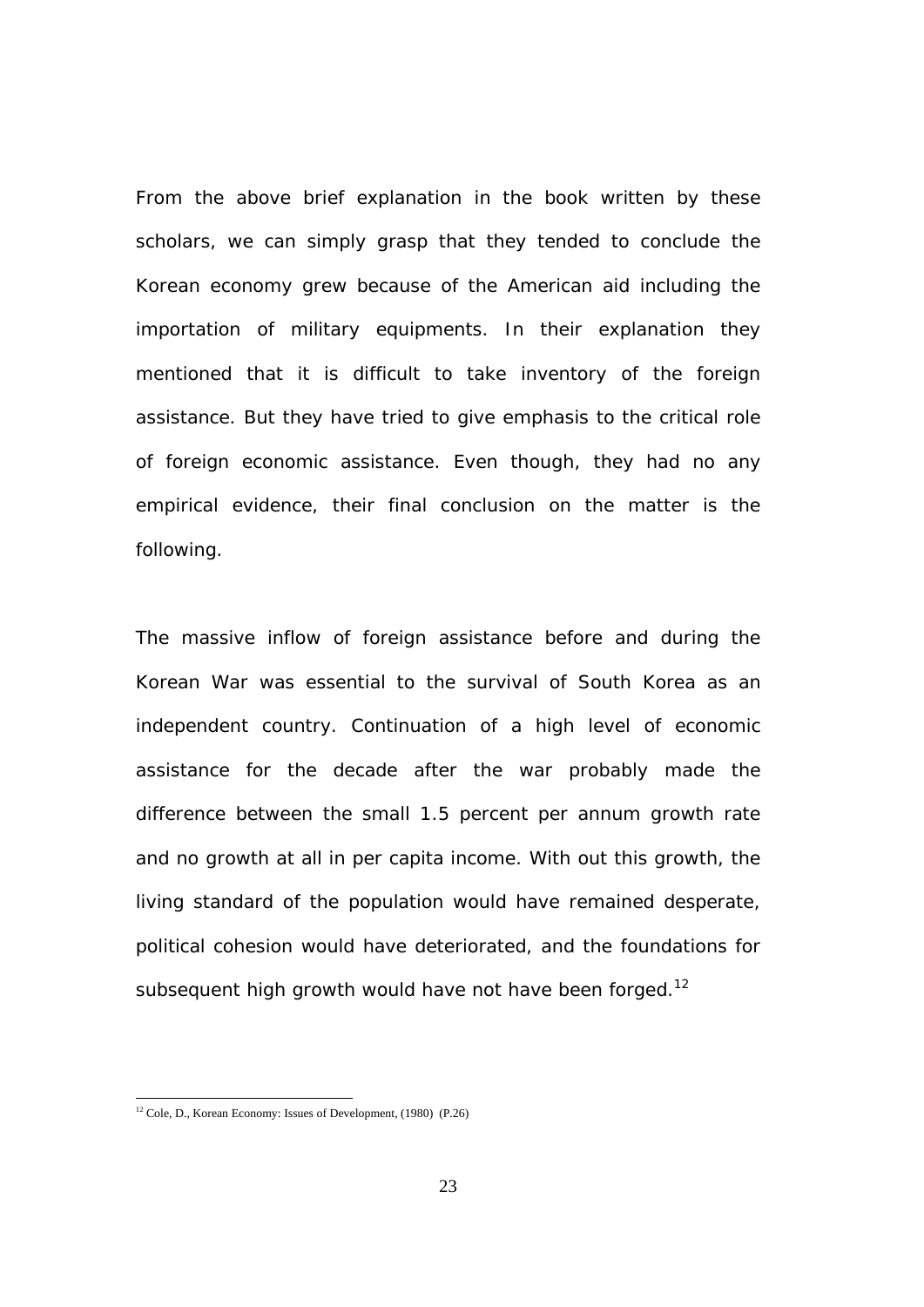From the above brief explanation in the book written by these scholars, we can simply grasp that they tended to conclude the Korean economy grew because of the American aid including the importation of military equipments. In their explanation they mentioned that it is difficult to take inventory of the foreign assistance. But they have tried to give emphasis to the critical role of foreign economic assistance. Even though, they had no any empirical evidence, their final conclusion on the matter is the following.

The massive inflow of foreign assistance before and during the Korean War was essential to the survival of South Korea as an independent country. Continuation of a high level of economic assistance for the decade after the war probably made the difference between the small 1.5 percent per annum growth rate and no growth at all in per capita income. With out this growth, the living standard of the population would have remained desperate, political cohesion would have deteriorated, and the foundations for subsequent high growth would have not have been forged.<sup>12</sup>

 $12$  Cole, D., Korean Economy: Issues of Development, (1980) (P.26)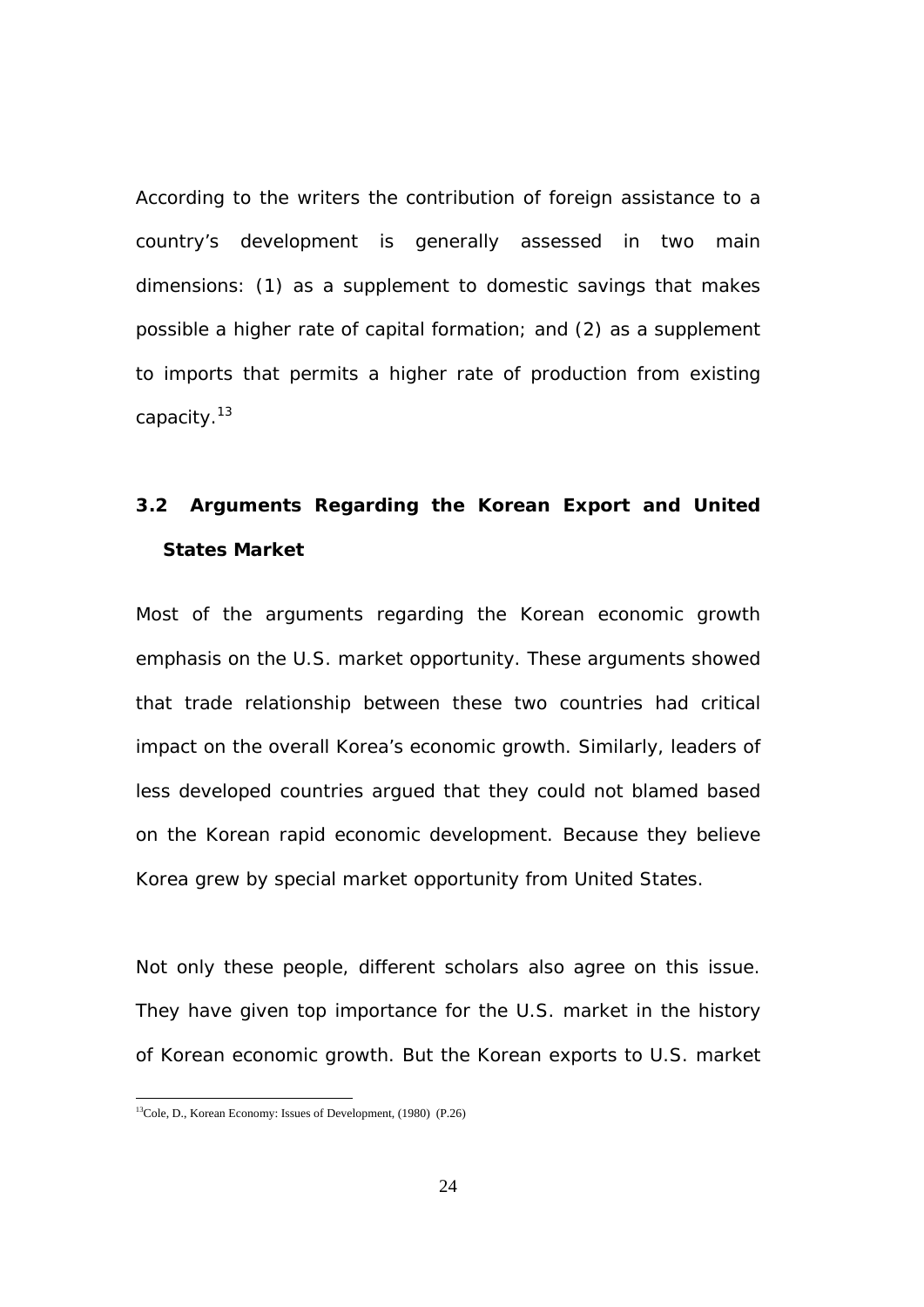According to the writers the contribution of foreign assistance to a country's development is generally assessed in two main dimensions: (1) as a supplement to domestic savings that makes possible a higher rate of capital formation; and (2) as a supplement to imports that permits a higher rate of production from existing capacity.13

# **3.2 Arguments Regarding the Korean Export and United States Market**

Most of the arguments regarding the Korean economic growth emphasis on the U.S. market opportunity. These arguments showed that trade relationship between these two countries had critical impact on the overall Korea's economic growth. Similarly, leaders of less developed countries argued that they could not blamed based on the Korean rapid economic development. Because they believe Korea grew by special market opportunity from United States.

Not only these people, different scholars also agree on this issue. They have given top importance for the U.S. market in the history of Korean economic growth. But the Korean exports to U.S. market

<sup>&</sup>lt;sup>13</sup>Cole, D., Korean Economy: Issues of Development, (1980) (P.26)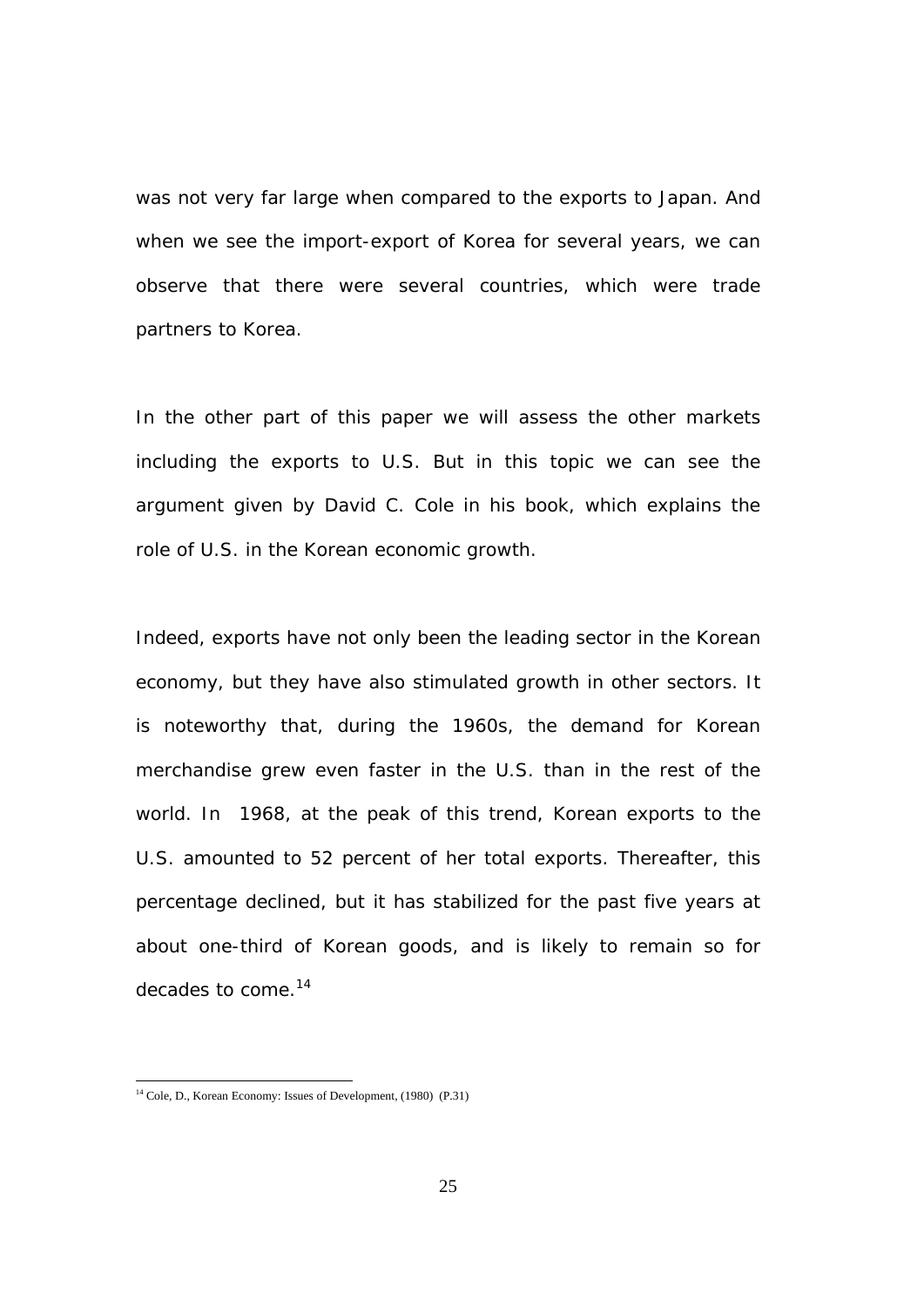was not very far large when compared to the exports to Japan. And when we see the import-export of Korea for several years, we can observe that there were several countries, which were trade partners to Korea.

In the other part of this paper we will assess the other markets including the exports to U.S. But in this topic we can see the argument given by David C. Cole in his book, which explains the role of U.S. in the Korean economic growth.

Indeed, exports have not only been the leading sector in the Korean economy, but they have also stimulated growth in other sectors. It is noteworthy that, during the 1960s, the demand for Korean merchandise grew even faster in the U.S. than in the rest of the world. In 1968, at the peak of this trend, Korean exports to the U.S. amounted to 52 percent of her total exports. Thereafter, this percentage declined, but it has stabilized for the past five years at about one-third of Korean goods, and is likely to remain so for decades to come.14

l

<sup>&</sup>lt;sup>14</sup> Cole, D., Korean Economy: Issues of Development, (1980) (P.31)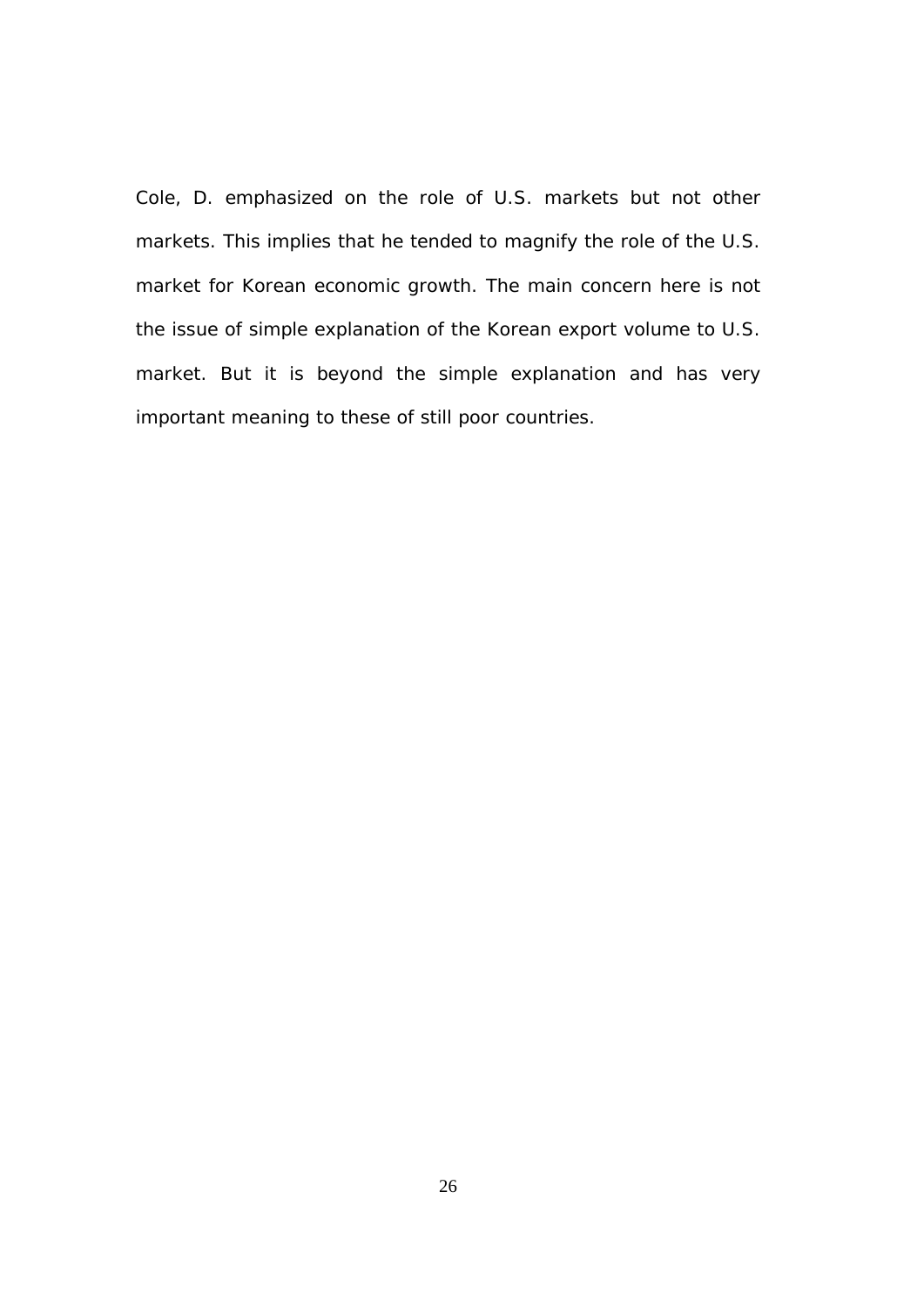Cole, D. emphasized on the role of U.S. markets but not other markets. This implies that he tended to magnify the role of the U.S. market for Korean economic growth. The main concern here is not the issue of simple explanation of the Korean export volume to U.S. market. But it is beyond the simple explanation and has very important meaning to these of still poor countries.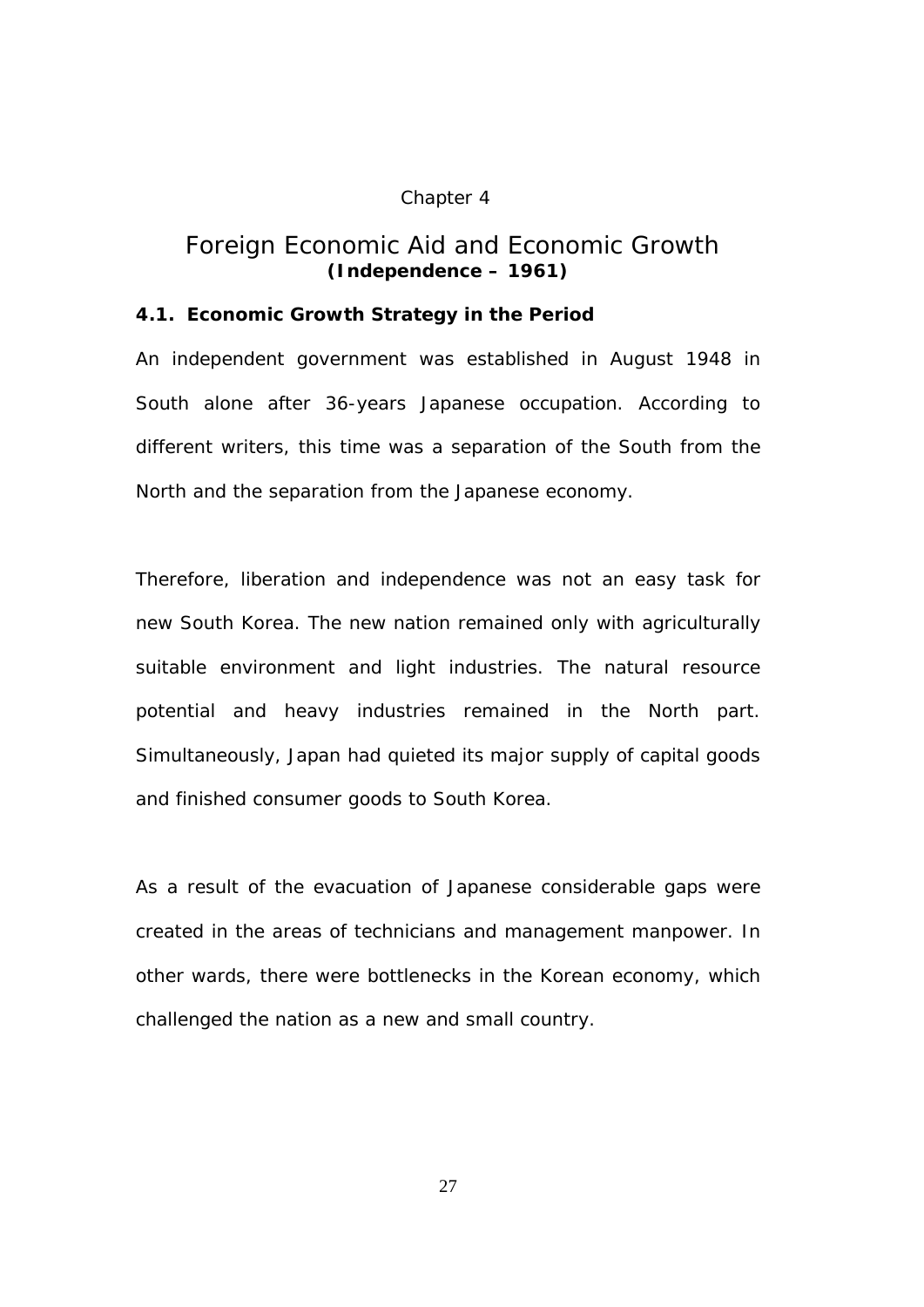### Chapter 4

# *Foreign Economic Aid and Economic Growth (Independence – 1961)*

## **4.1. Economic Growth Strategy in the Period**

An independent government was established in August 1948 in South alone after 36-years Japanese occupation. According to different writers, this time was a separation of the South from the North and the separation from the Japanese economy.

Therefore, liberation and independence was not an easy task for new South Korea. The new nation remained only with agriculturally suitable environment and light industries. The natural resource potential and heavy industries remained in the North part. Simultaneously, Japan had quieted its major supply of capital goods and finished consumer goods to South Korea.

As a result of the evacuation of Japanese considerable gaps were created in the areas of technicians and management manpower. In other wards, there were bottlenecks in the Korean economy, which challenged the nation as a new and small country.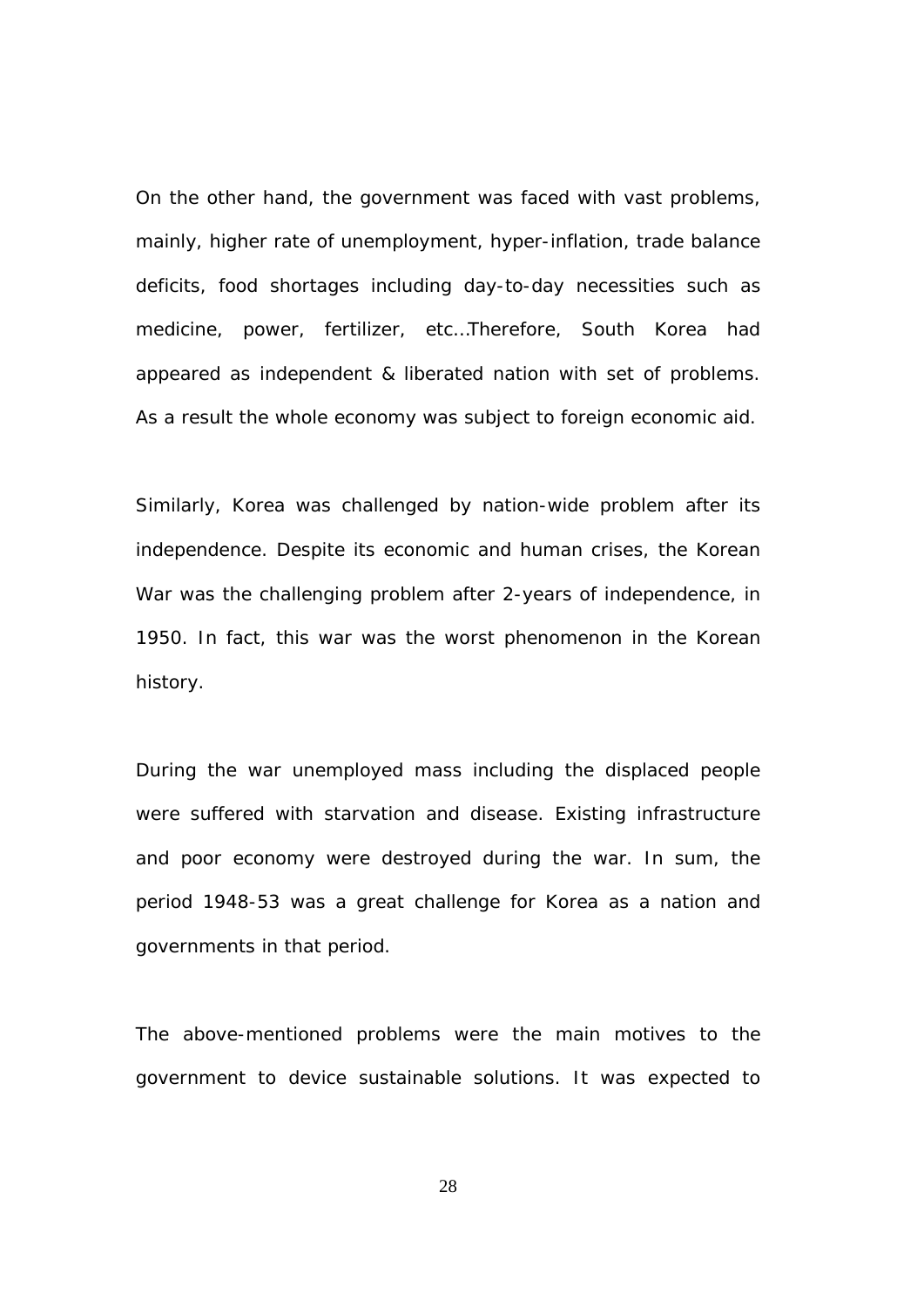On the other hand, the government was faced with vast problems, mainly, higher rate of unemployment, hyper-inflation, trade balance deficits, food shortages including day-to-day necessities such as medicine, power, fertilizer, etc…Therefore, South Korea had appeared as independent & liberated nation with set of problems. As a result the whole economy was subject to foreign economic aid.

Similarly, Korea was challenged by nation-wide problem after its independence. Despite its economic and human crises, the Korean War was the challenging problem after 2-years of independence, in 1950. In fact, this war was the worst phenomenon in the Korean history.

During the war unemployed mass including the displaced people were suffered with starvation and disease. Existing infrastructure and poor economy were destroyed during the war. In sum, the period 1948-53 was a great challenge for Korea as a nation and governments in that period.

The above-mentioned problems were the main motives to the government to device sustainable solutions. It was expected to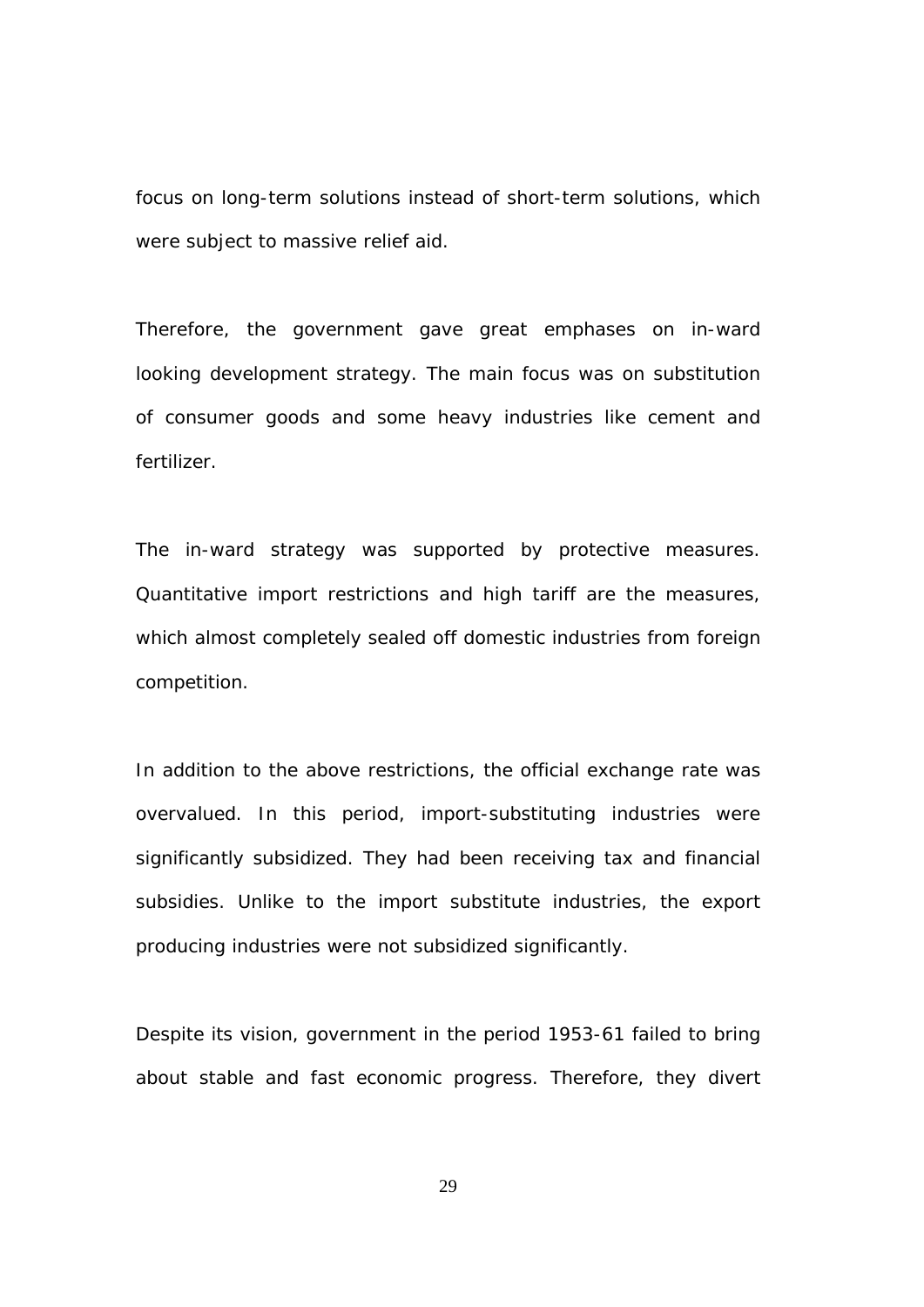focus on long-term solutions instead of short-term solutions, which were subject to massive relief aid.

Therefore, the government gave great emphases on in-ward looking development strategy. The main focus was on substitution of consumer goods and some heavy industries like cement and fertilizer.

The in-ward strategy was supported by protective measures. Quantitative import restrictions and high tariff are the measures, which almost completely sealed off domestic industries from foreign competition.

In addition to the above restrictions, the official exchange rate was overvalued. In this period, import-substituting industries were significantly subsidized. They had been receiving tax and financial subsidies. Unlike to the import substitute industries, the export producing industries were not subsidized significantly.

Despite its vision, government in the period 1953-61 failed to bring about stable and fast economic progress. Therefore, they divert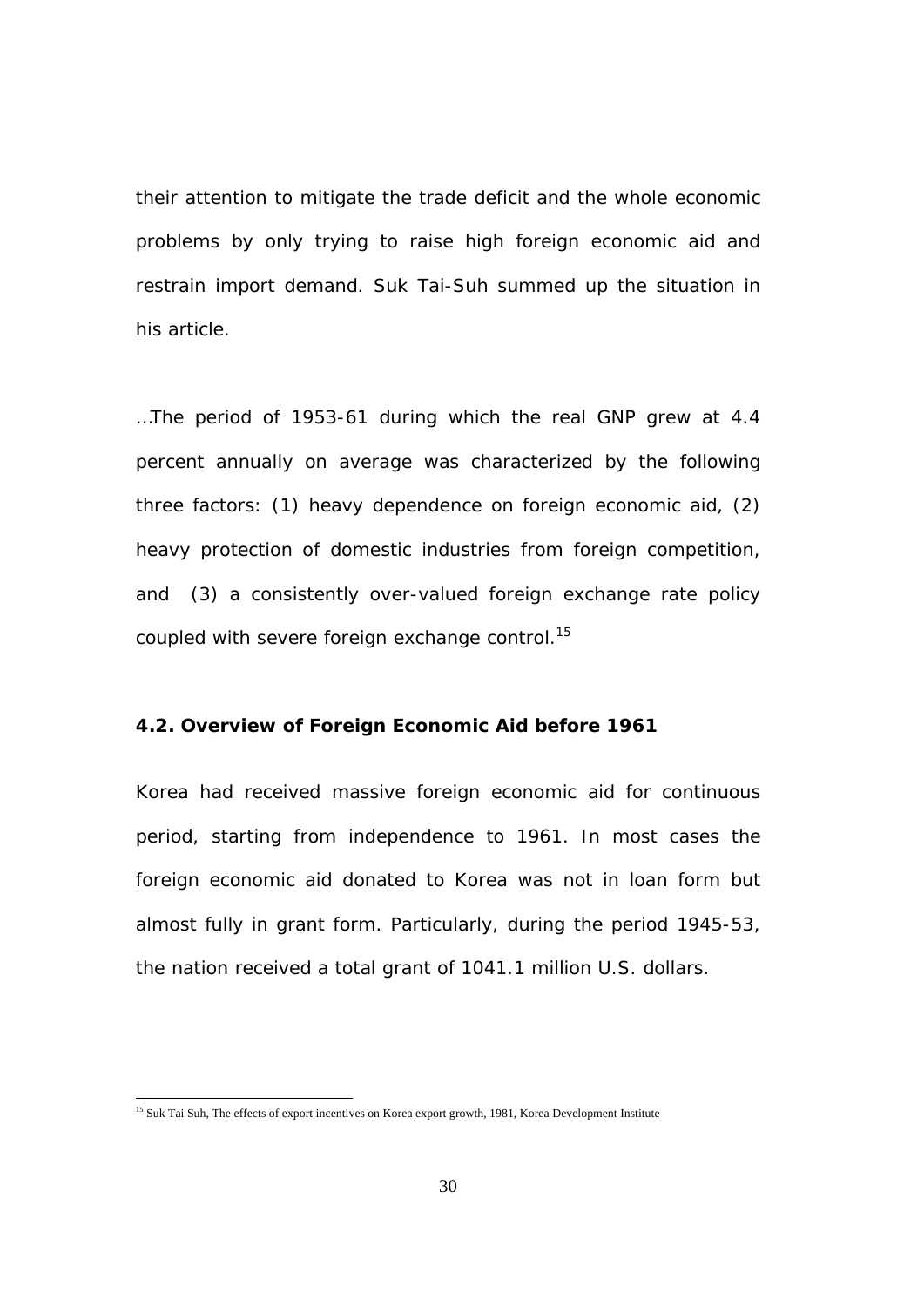their attention to mitigate the trade deficit and the whole economic problems by only trying to raise high foreign economic aid and restrain import demand. Suk Tai-Suh summed up the situation in his article.

…The period of 1953-61 during which the real GNP grew at 4.4 percent annually on average was characterized by the following three factors: (1) heavy dependence on foreign economic aid, (2) heavy protection of domestic industries from foreign competition, and (3) a consistently over-valued foreign exchange rate policy coupled with severe foreign exchange control.*<sup>15</sup>*

## **4.2. Overview of Foreign Economic Aid before 1961**

Korea had received massive foreign economic aid for continuous period, starting from independence to 1961. In most cases the foreign economic aid donated to Korea was not in loan form but almost fully in grant form. Particularly, during the period 1945-53, the nation received a total grant of 1041.1 million U.S. dollars.

<sup>&</sup>lt;sup>15</sup> Suk Tai Suh, The effects of export incentives on Korea export growth, 1981, Korea Development Institute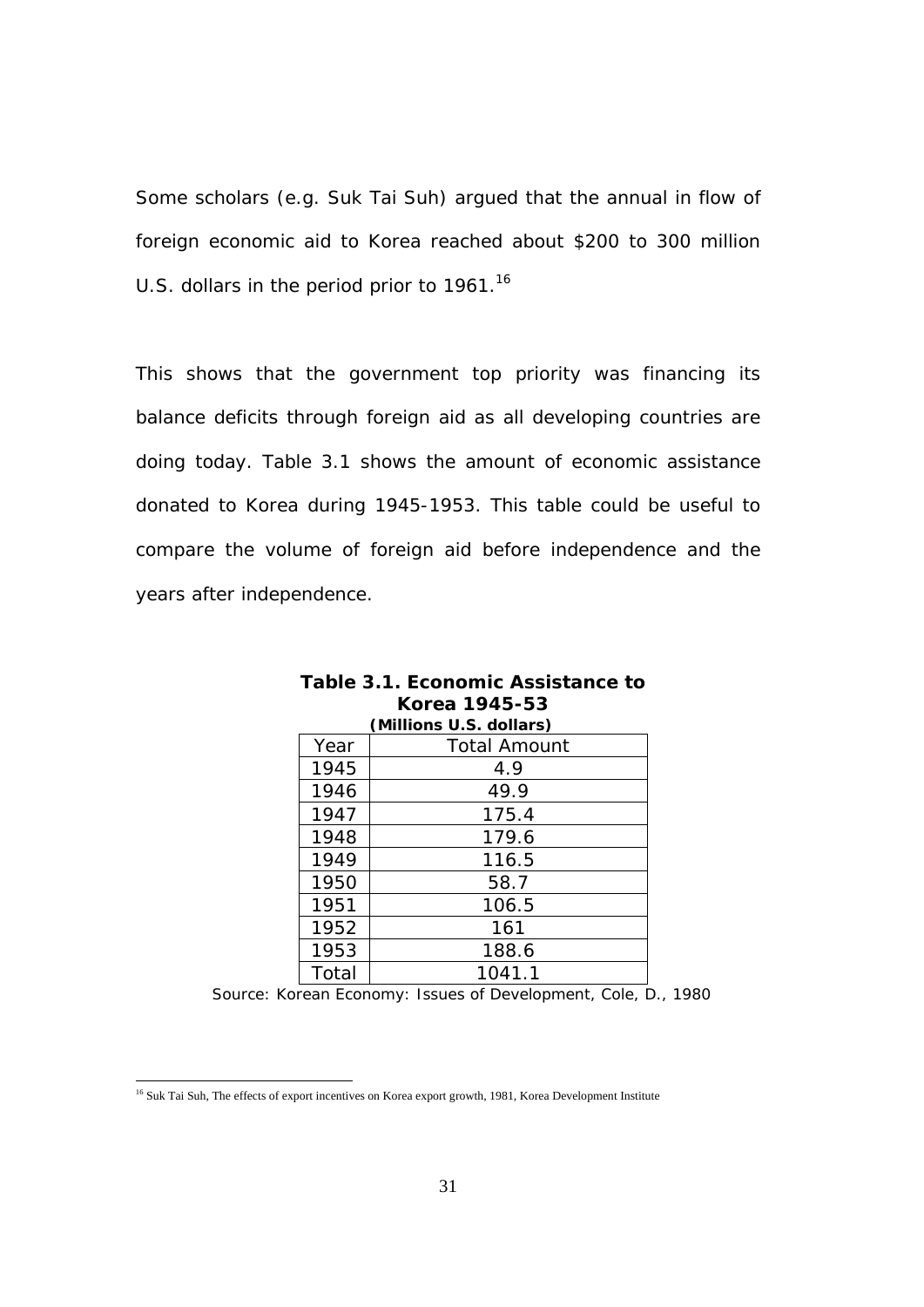Some scholars (e.g. Suk Tai Suh) argued that the annual in flow of foreign economic aid to Korea reached about \$200 to 300 million U.S. dollars in the period prior to 1961.<sup>16</sup>

This shows that the government top priority was financing its balance deficits through foreign aid as all developing countries are doing today. Table 3.1 shows the amount of economic assistance donated to Korea during 1945-1953. This table could be useful to compare the volume of foreign aid before independence and the years after independence.

| (Millions U.S. dollars) |                     |
|-------------------------|---------------------|
| Year                    | <b>Total Amount</b> |
| 1945                    | 4.9                 |
| 1946                    | 49.9                |
| 1947                    | 175.4               |
| 1948                    | 179.6               |
| 1949                    | 116.5               |
| 1950                    | 58.7                |
| 1951                    | 106.5               |
| 1952                    | 161                 |
| 1953                    | 188.6               |
| Total                   | 1041.1              |

| Table 3.1. Economic Assistance to |
|-----------------------------------|
| Korea 1945-53                     |
| $\Lambda$ liliana II Callana)     |

 *Source: Korean Economy: Issues of Development, Cole, D., 1980* 

l

<sup>&</sup>lt;sup>16</sup> Suk Tai Suh, The effects of export incentives on Korea export growth, 1981, Korea Development Institute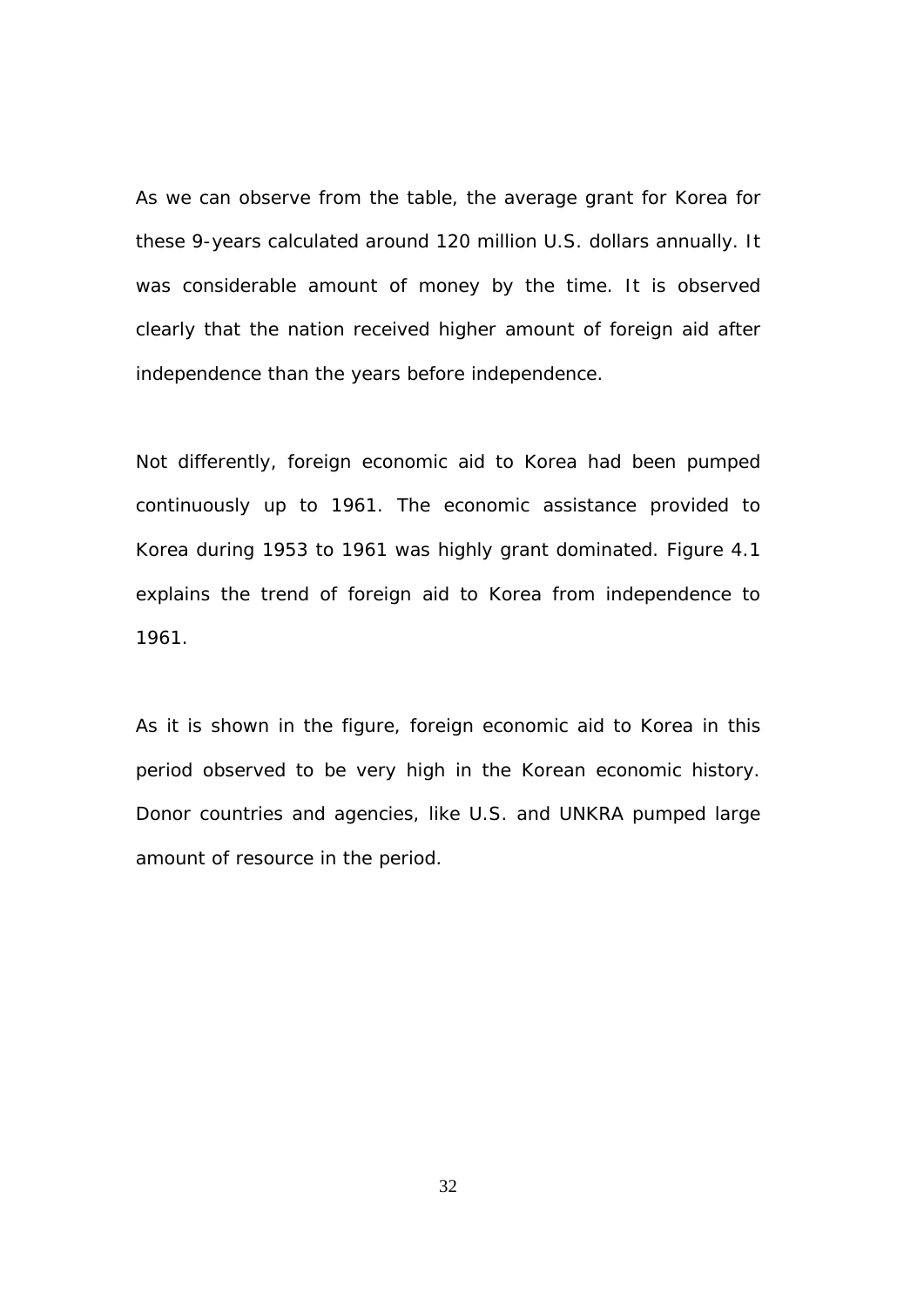As we can observe from the table, the average grant for Korea for these 9-years calculated around 120 million U.S. dollars annually. It was considerable amount of money by the time. It is observed clearly that the nation received higher amount of foreign aid after independence than the years before independence.

Not differently, foreign economic aid to Korea had been pumped continuously up to 1961. The economic assistance provided to Korea during 1953 to 1961 was highly grant dominated. Figure 4.1 explains the trend of foreign aid to Korea from independence to 1961.

As it is shown in the figure, foreign economic aid to Korea in this period observed to be very high in the Korean economic history. Donor countries and agencies, like U.S. and UNKRA pumped large amount of resource in the period.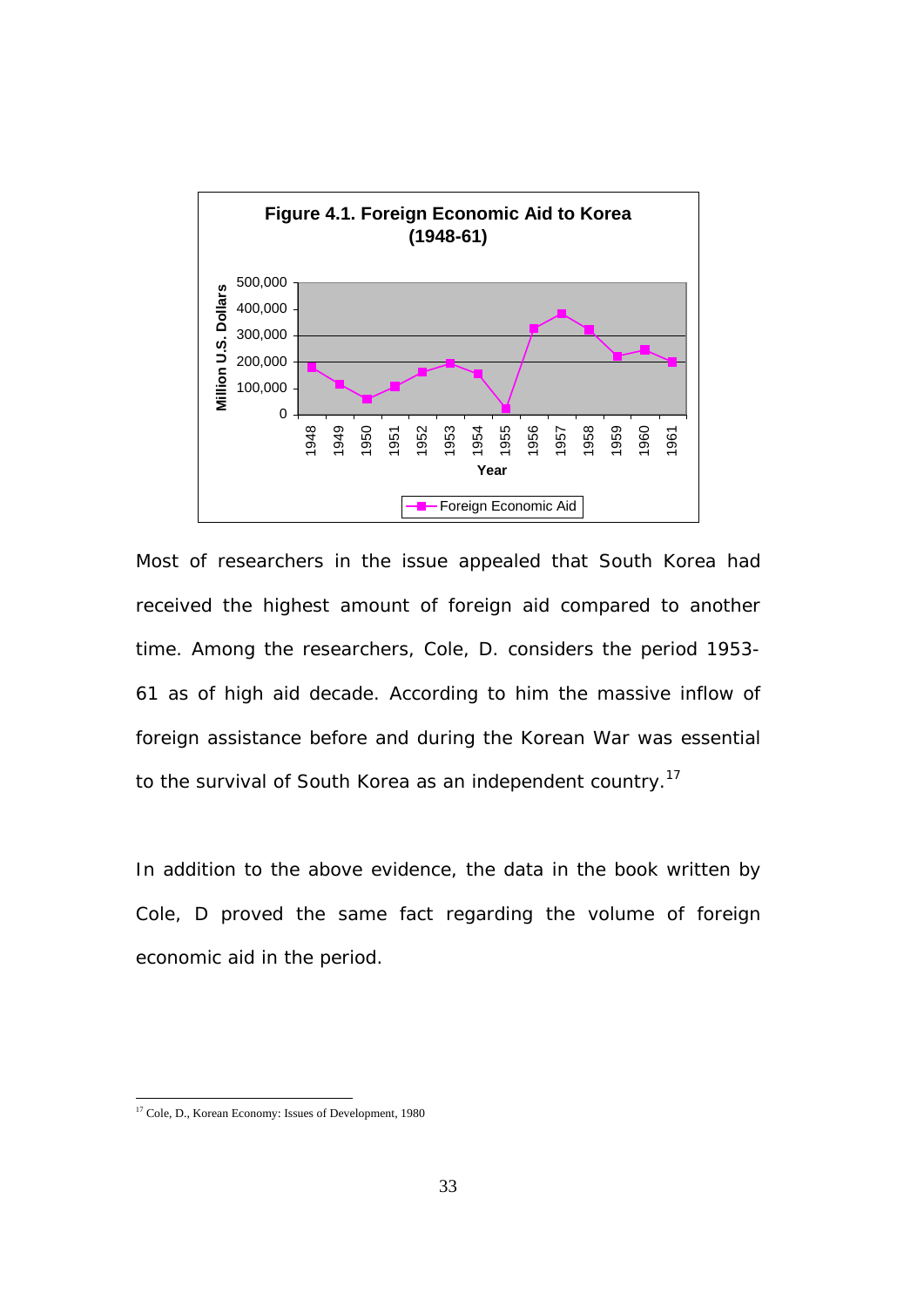

Most of researchers in the issue appealed that South Korea had received the highest amount of foreign aid compared to another time. Among the researchers, Cole, D. considers the period 1953- 61 as of high aid decade. According to him the massive inflow of foreign assistance before and during the Korean War was essential to the survival of South Korea as an independent country.<sup>17</sup>

In addition to the above evidence, the data in the book written by Cole, D proved the same fact regarding the volume of foreign economic aid in the period.

<sup>&</sup>lt;sup>17</sup> Cole, D., Korean Economy: Issues of Development, 1980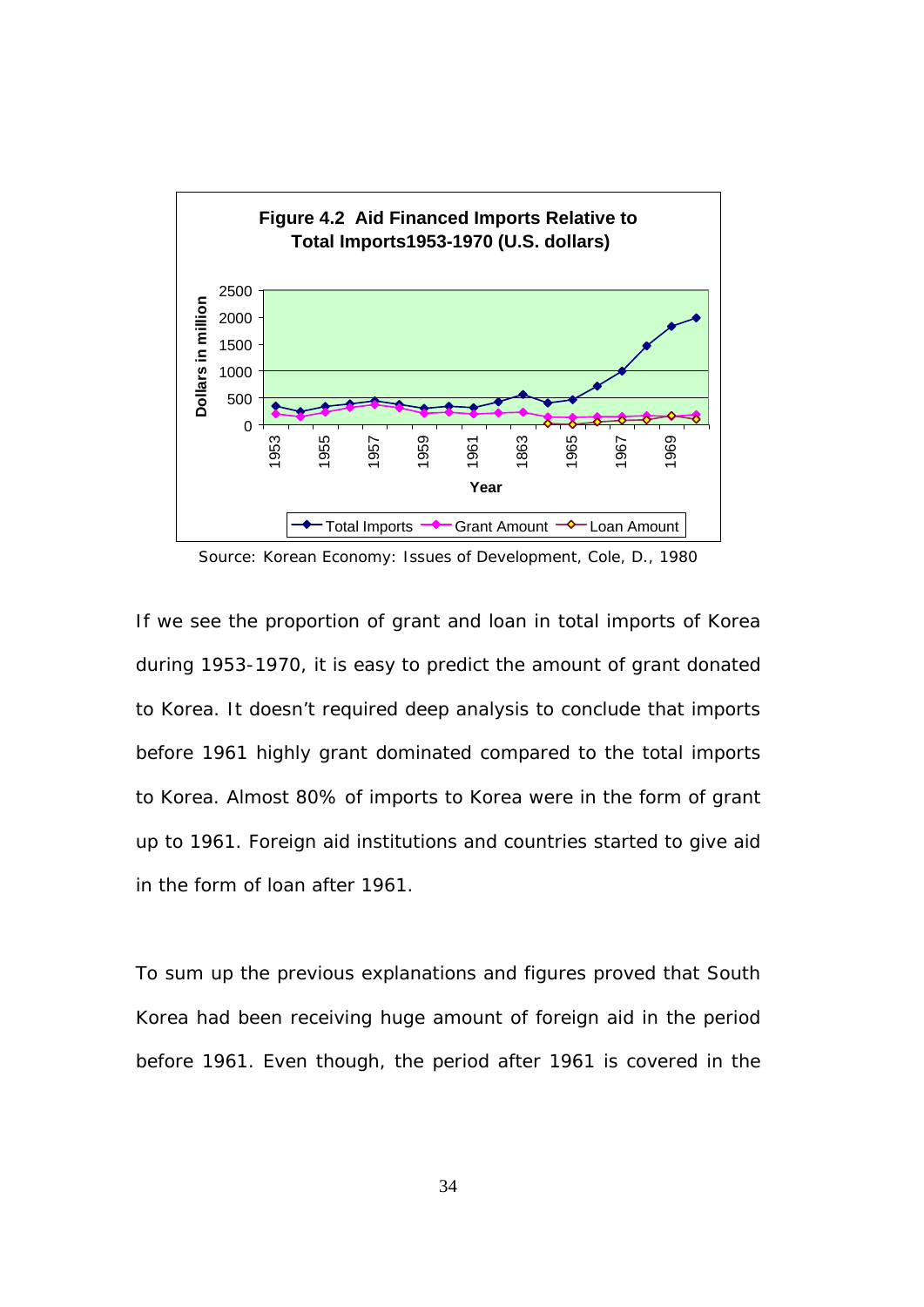

If we see the proportion of grant and loan in total imports of Korea during 1953-1970, it is easy to predict the amount of grant donated to Korea. It doesn't required deep analysis to conclude that imports before 1961 highly grant dominated compared to the total imports to Korea. Almost 80% of imports to Korea were in the form of grant up to 1961. Foreign aid institutions and countries started to give aid in the form of loan after 1961.

To sum up the previous explanations and figures proved that South Korea had been receiving huge amount of foreign aid in the period before 1961. Even though, the period after 1961 is covered in the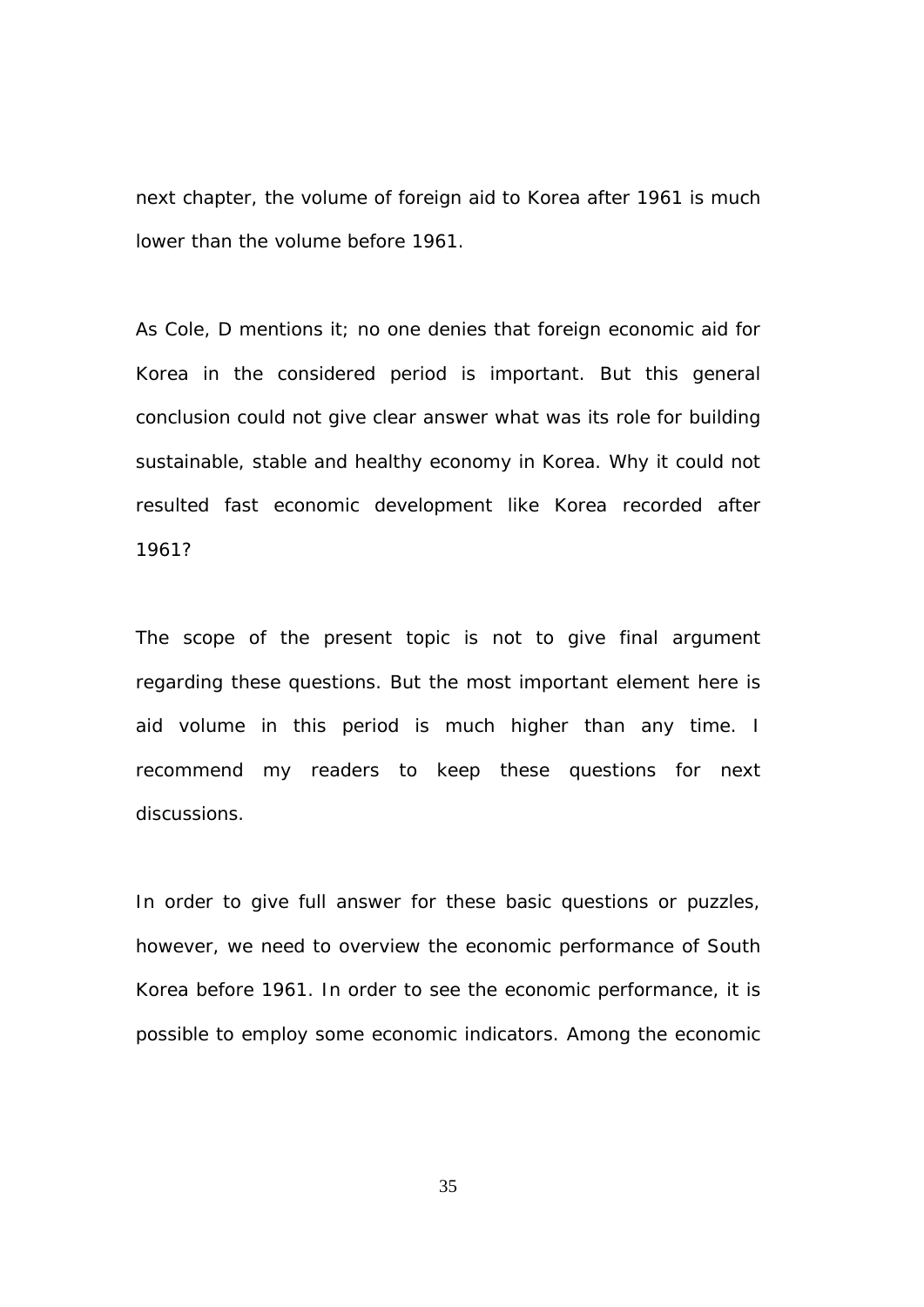next chapter, the volume of foreign aid to Korea after 1961 is much lower than the volume before 1961.

As Cole, D mentions it; no one denies that foreign economic aid for Korea in the considered period is important. But this general conclusion could not give clear answer what was its role for building sustainable, stable and healthy economy in Korea. Why it could not resulted fast economic development like Korea recorded after 1961?

The scope of the present topic is not to give final argument regarding these questions. But the most important element here is aid volume in this period is much higher than any time. I recommend my readers to keep these questions for next discussions.

In order to give full answer for these basic questions or puzzles, however, we need to overview the economic performance of South Korea before 1961. In order to see the economic performance, it is possible to employ some economic indicators. Among the economic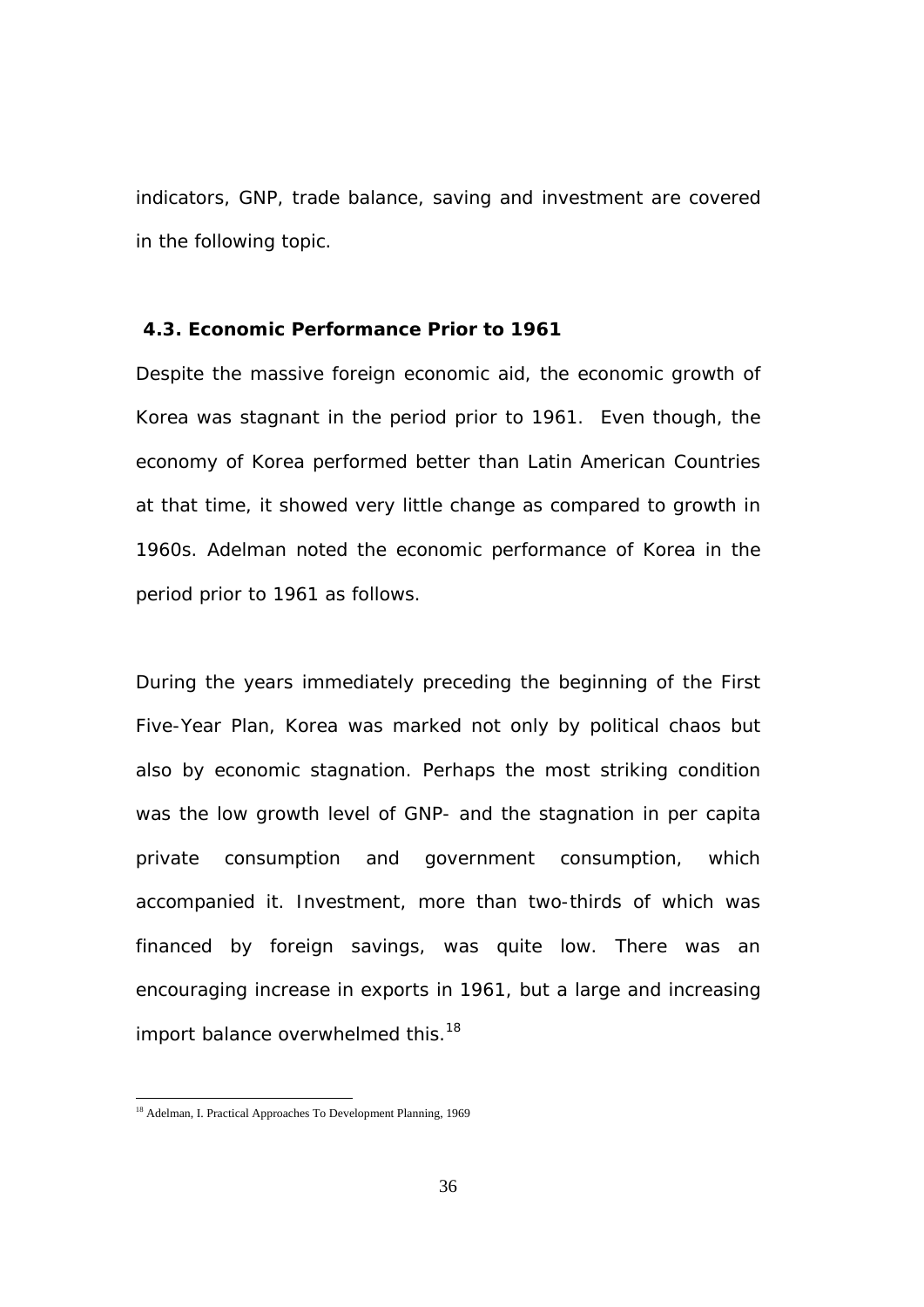indicators, GNP, trade balance, saving and investment are covered in the following topic.

#### **4.3. Economic Performance Prior to 1961**

Despite the massive foreign economic aid, the economic growth of Korea was stagnant in the period prior to 1961. Even though, the economy of Korea performed better than Latin American Countries at that time, it showed very little change as compared to growth in 1960s. Adelman noted the economic performance of Korea in the period prior to 1961 as follows.

During the years immediately preceding the beginning of the First Five-Year Plan, Korea was marked not only by political chaos but also by economic stagnation. Perhaps the most striking condition was the low growth level of GNP- and the stagnation in per capita private consumption and government consumption, which accompanied it. Investment, more than two-thirds of which was financed by foreign savings, was quite low. There was an encouraging increase in exports in 1961, but a large and increasing import balance overwhelmed this.<sup>18</sup>

<sup>&</sup>lt;sup>18</sup> Adelman, I. Practical Approaches To Development Planning, 1969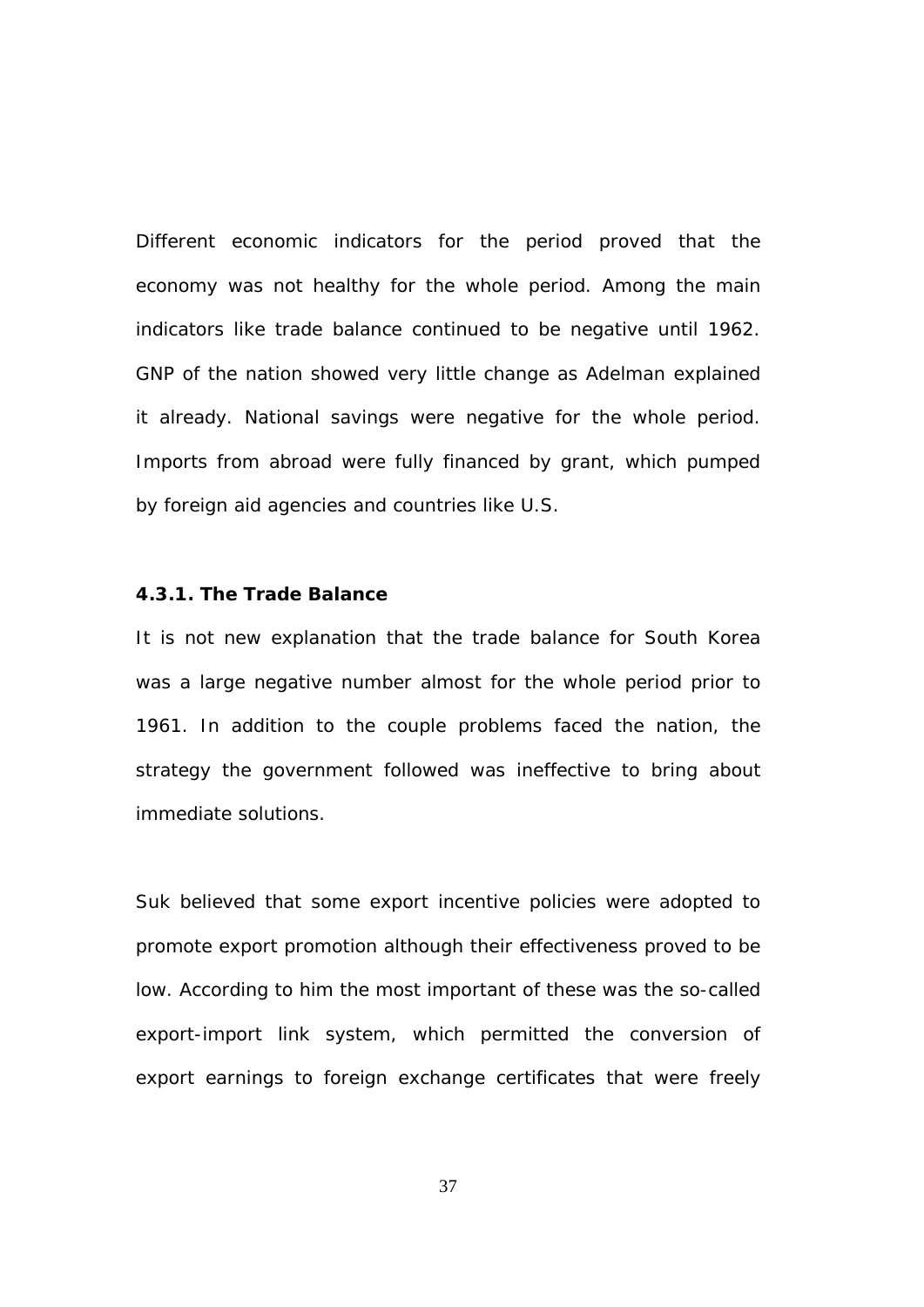Different economic indicators for the period proved that the economy was not healthy for the whole period. Among the main indicators like trade balance continued to be negative until 1962. GNP of the nation showed very little change as Adelman explained it already. National savings were negative for the whole period. Imports from abroad were fully financed by grant, which pumped by foreign aid agencies and countries like U.S.

# **4.3.1. The Trade Balance**

It is not new explanation that the trade balance for South Korea was a large negative number almost for the whole period prior to 1961. In addition to the couple problems faced the nation, the strategy the government followed was ineffective to bring about immediate solutions.

Suk believed that some export incentive policies were adopted to promote export promotion although their effectiveness proved to be low. According to him the most important of these was the so-called export-import link system, which permitted the conversion of export earnings to foreign exchange certificates that were freely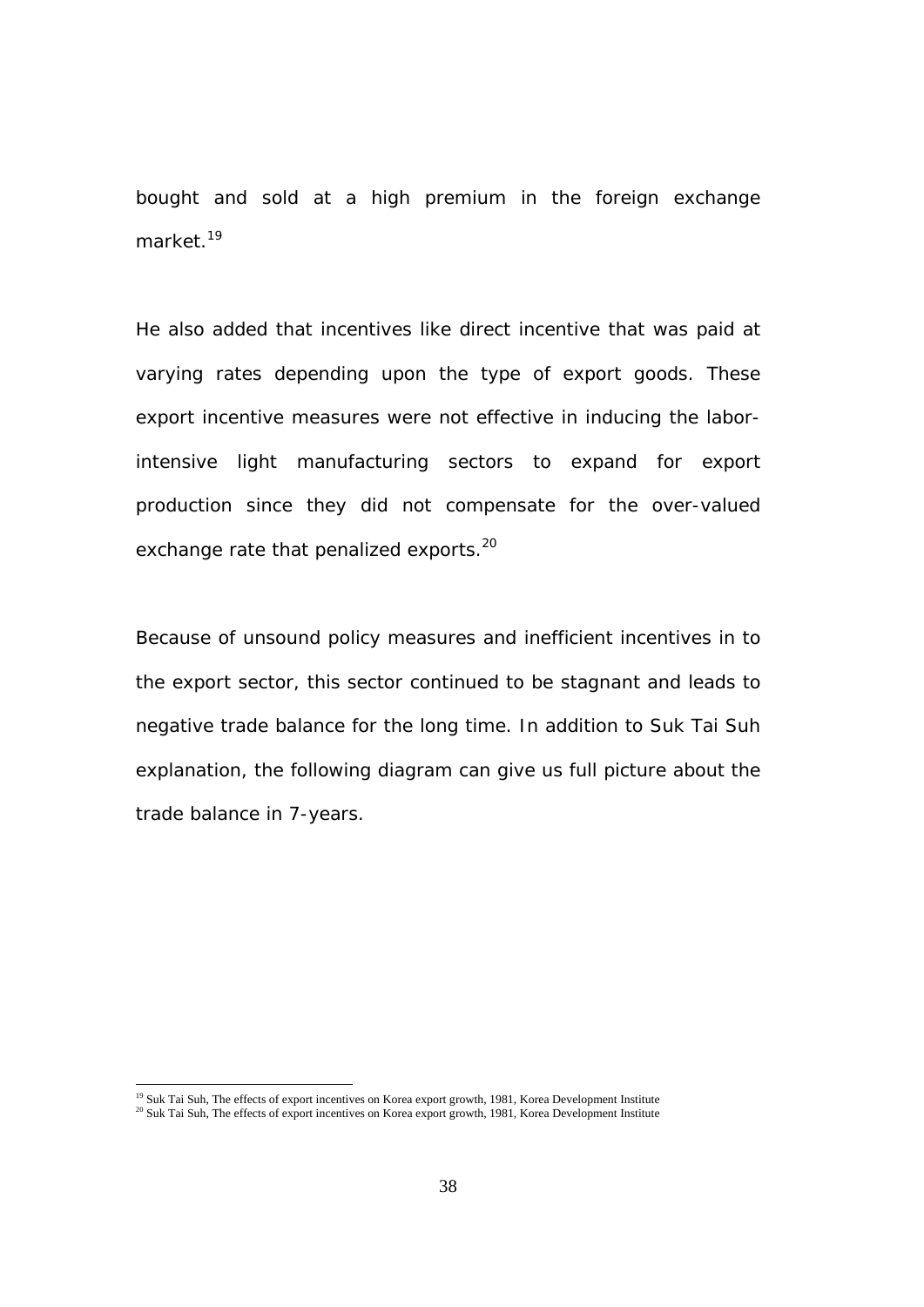bought and sold at a high premium in the foreign exchange market $19$ 

He also added that incentives like direct incentive that was paid at varying rates depending upon the type of export goods. These export incentive measures were not effective in inducing the laborintensive light manufacturing sectors to expand for export production since they did not compensate for the over-valued exchange rate that penalized exports.<sup>20</sup>

Because of unsound policy measures and inefficient incentives in to the export sector, this sector continued to be stagnant and leads to negative trade balance for the long time. In addition to Suk Tai Suh explanation, the following diagram can give us full picture about the trade balance in 7-years.

<sup>&</sup>lt;sup>19</sup> Suk Tai Suh, The effects of export incentives on Korea export growth, 1981, Korea Development Institute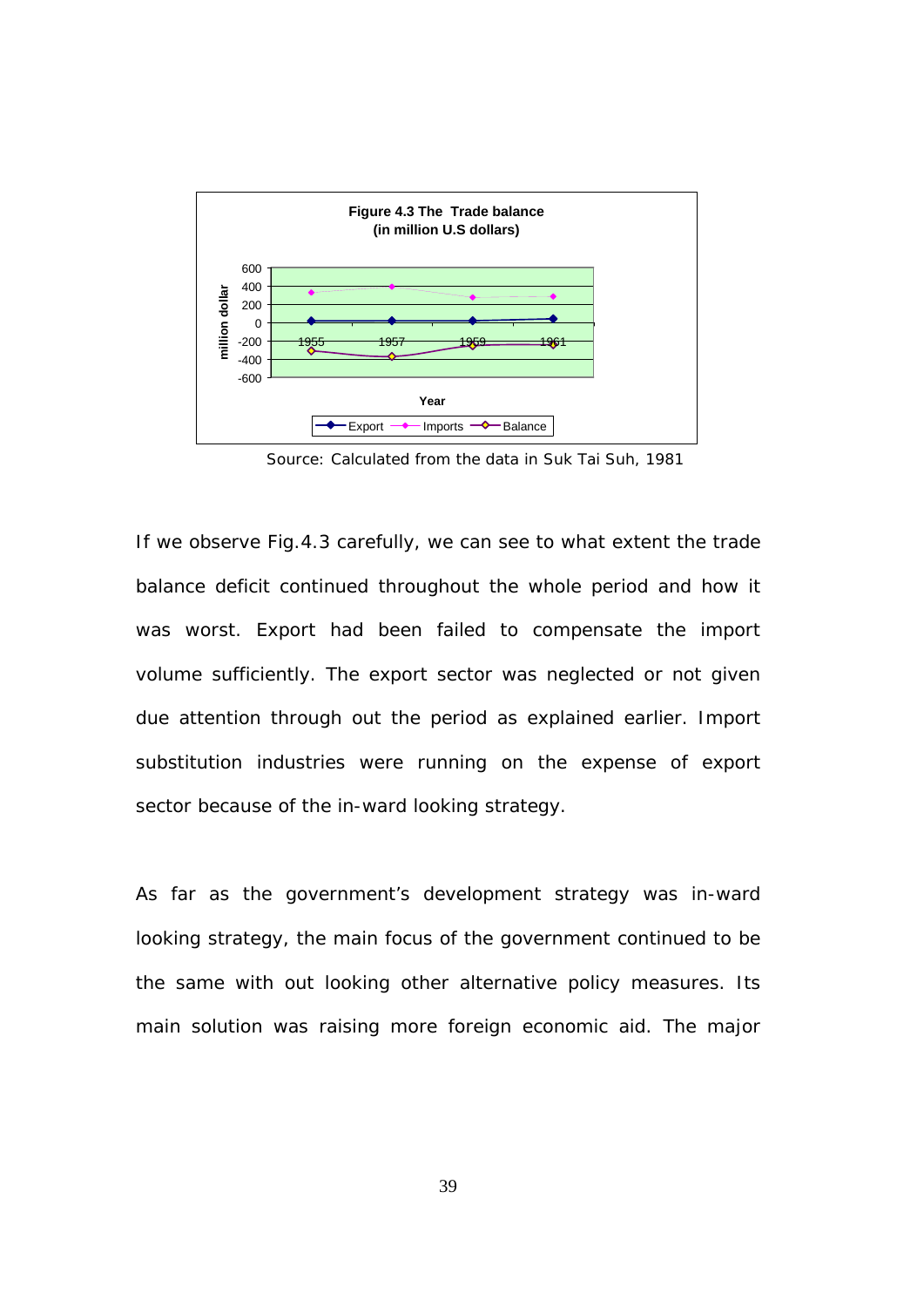

Source: Calculated from the data in Suk Tai Suh, 1981

If we observe Fig.4.3 carefully, we can see to what extent the trade balance deficit continued throughout the whole period and how it was worst. Export had been failed to compensate the import volume sufficiently. The export sector was neglected or not given due attention through out the period as explained earlier. Import substitution industries were running on the expense of export sector because of the in-ward looking strategy.

As far as the government's development strategy was in-ward looking strategy, the main focus of the government continued to be the same with out looking other alternative policy measures. Its main solution was raising more foreign economic aid. The major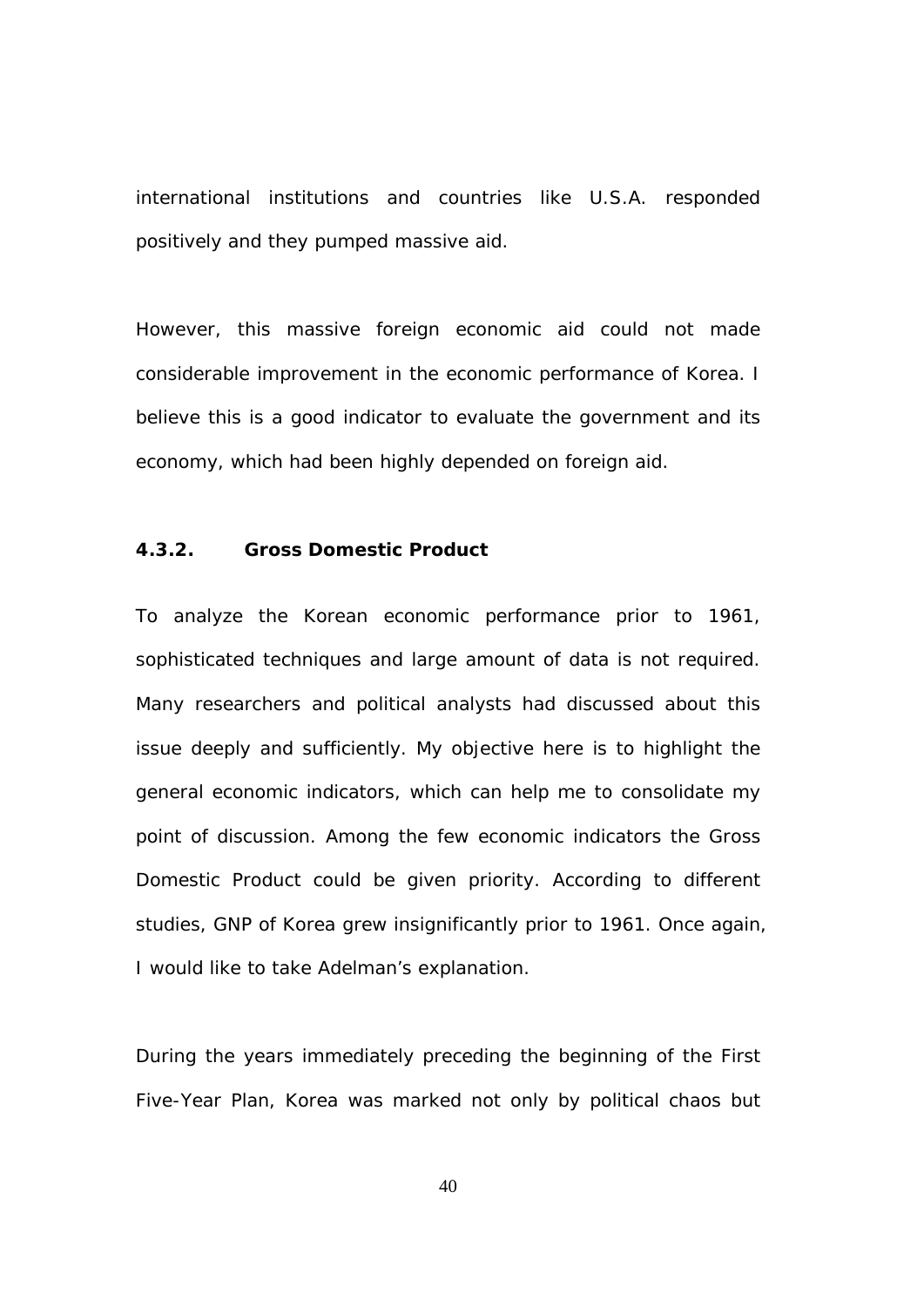international institutions and countries like U.S.A. responded positively and they pumped massive aid.

However, this massive foreign economic aid could not made considerable improvement in the economic performance of Korea. I believe this is a good indicator to evaluate the government and its economy, which had been highly depended on foreign aid.

### **4.3.2. Gross Domestic Product**

To analyze the Korean economic performance prior to 1961, sophisticated techniques and large amount of data is not required. Many researchers and political analysts had discussed about this issue deeply and sufficiently. My objective here is to highlight the general economic indicators, which can help me to consolidate my point of discussion. Among the few economic indicators the Gross Domestic Product could be given priority. According to different studies, GNP of Korea grew insignificantly prior to 1961. Once again, I would like to take Adelman's explanation.

During the years immediately preceding the beginning of the First Five-Year Plan, Korea was marked not only by political chaos but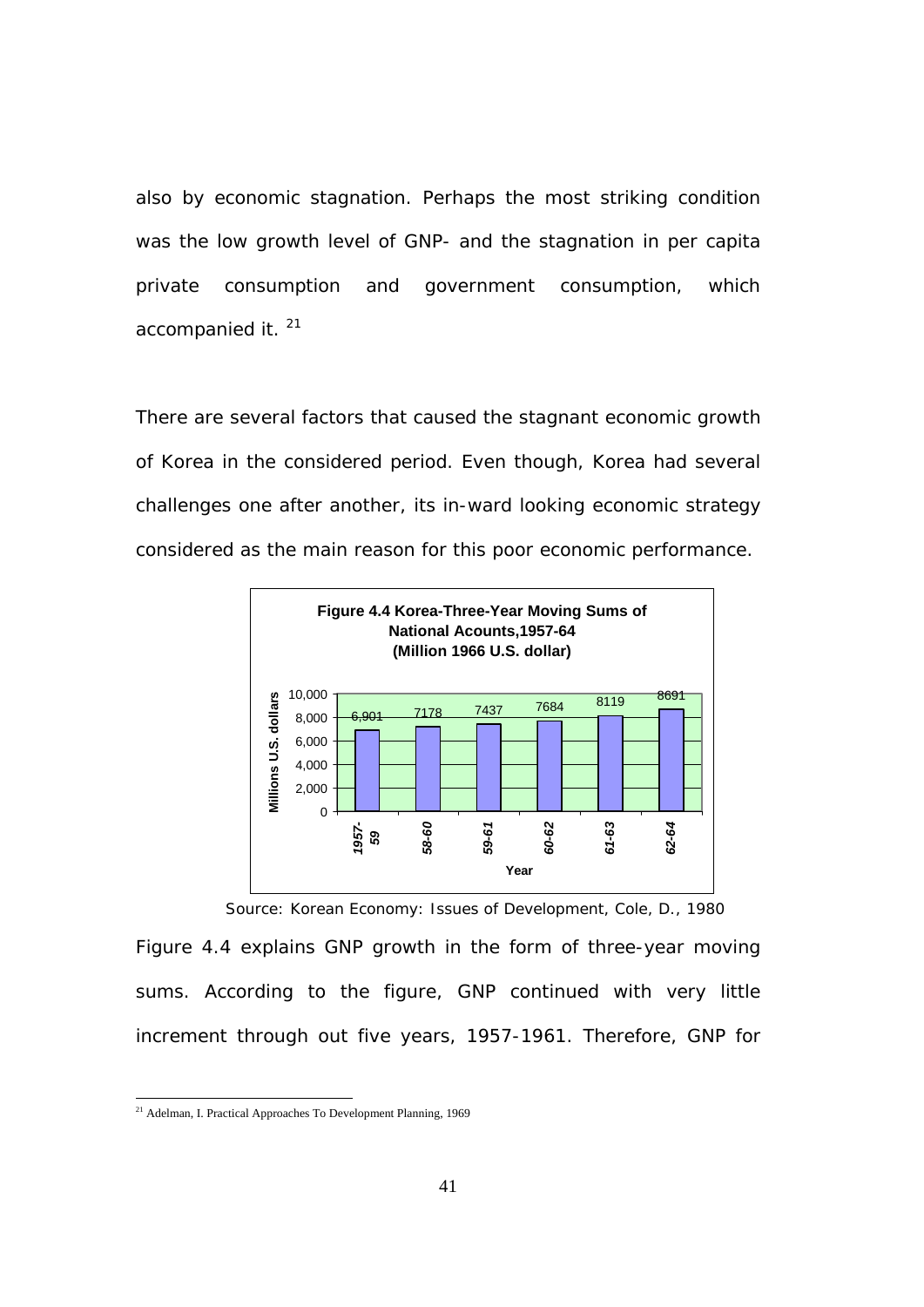also by economic stagnation. Perhaps the most striking condition was the low growth level of GNP- and the stagnation in per capita private consumption and government consumption, which accompanied it.<sup>21</sup>

There are several factors that caused the stagnant economic growth of Korea in the considered period. Even though, Korea had several challenges one after another, its in-ward looking economic strategy considered as the main reason for this poor economic performance.



*Source: Korean Economy: Issues of Development, Cole, D., 1980*

Figure 4.4 explains GNP growth in the form of three-year moving sums. According to the figure, GNP continued with very little increment through out five years, 1957-1961. Therefore, GNP for

 $21$  Adelman, I. Practical Approaches To Development Planning, 1969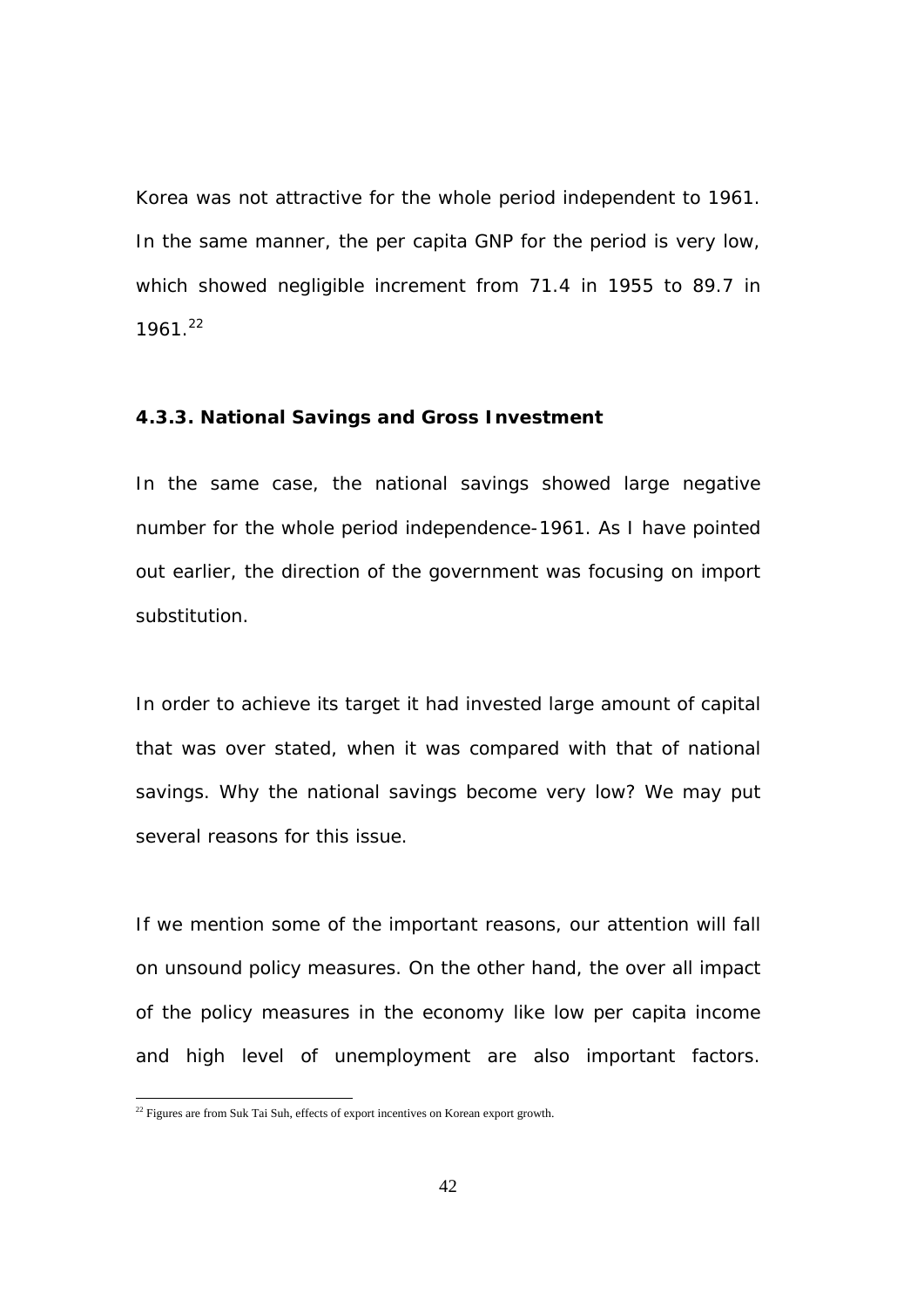Korea was not attractive for the whole period independent to 1961. In the same manner, the per capita GNP for the period is very low, which showed negligible increment from 71.4 in 1955 to 89.7 in  $1961.<sup>22</sup>$ 

# **4.3.3. National Savings and Gross Investment**

In the same case, the national savings showed large negative number for the whole period independence-1961. As I have pointed out earlier, the direction of the government was focusing on import substitution.

In order to achieve its target it had invested large amount of capital that was over stated, when it was compared with that of national savings. Why the national savings become very low? We may put several reasons for this issue.

If we mention some of the important reasons, our attention will fall on unsound policy measures. On the other hand, the over all impact of the policy measures in the economy like low per capita income and high level of unemployment are also important factors.

 $22$  Figures are from Suk Tai Suh, effects of export incentives on Korean export growth.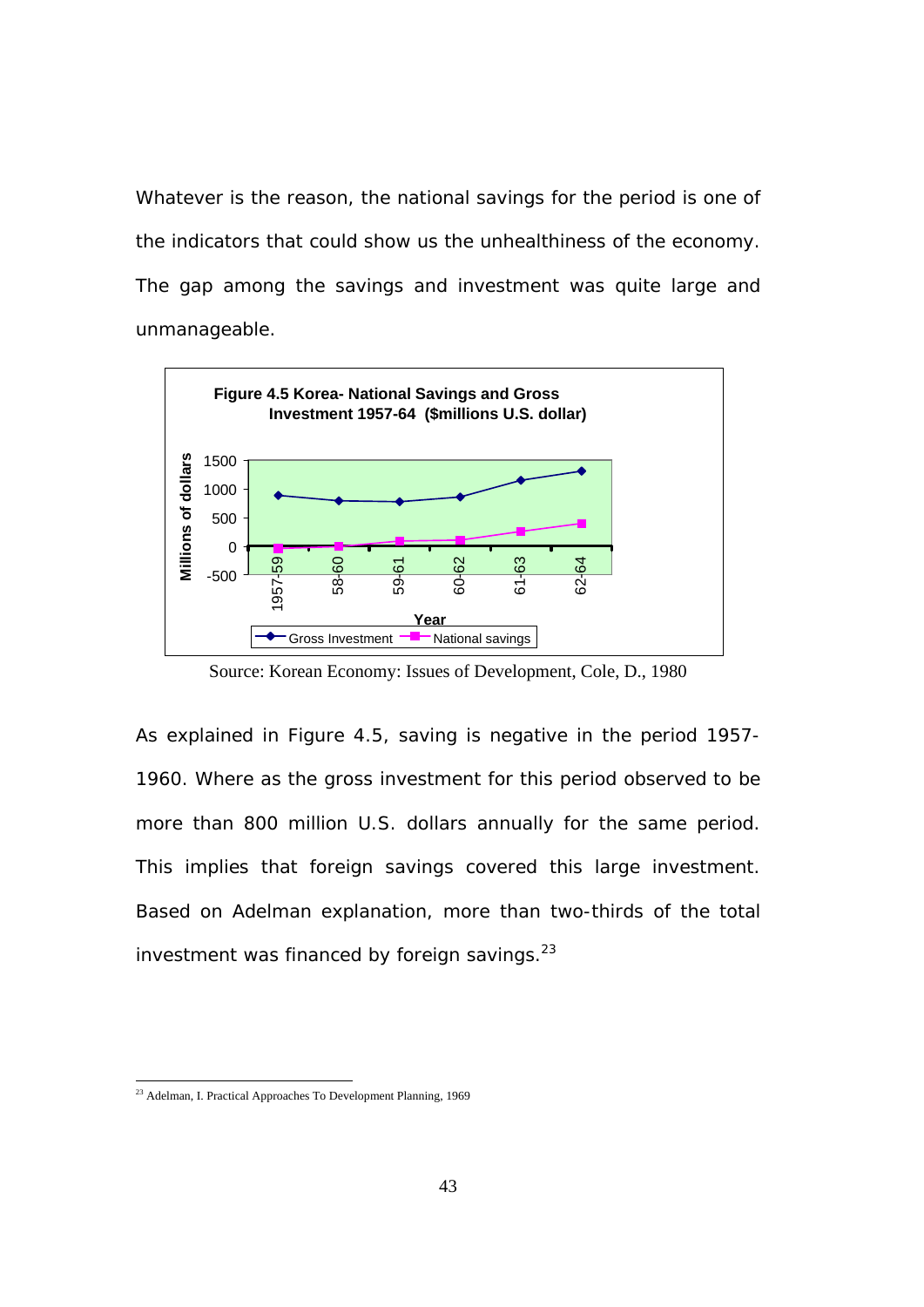Whatever is the reason, the national savings for the period is one of the indicators that could show us the unhealthiness of the economy. The gap among the savings and investment was quite large and unmanageable.



Source: Korean Economy: Issues of Development, Cole, D., 1980

As explained in Figure 4.5, saving is negative in the period 1957- 1960. Where as the gross investment for this period observed to be more than 800 million U.S. dollars annually for the same period. This implies that foreign savings covered this large investment. Based on Adelman explanation, more than two-thirds of the total investment was financed by foreign savings. $^{23}$ 

l

<sup>&</sup>lt;sup>23</sup> Adelman, I. Practical Approaches To Development Planning, 1969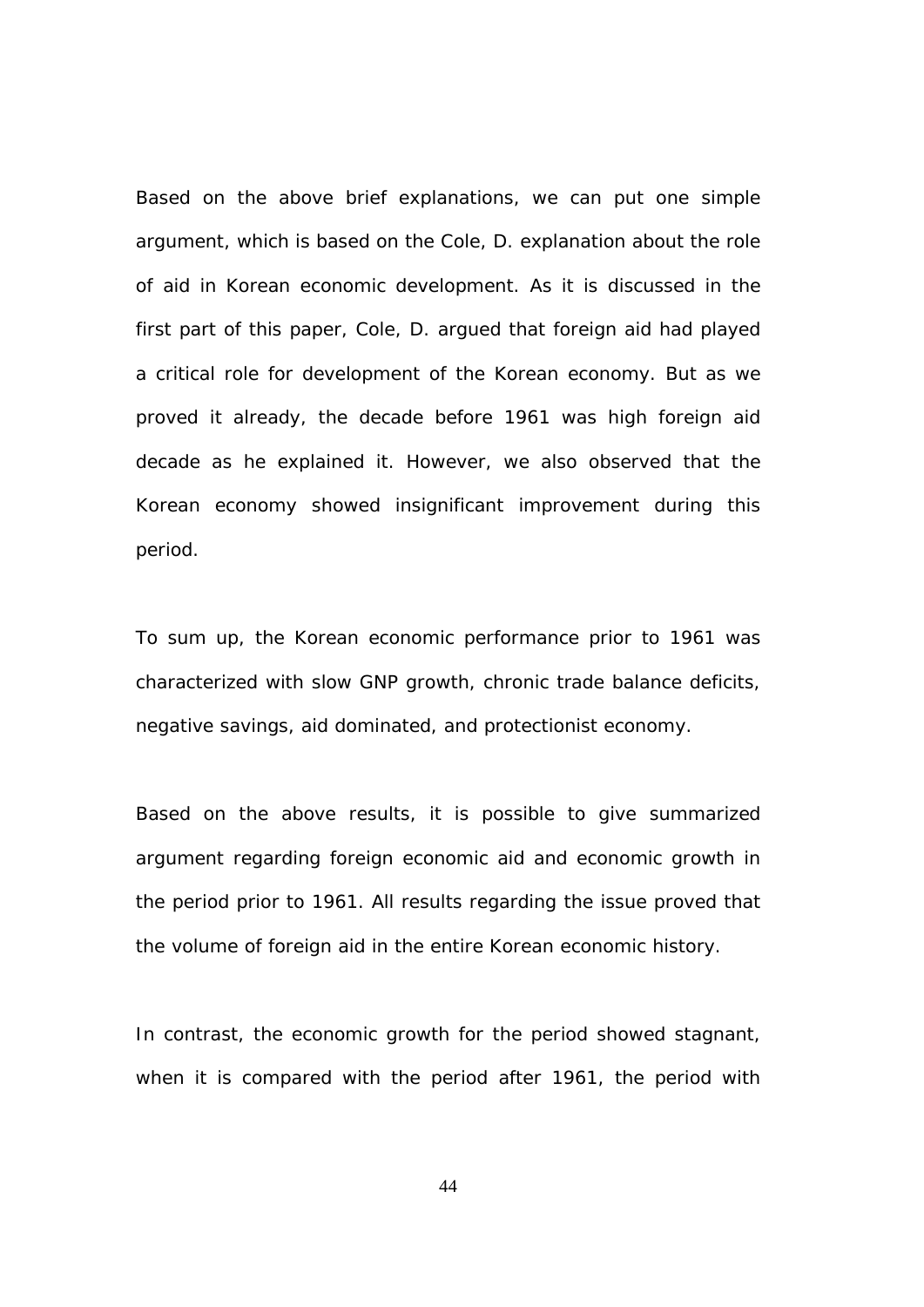Based on the above brief explanations, we can put one simple argument, which is based on the Cole, D. explanation about the role of aid in Korean economic development. As it is discussed in the first part of this paper, Cole, D. argued that foreign aid had played a critical role for development of the Korean economy. But as we proved it already, the decade before 1961 was high foreign aid decade as he explained it. However, we also observed that the Korean economy showed insignificant improvement during this period.

To sum up, the Korean economic performance prior to 1961 was characterized with slow GNP growth, chronic trade balance deficits, negative savings, aid dominated, and protectionist economy.

Based on the above results, it is possible to give summarized argument regarding foreign economic aid and economic growth in the period prior to 1961. All results regarding the issue proved that the volume of foreign aid in the entire Korean economic history.

In contrast, the economic growth for the period showed stagnant, when it is compared with the period after 1961, the period with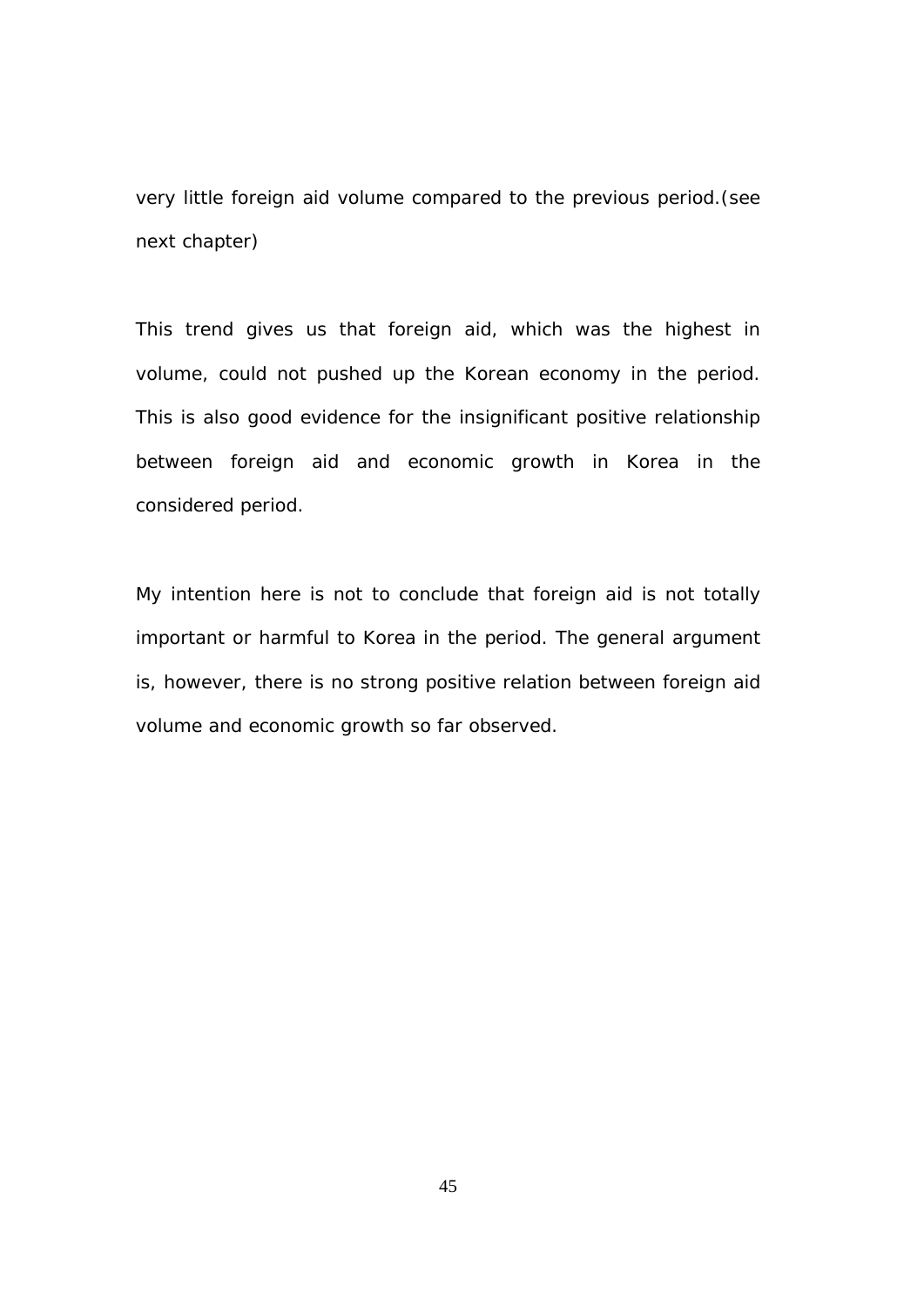very little foreign aid volume compared to the previous period.(see next chapter)

This trend gives us that foreign aid, which was the highest in volume, could not pushed up the Korean economy in the period. This is also good evidence for the insignificant positive relationship between foreign aid and economic growth in Korea in the considered period.

My intention here is not to conclude that foreign aid is not totally important or harmful to Korea in the period. The general argument is, however, there is no strong positive relation between foreign aid volume and economic growth so far observed.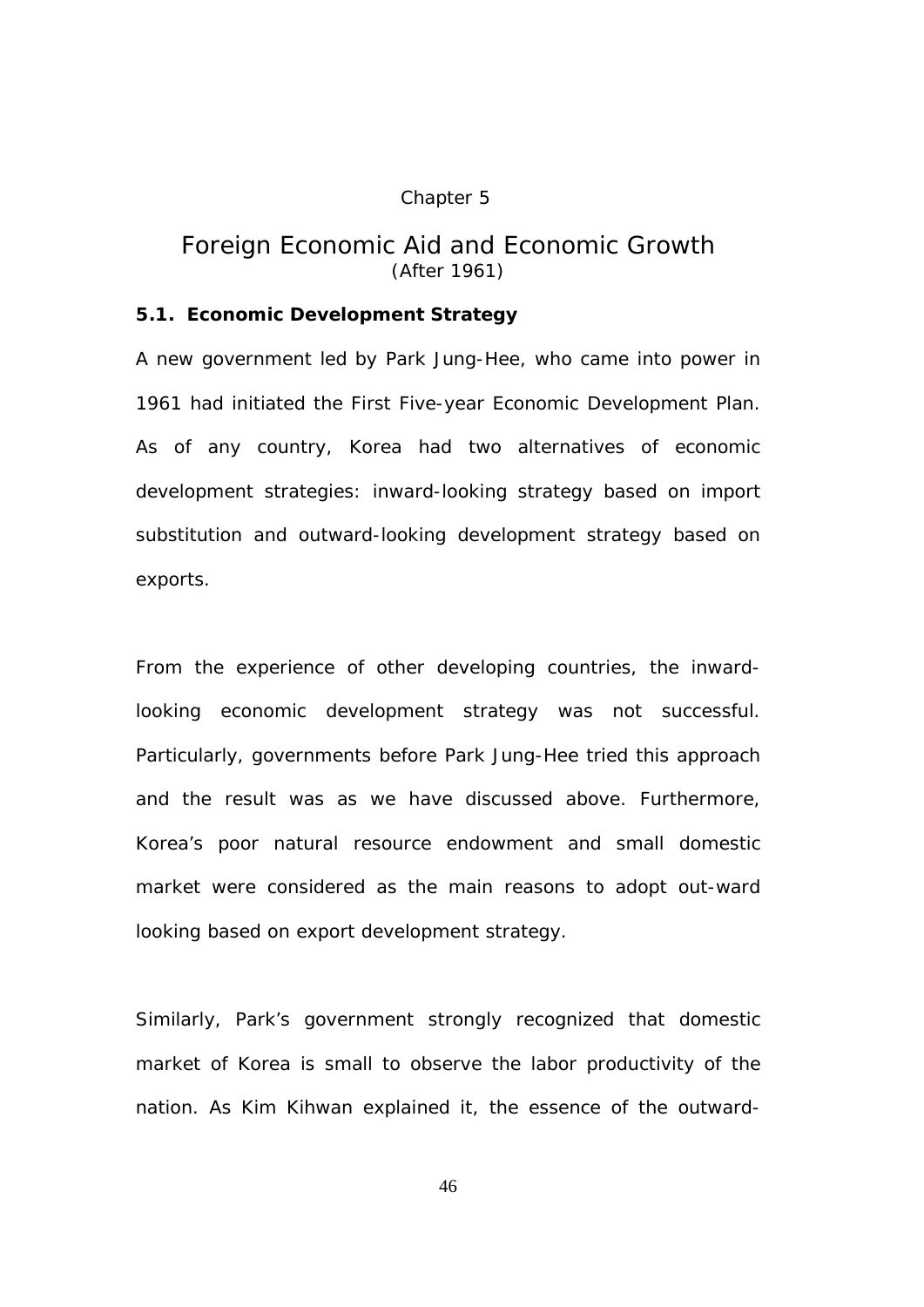## Chapter 5

# *Foreign Economic Aid and Economic Growth (After 1961)*

# **5.1. Economic Development Strategy**

A new government led by Park Jung-Hee, who came into power in 1961 had initiated the First Five-year Economic Development Plan. As of any country, Korea had two alternatives of economic development strategies: inward-looking strategy based on import substitution and outward-looking development strategy based on exports.

From the experience of other developing countries, the inwardlooking economic development strategy was not successful. Particularly, governments before Park Jung-Hee tried this approach and the result was as we have discussed above. Furthermore, Korea's poor natural resource endowment and small domestic market were considered as the main reasons to adopt out-ward looking based on export development strategy.

Similarly, Park's government strongly recognized that domestic market of Korea is small to observe the labor productivity of the nation. As Kim Kihwan explained it, the essence of the outward-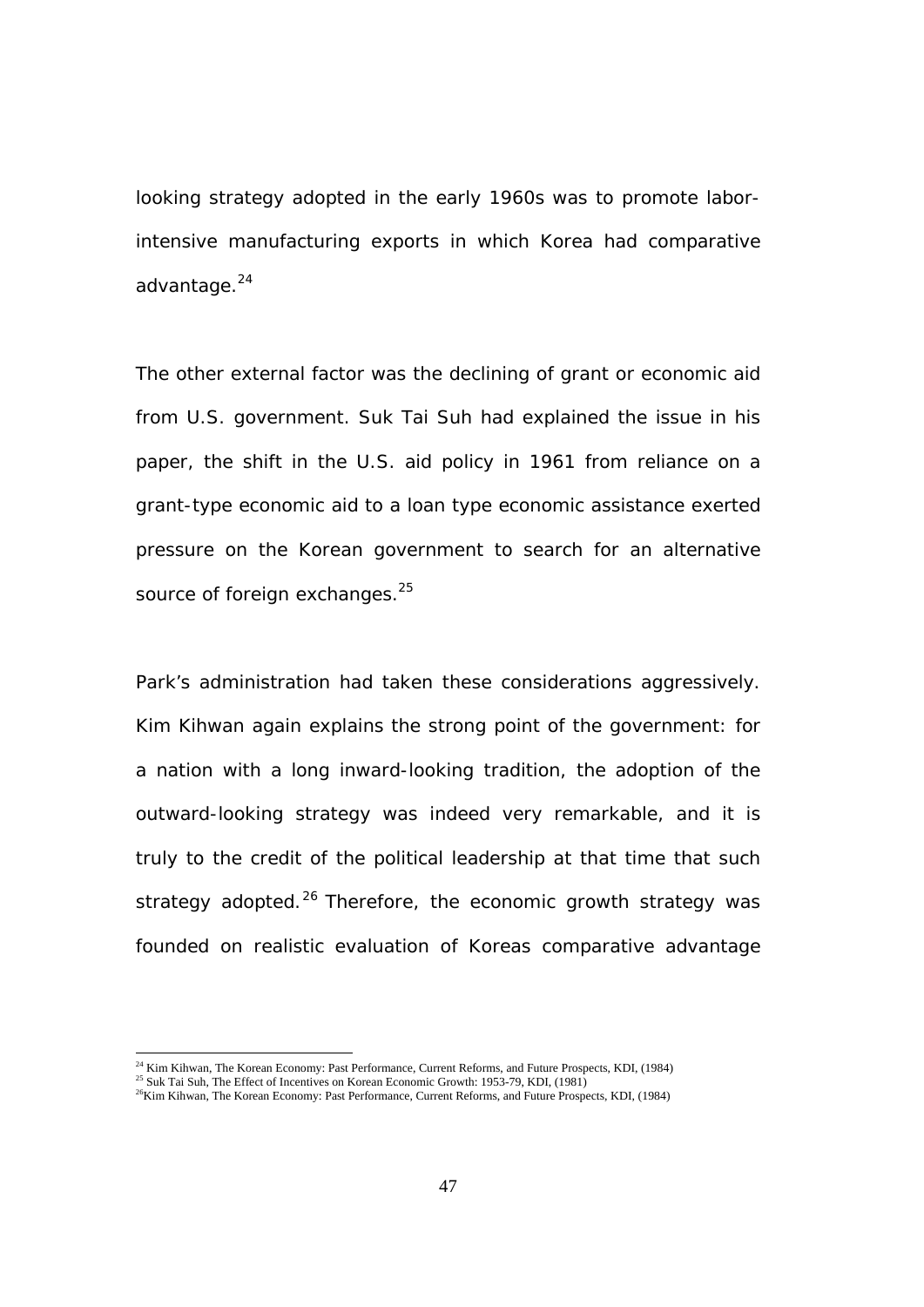looking strategy adopted in the early 1960s was to promote laborintensive manufacturing exports in which Korea had comparative advantage.<sup>24</sup>

The other external factor was the declining of grant or economic aid from U.S. government. Suk Tai Suh had explained the issue in his paper, the shift in the U.S. aid policy in 1961 from reliance on a grant-type economic aid to a loan type economic assistance exerted pressure on the Korean government to search for an alternative source of foreign exchanges.<sup>25</sup>

Park's administration had taken these considerations aggressively. Kim Kihwan again explains the strong point of the government: for a nation with a long inward-looking tradition, the adoption of the outward-looking strategy was indeed very remarkable, and it is truly to the credit of the political leadership at that time that such strategy adopted.<sup>26</sup> Therefore, the economic growth strategy was founded on realistic evaluation of Koreas comparative advantage

 $\overline{a}$ 

<sup>&</sup>lt;sup>24</sup> Kim Kihwan, The Korean Economy: Past Performance, Current Reforms, and Future Prospects, KDI, (1984)

<sup>&</sup>lt;sup>25</sup> Suk Tai Suh, The Effect of Incentives on Korean Economic Growth: 1953-79, KDI, (1981)

 $26$ Kim Kihwan, The Korean Economy: Past Performance, Current Reforms, and Future Prospects, KDI, (1984)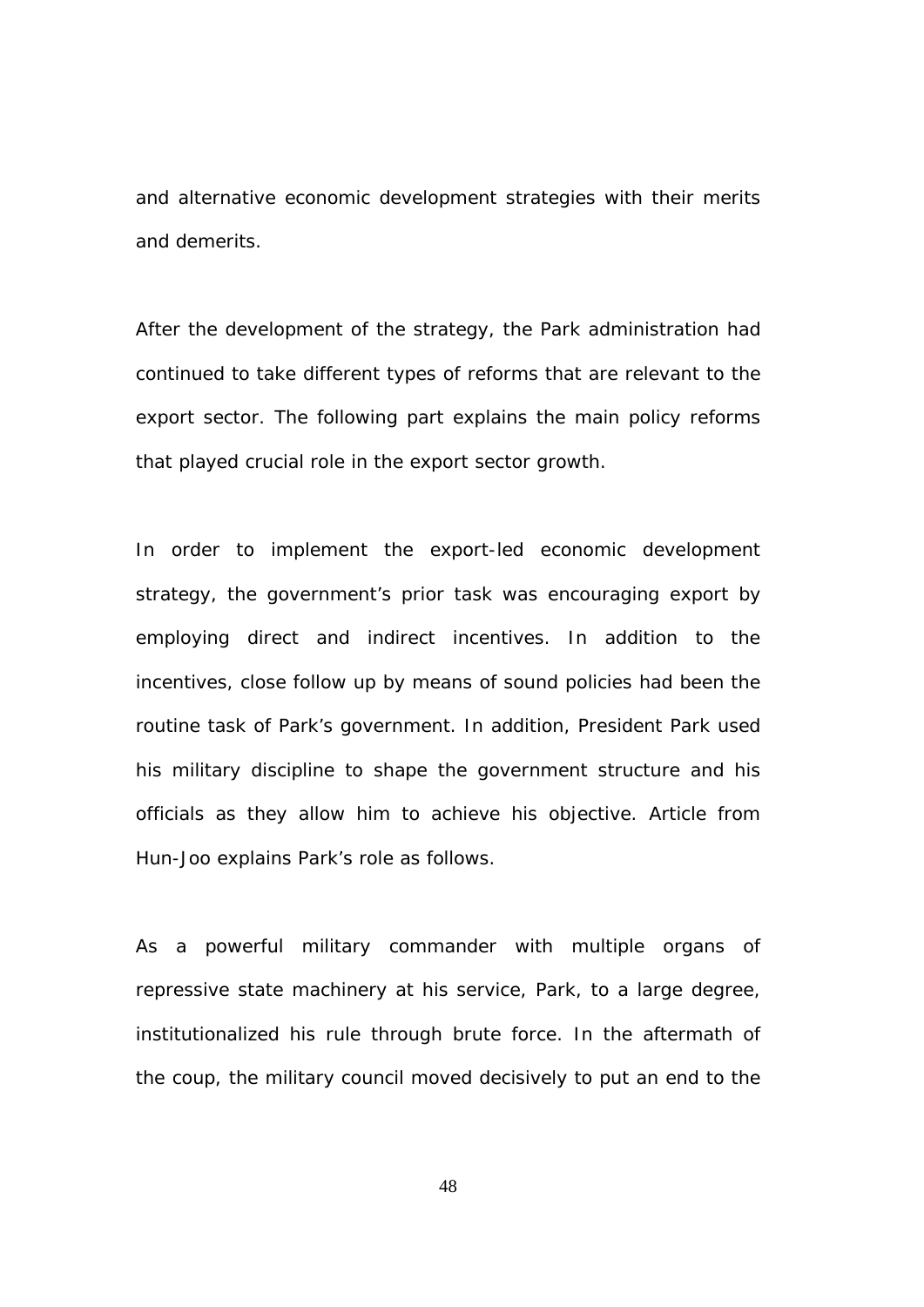and alternative economic development strategies with their merits and demerits.

After the development of the strategy, the Park administration had continued to take different types of reforms that are relevant to the export sector. The following part explains the main policy reforms that played crucial role in the export sector growth.

In order to implement the export-led economic development strategy, the government's prior task was encouraging export by employing direct and indirect incentives. In addition to the incentives, close follow up by means of sound policies had been the routine task of Park's government. In addition, President Park used his military discipline to shape the government structure and his officials as they allow him to achieve his objective. Article from Hun-Joo explains Park's role as follows.

As a powerful military commander with multiple organs of repressive state machinery at his service, Park, to a large degree, institutionalized his rule through brute force. In the aftermath of the coup, the military council moved decisively to put an end to the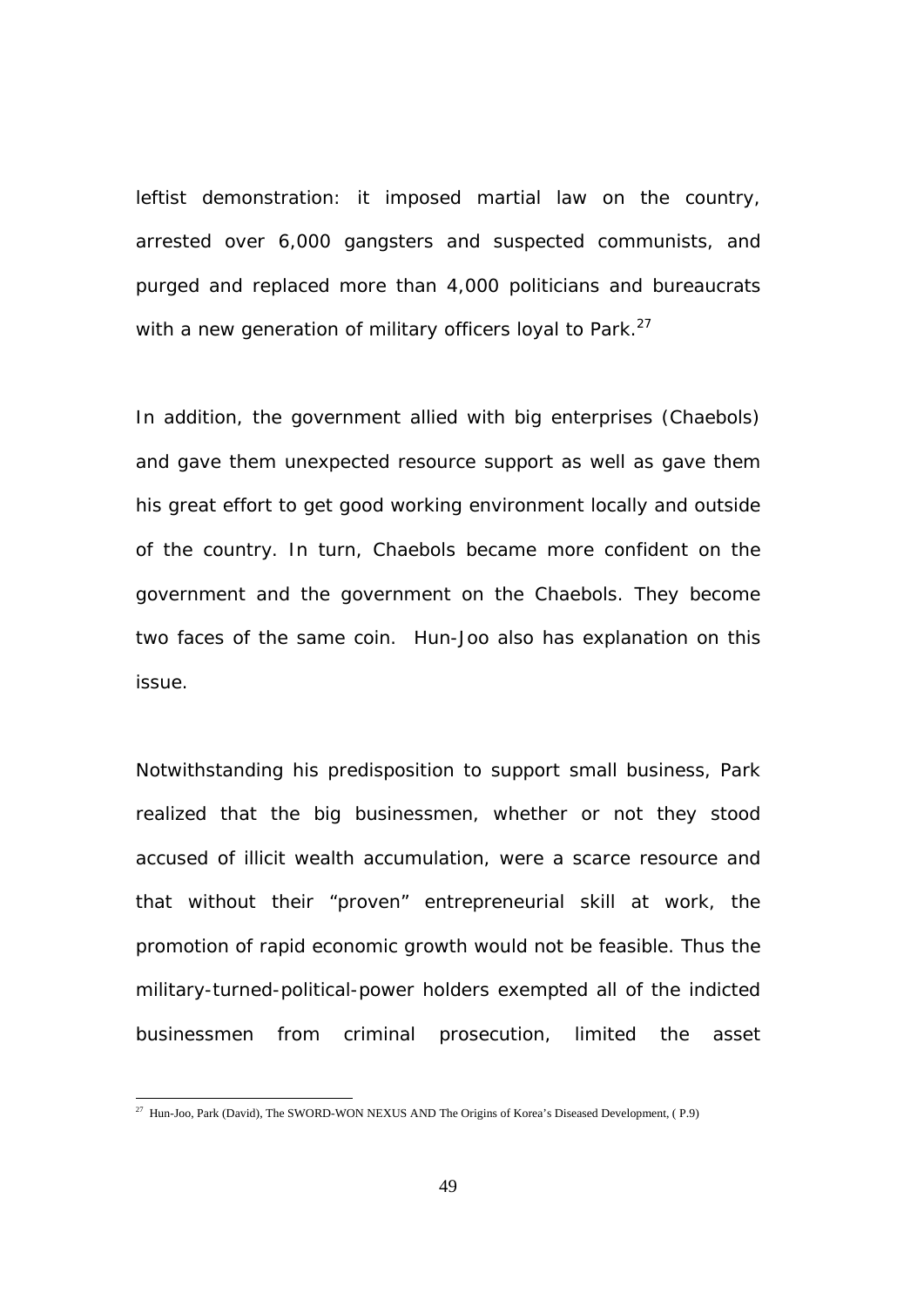leftist demonstration: it imposed martial law on the country, arrested over 6,000 gangsters and suspected communists, and purged and replaced more than 4,000 politicians and bureaucrats with a new generation of military officers loyal to Park. $27$ 

In addition, the government allied with big enterprises (Chaebols) and gave them unexpected resource support as well as gave them his great effort to get good working environment locally and outside of the country. In turn, Chaebols became more confident on the government and the government on the Chaebols. They become two faces of the same coin. Hun-Joo also has explanation on this issue.

Notwithstanding his predisposition to support small business, Park realized that the big businessmen, whether or not they stood accused of illicit wealth accumulation, were a scarce resource and that without their "proven" entrepreneurial skill at work, the promotion of rapid economic growth would not be feasible. Thus the military-turned-political-power holders exempted all of the indicted businessmen from criminal prosecution, limited the asset

 $^{27}$  Hun-Joo, Park (David), The SWORD-WON NEXUS AND The Origins of Korea's Diseased Development, (P.9)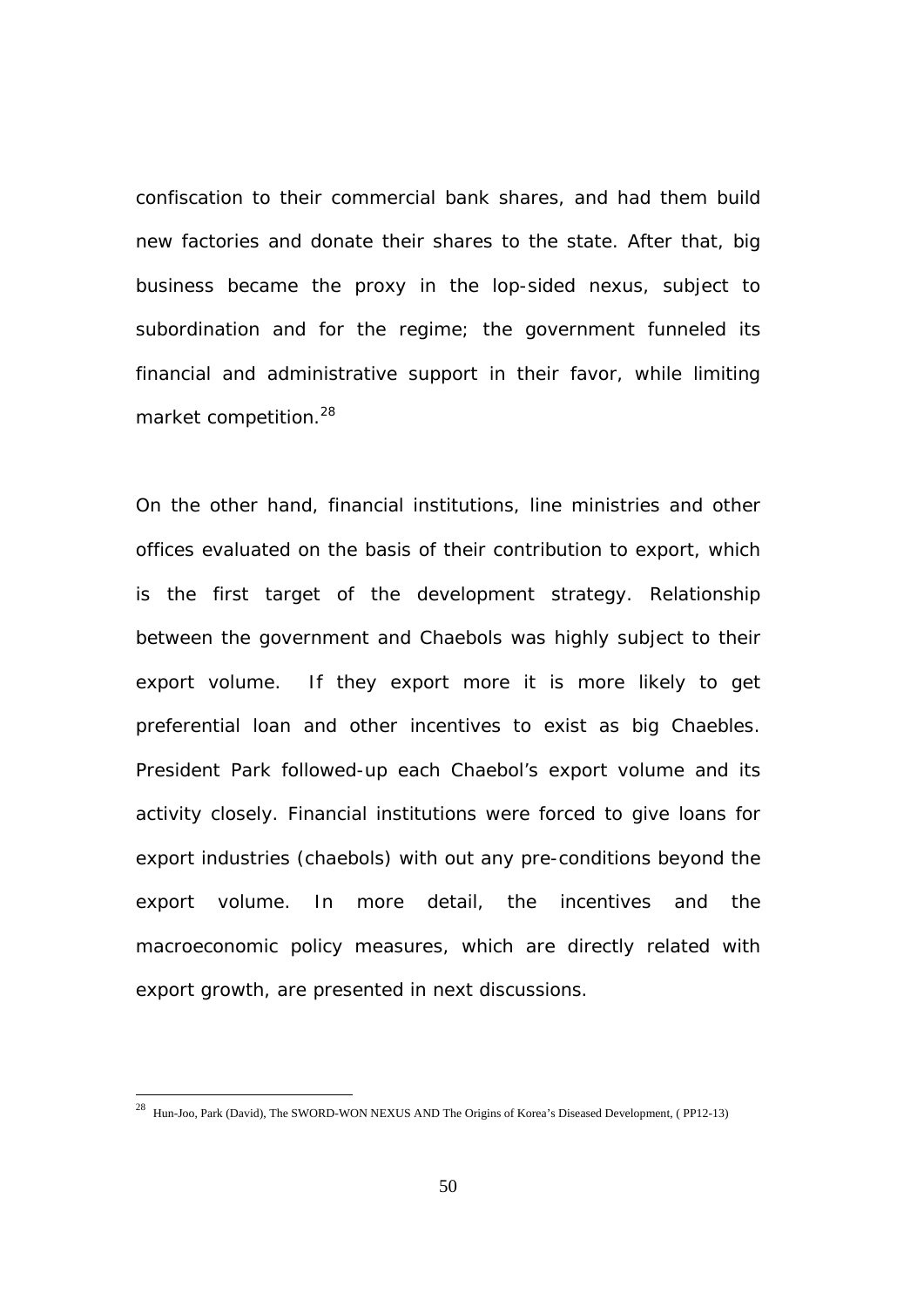confiscation to their commercial bank shares, and had them build new factories and donate their shares to the state. After that, big business became the proxy in the lop-sided nexus, subject to subordination and for the regime; the government funneled its financial and administrative support in their favor, while limiting market competition.28

On the other hand, financial institutions, line ministries and other offices evaluated on the basis of their contribution to export, which is the first target of the development strategy. Relationship between the government and Chaebols was highly subject to their export volume. If they export more it is more likely to get preferential loan and other incentives to exist as big Chaebles. President Park followed-up each Chaebol's export volume and its activity closely. Financial institutions were forced to give loans for export industries (chaebols) with out any pre-conditions beyond the export volume. In more detail, the incentives and the macroeconomic policy measures, which are directly related with export growth, are presented in next discussions.

 $^{28}$  Hun-Joo, Park (David), The SWORD-WON NEXUS AND The Origins of Korea's Diseased Development, (PP12-13)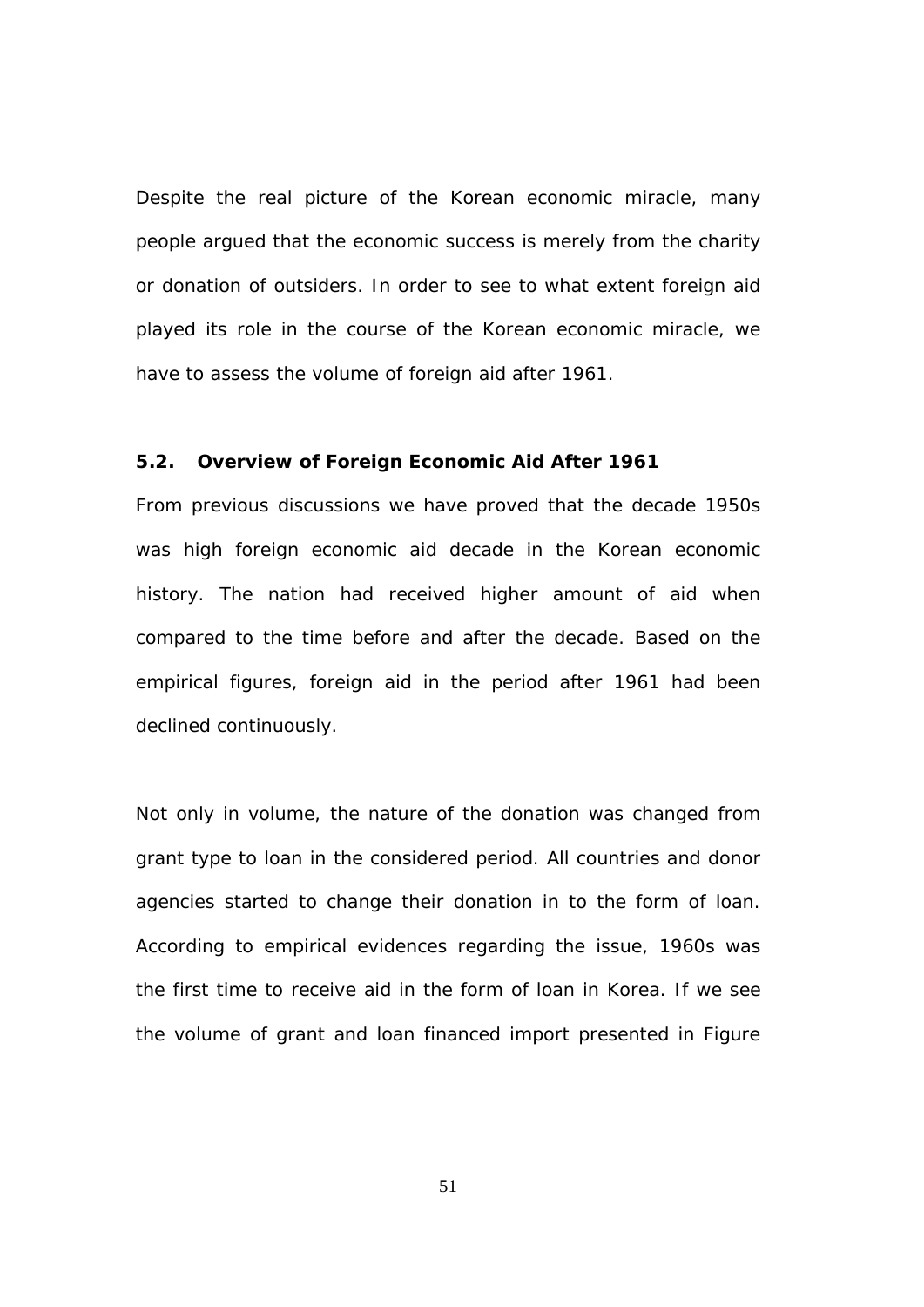Despite the real picture of the Korean economic miracle, many people argued that the economic success is merely from the charity or donation of outsiders. In order to see to what extent foreign aid played its role in the course of the Korean economic miracle, we have to assess the volume of foreign aid after 1961.

#### **5.2. Overview of Foreign Economic Aid After 1961**

From previous discussions we have proved that the decade 1950s was high foreign economic aid decade in the Korean economic history. The nation had received higher amount of aid when compared to the time before and after the decade. Based on the empirical figures, foreign aid in the period after 1961 had been declined continuously.

Not only in volume, the nature of the donation was changed from grant type to loan in the considered period. All countries and donor agencies started to change their donation in to the form of loan. According to empirical evidences regarding the issue, 1960s was the first time to receive aid in the form of loan in Korea. If we see the volume of grant and loan financed import presented in Figure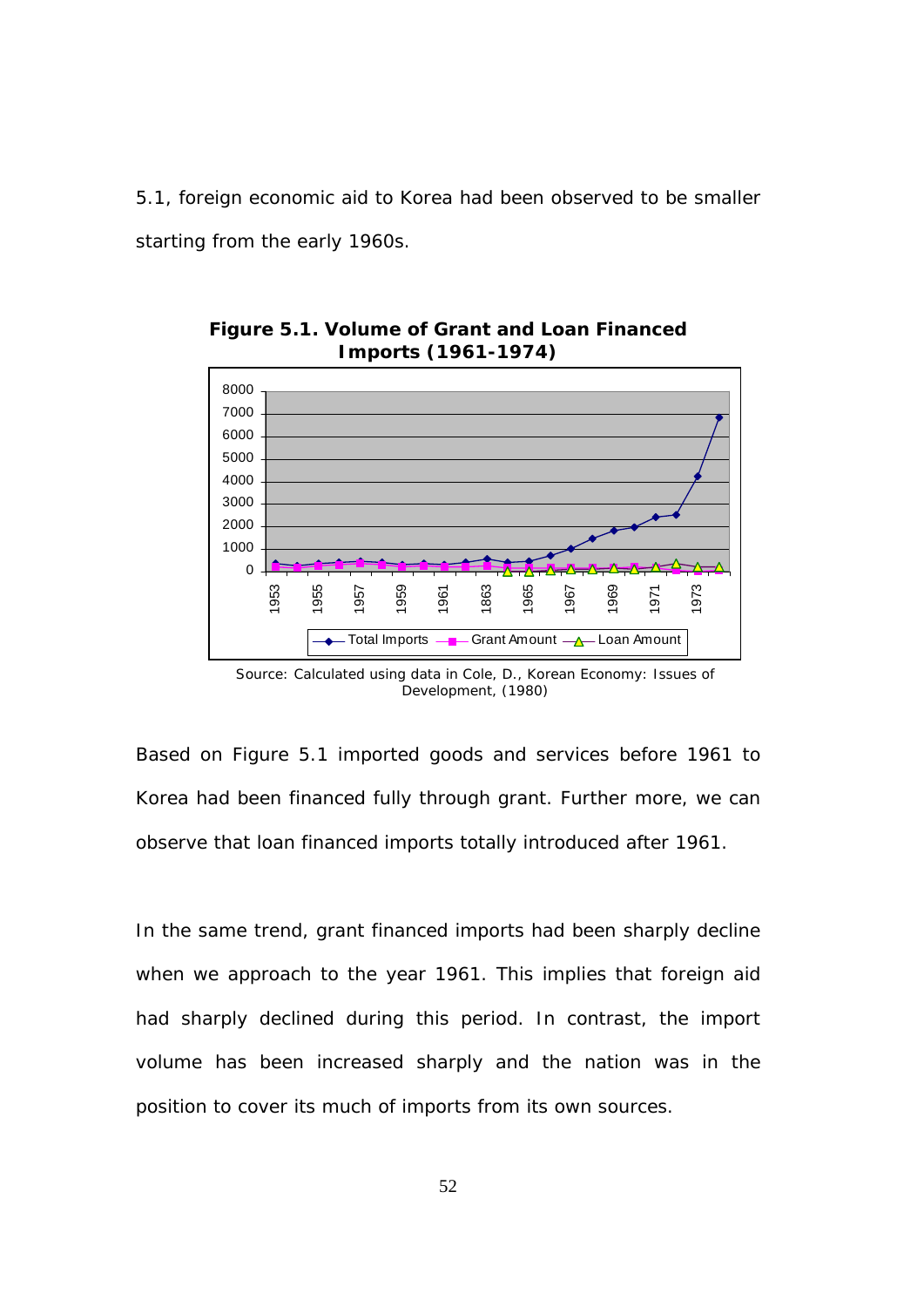5.1, foreign economic aid to Korea had been observed to be smaller starting from the early 1960s.



**Figure 5.1. Volume of Grant and Loan Financed Imports (1961-1974)** 

Based on Figure 5.1 imported goods and services before 1961 to Korea had been financed fully through grant. Further more, we can observe that loan financed imports totally introduced after 1961.

In the same trend, grant financed imports had been sharply decline when we approach to the year 1961. This implies that foreign aid had sharply declined during this period. In contrast, the import volume has been increased sharply and the nation was in the position to cover its much of imports from its own sources.

Source: Calculated using data in Cole, D., Korean Economy: Issues of Development, (1980)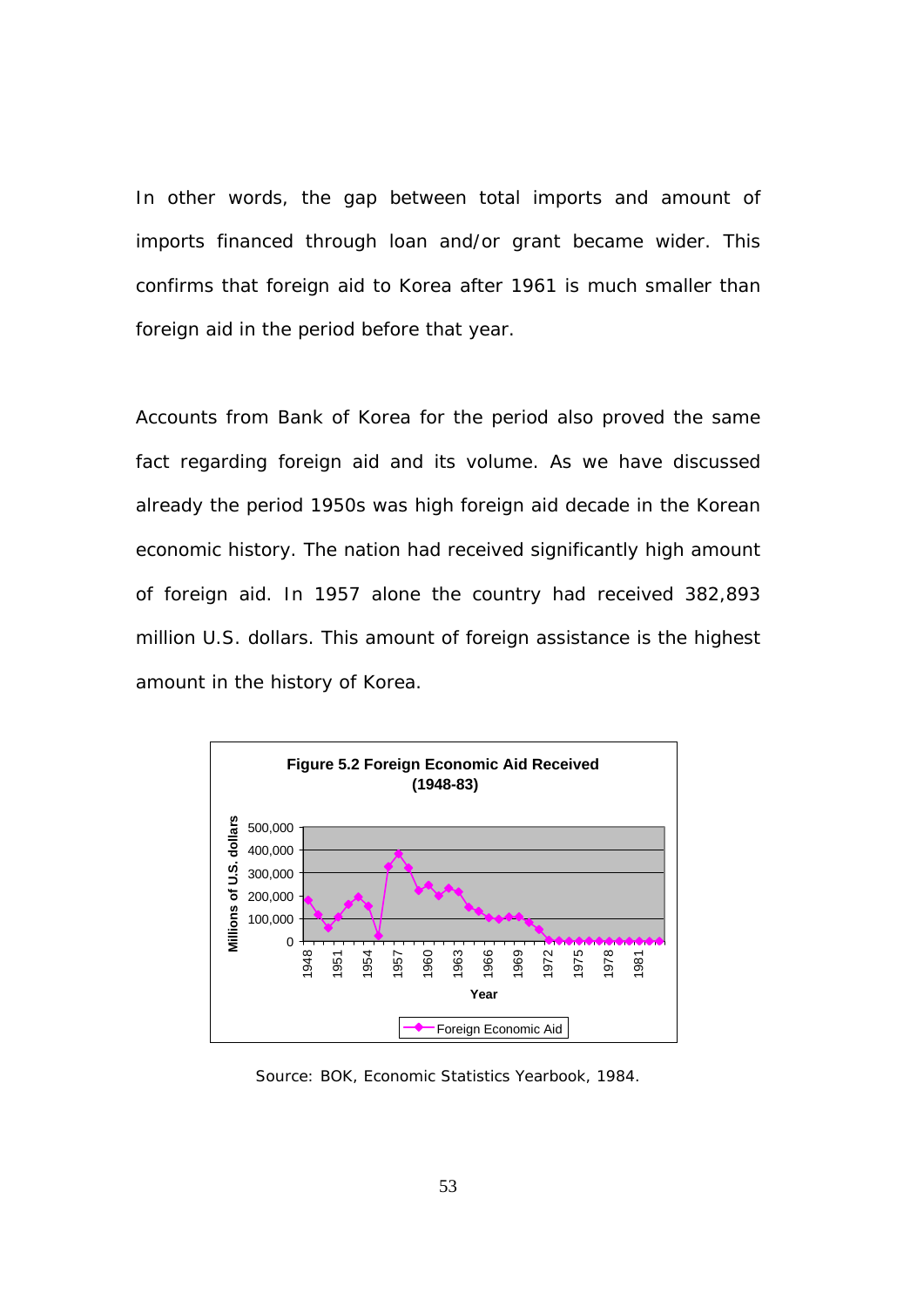In other words, the gap between total imports and amount of imports financed through loan and/or grant became wider. This confirms that foreign aid to Korea after 1961 is much smaller than foreign aid in the period before that year.

Accounts from Bank of Korea for the period also proved the same fact regarding foreign aid and its volume. As we have discussed already the period 1950s was high foreign aid decade in the Korean economic history. The nation had received significantly high amount of foreign aid. In 1957 alone the country had received 382,893 million U.S. dollars. This amount of foreign assistance is the highest amount in the history of Korea.



Source: BOK, Economic Statistics Yearbook, 1984.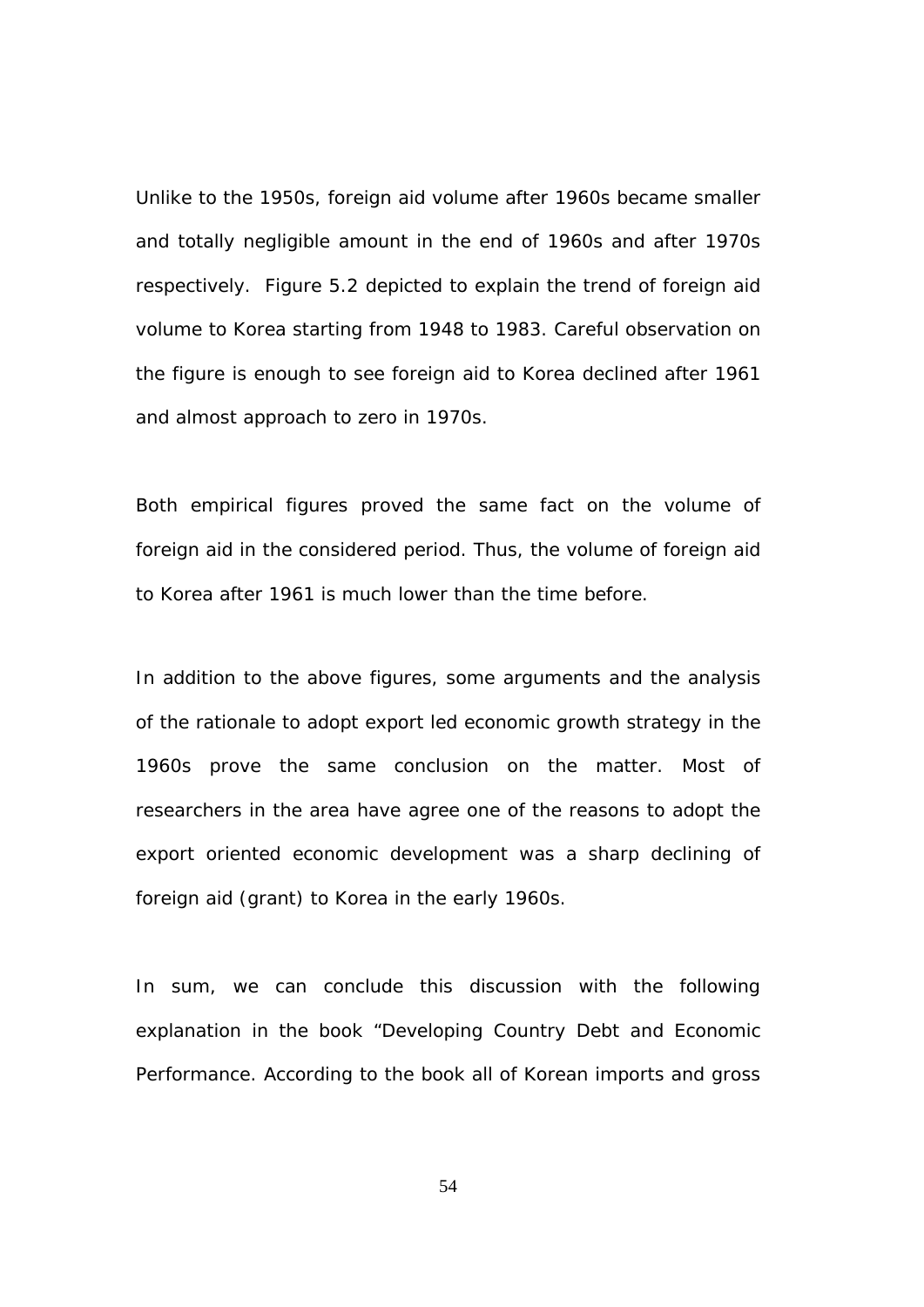Unlike to the 1950s, foreign aid volume after 1960s became smaller and totally negligible amount in the end of 1960s and after 1970s respectively. Figure 5.2 depicted to explain the trend of foreign aid volume to Korea starting from 1948 to 1983. Careful observation on the figure is enough to see foreign aid to Korea declined after 1961 and almost approach to zero in 1970s.

Both empirical figures proved the same fact on the volume of foreign aid in the considered period. Thus, the volume of foreign aid to Korea after 1961 is much lower than the time before.

In addition to the above figures, some arguments and the analysis of the rationale to adopt export led economic growth strategy in the 1960s prove the same conclusion on the matter. Most of researchers in the area have agree one of the reasons to adopt the export oriented economic development was a sharp declining of foreign aid (grant) to Korea in the early 1960s.

In sum, we can conclude this discussion with the following explanation in the book "Developing Country Debt and Economic Performance. According to the book all of Korean imports and gross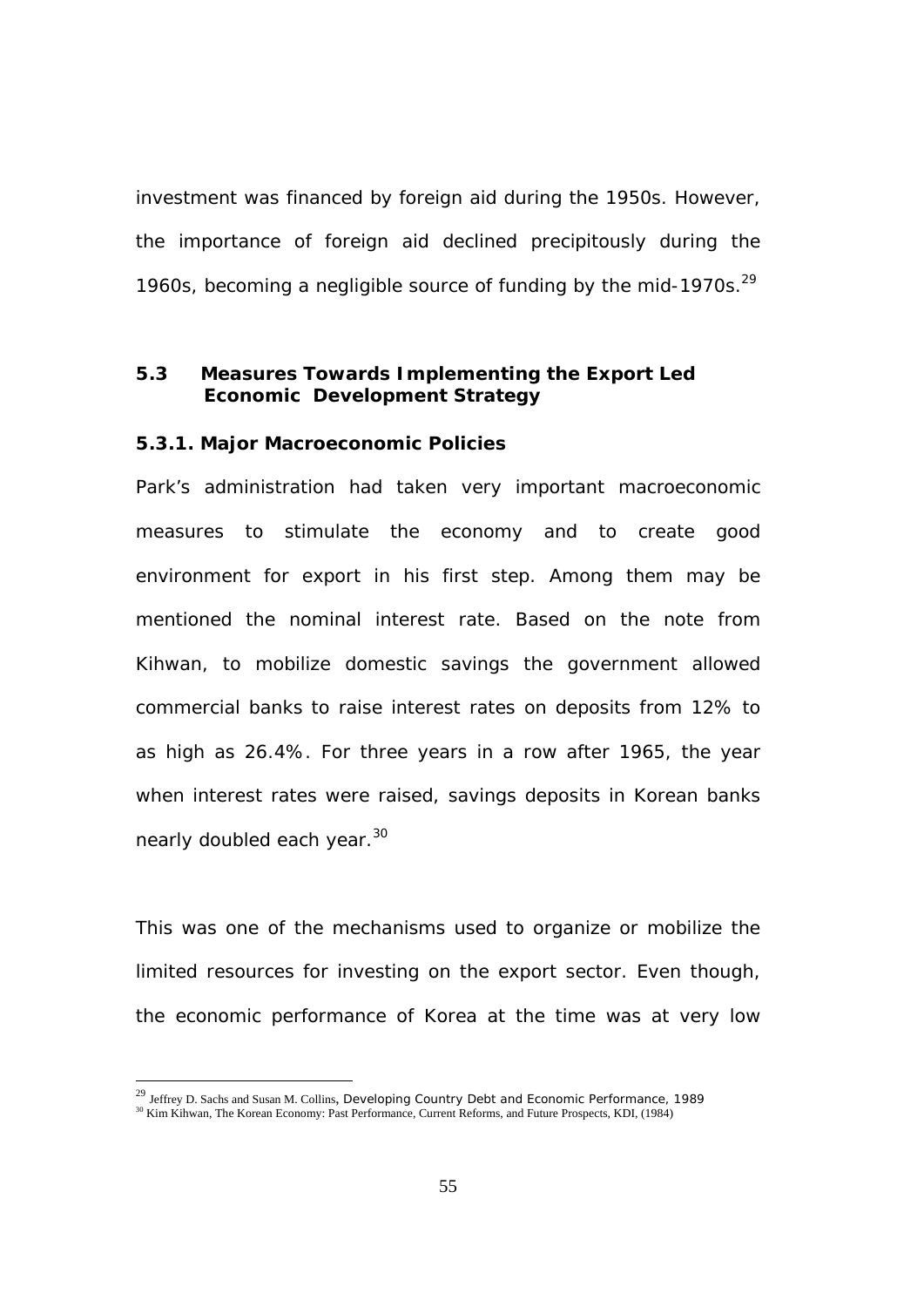investment was financed by foreign aid during the 1950s. However, the importance of foreign aid declined precipitously during the 1960s, becoming a negligible source of funding by the mid-1970s. $^{29}$ 

# **5.3 Measures Towards Implementing the Export Led Economic Development Strategy**

#### **5.3.1. Major Macroeconomic Policies**

Park's administration had taken very important macroeconomic measures to stimulate the economy and to create good environment for export in his first step. Among them may be mentioned the nominal interest rate. Based on the note from Kihwan, to mobilize domestic savings the government allowed commercial banks to raise interest rates on deposits from 12% to as high as 26.4%. For three years in a row after 1965, the year when interest rates were raised, savings deposits in Korean banks nearly doubled each year.<sup>30</sup>

This was one of the mechanisms used to organize or mobilize the limited resources for investing on the export sector. Even though, the economic performance of Korea at the time was at very low

l

<sup>&</sup>lt;sup>29</sup> Jeffrey D. Sachs and Susan M. Collins, Developing Country Debt and Economic Performance, 1989 <sup>30</sup> Kim Kihwan, The Korean Economy: Past Performance, Current Reforms, and Future Prospects, KDI, (1984)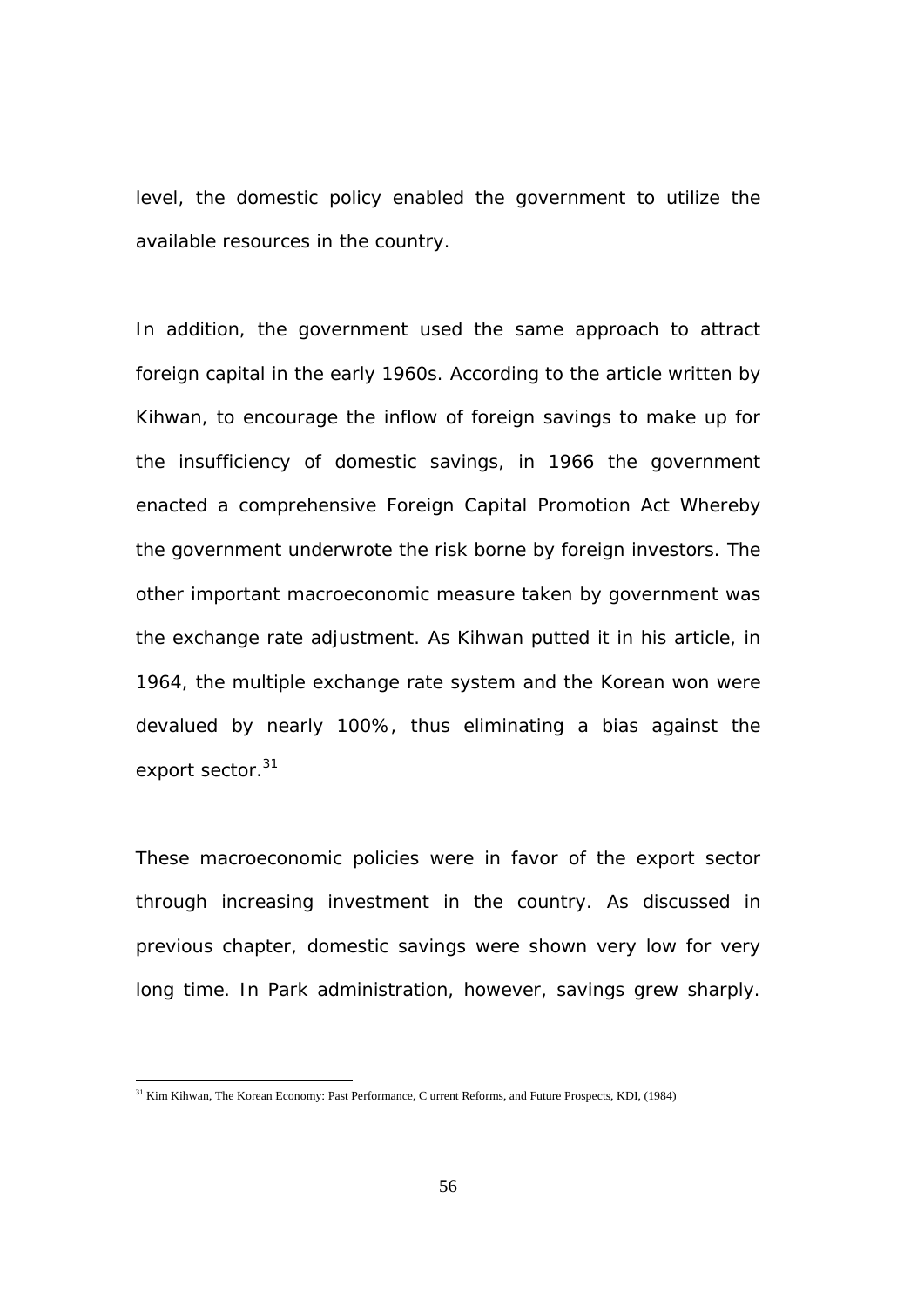level, the domestic policy enabled the government to utilize the available resources in the country.

In addition, the government used the same approach to attract foreign capital in the early 1960s. According to the article written by Kihwan, to encourage the inflow of foreign savings to make up for the insufficiency of domestic savings, in 1966 the government enacted a comprehensive Foreign Capital Promotion Act Whereby the government underwrote the risk borne by foreign investors. The other important macroeconomic measure taken by government was the exchange rate adjustment. As Kihwan putted it in his article, in 1964, the multiple exchange rate system and the Korean won were devalued by nearly 100%, thus eliminating a bias against the export sector.<sup>31</sup>

These macroeconomic policies were in favor of the export sector through increasing investment in the country. As discussed in previous chapter, domestic savings were shown very low for very long time. In Park administration, however, savings grew sharply.

l

<sup>&</sup>lt;sup>31</sup> Kim Kihwan, The Korean Economy: Past Performance, C urrent Reforms, and Future Prospects, KDI, (1984)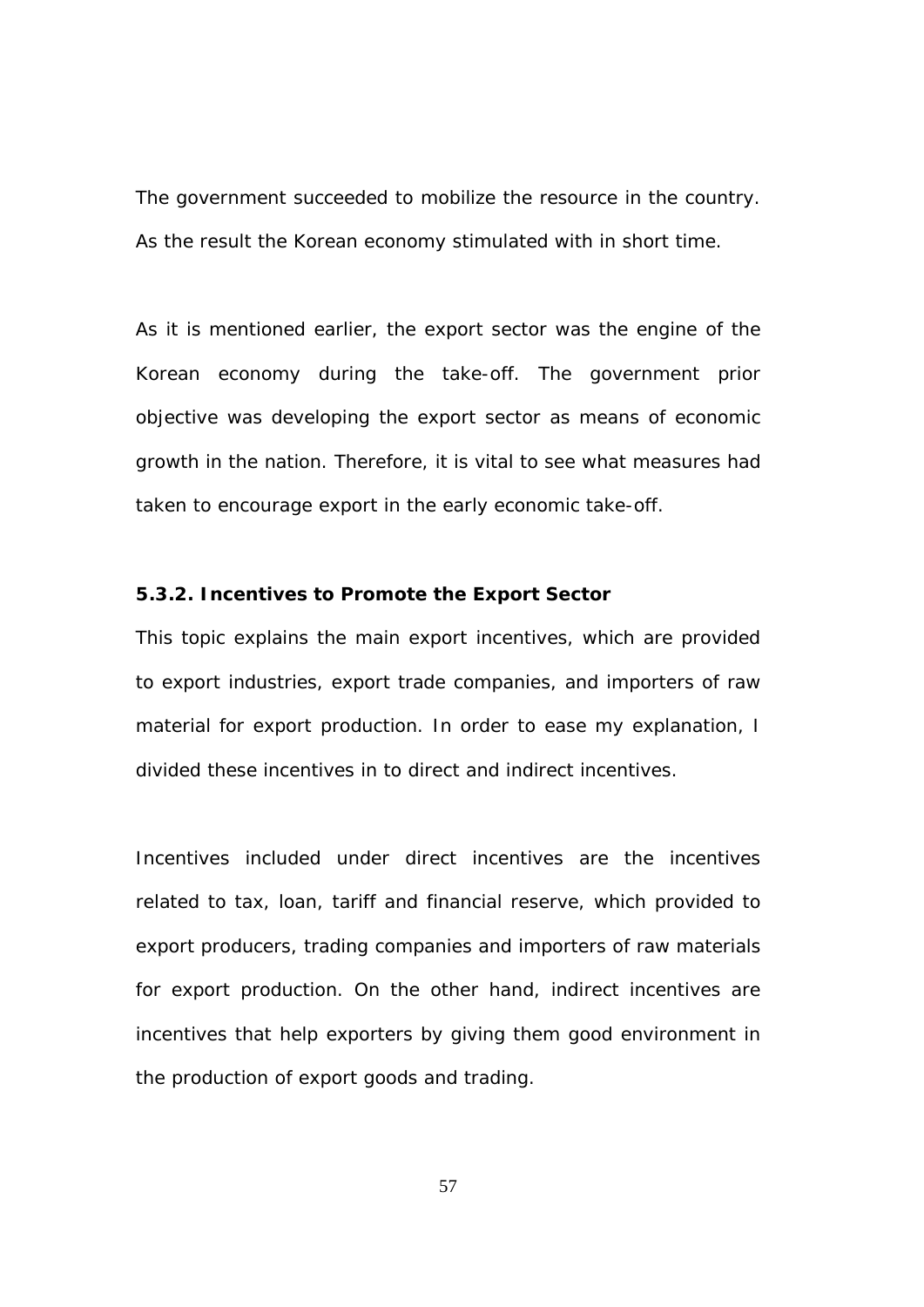The government succeeded to mobilize the resource in the country. As the result the Korean economy stimulated with in short time.

As it is mentioned earlier, the export sector was the engine of the Korean economy during the take-off. The government prior objective was developing the export sector as means of economic growth in the nation. Therefore, it is vital to see what measures had taken to encourage export in the early economic take-off.

## **5.3.2. Incentives to Promote the Export Sector**

This topic explains the main export incentives, which are provided to export industries, export trade companies, and importers of raw material for export production. In order to ease my explanation, I divided these incentives in to direct and indirect incentives.

Incentives included under direct incentives are the incentives related to tax, loan, tariff and financial reserve, which provided to export producers, trading companies and importers of raw materials for export production. On the other hand, indirect incentives are incentives that help exporters by giving them good environment in the production of export goods and trading.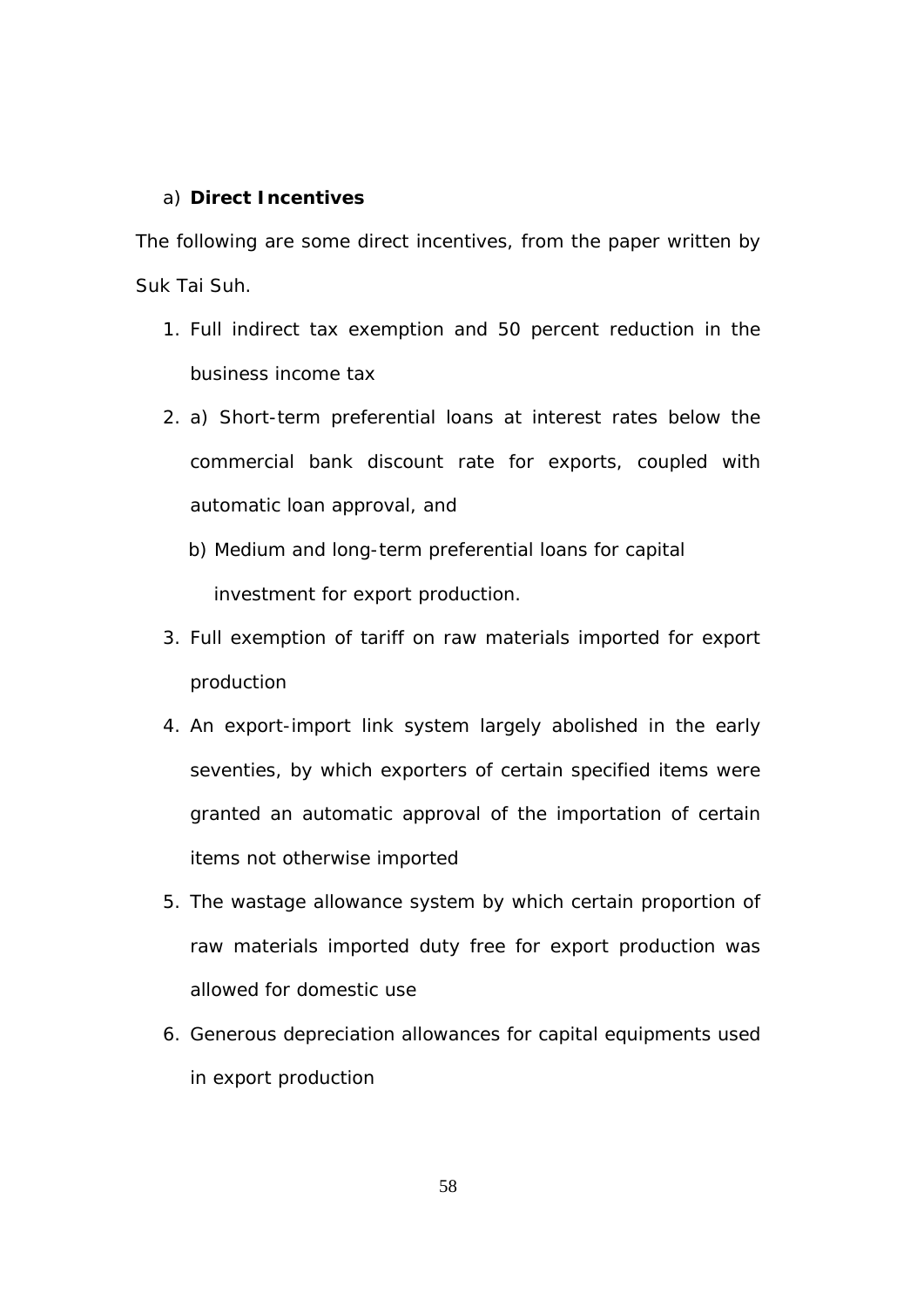# a) **Direct Incentives**

The following are some direct incentives, from the paper written by Suk Tai Suh.

- 1. Full indirect tax exemption and 50 percent reduction in the business income tax
- 2. a) Short-term preferential loans at interest rates below the commercial bank discount rate for exports, coupled with automatic loan approval, and
	- b) Medium and long-term preferential loans for capital investment for export production.
- 3. Full exemption of tariff on raw materials imported for export production
- 4. An export-import link system largely abolished in the early seventies, by which exporters of certain specified items were granted an automatic approval of the importation of certain items not otherwise imported
- 5. The wastage allowance system by which certain proportion of raw materials imported duty free for export production was allowed for domestic use
- 6. Generous depreciation allowances for capital equipments used in export production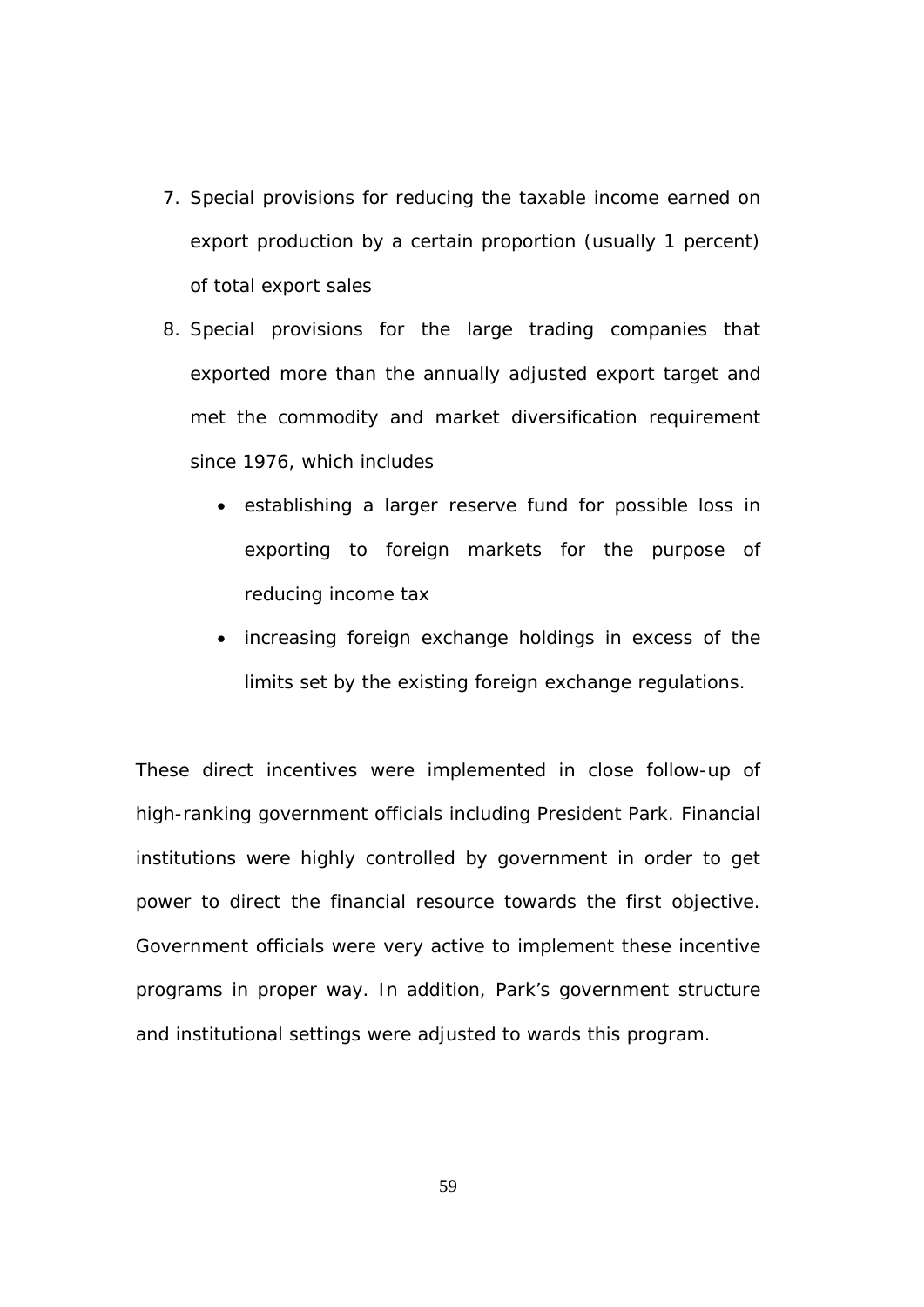- 7. Special provisions for reducing the taxable income earned on export production by a certain proportion (usually 1 percent) of total export sales
- 8. Special provisions for the large trading companies that exported more than the annually adjusted export target and met the commodity and market diversification requirement since 1976, which includes
	- establishing a larger reserve fund for possible loss in exporting to foreign markets for the purpose of reducing income tax
	- increasing foreign exchange holdings in excess of the limits set by the existing foreign exchange regulations.

These direct incentives were implemented in close follow-up of high-ranking government officials including President Park. Financial institutions were highly controlled by government in order to get power to direct the financial resource towards the first objective. Government officials were very active to implement these incentive programs in proper way. In addition, Park's government structure and institutional settings were adjusted to wards this program.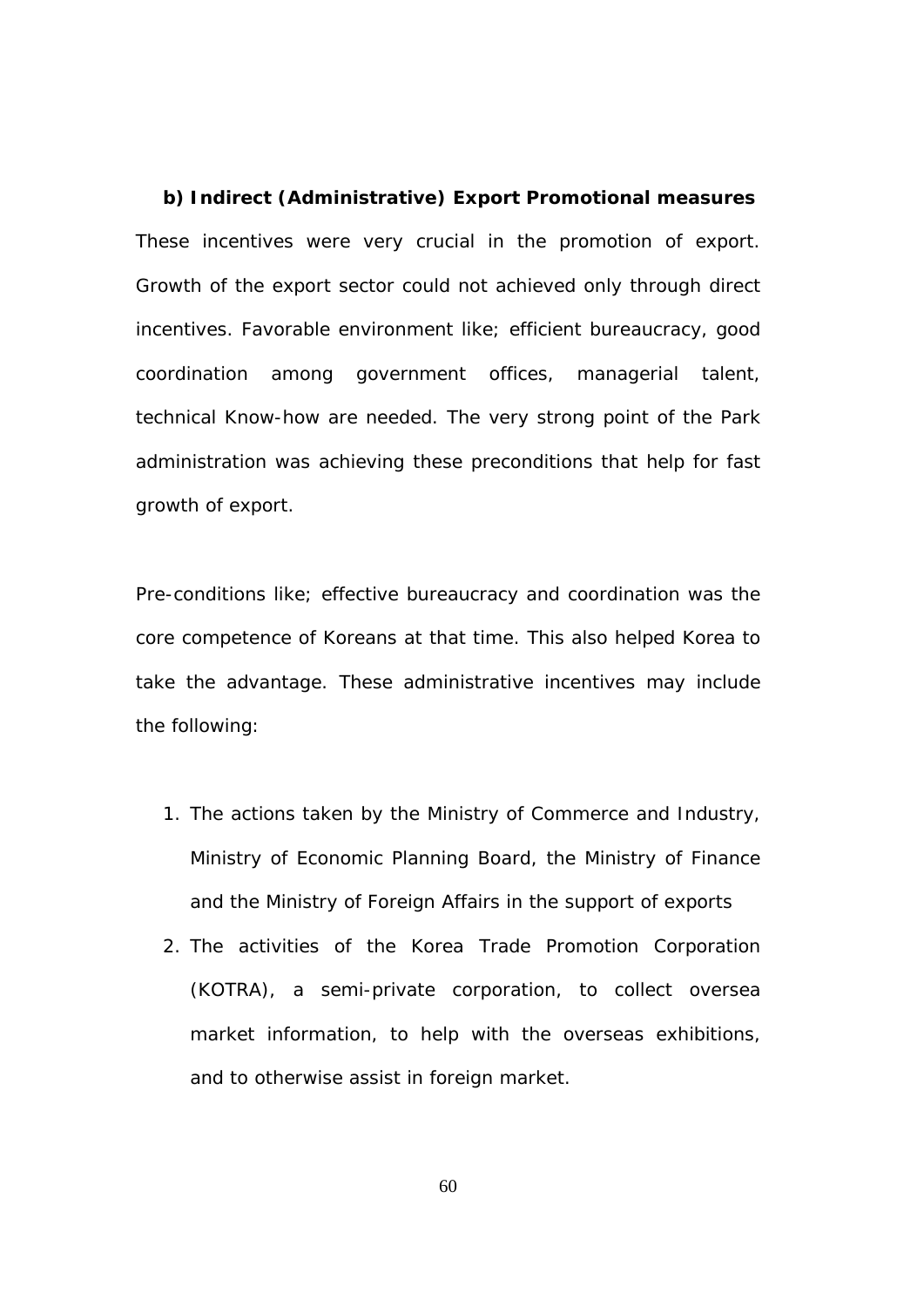**b) Indirect (Administrative) Export Promotional measures**  These incentives were very crucial in the promotion of export. Growth of the export sector could not achieved only through direct incentives. Favorable environment like; efficient bureaucracy, good coordination among government offices, managerial talent, technical Know-how are needed. The very strong point of the Park administration was achieving these preconditions that help for fast growth of export.

Pre-conditions like; effective bureaucracy and coordination was the core competence of Koreans at that time. This also helped Korea to take the advantage. These administrative incentives may include the following:

- 1. The actions taken by the Ministry of Commerce and Industry, Ministry of Economic Planning Board, the Ministry of Finance and the Ministry of Foreign Affairs in the support of exports
- 2. The activities of the Korea Trade Promotion Corporation (KOTRA), a semi-private corporation, to collect oversea market information, to help with the overseas exhibitions, and to otherwise assist in foreign market.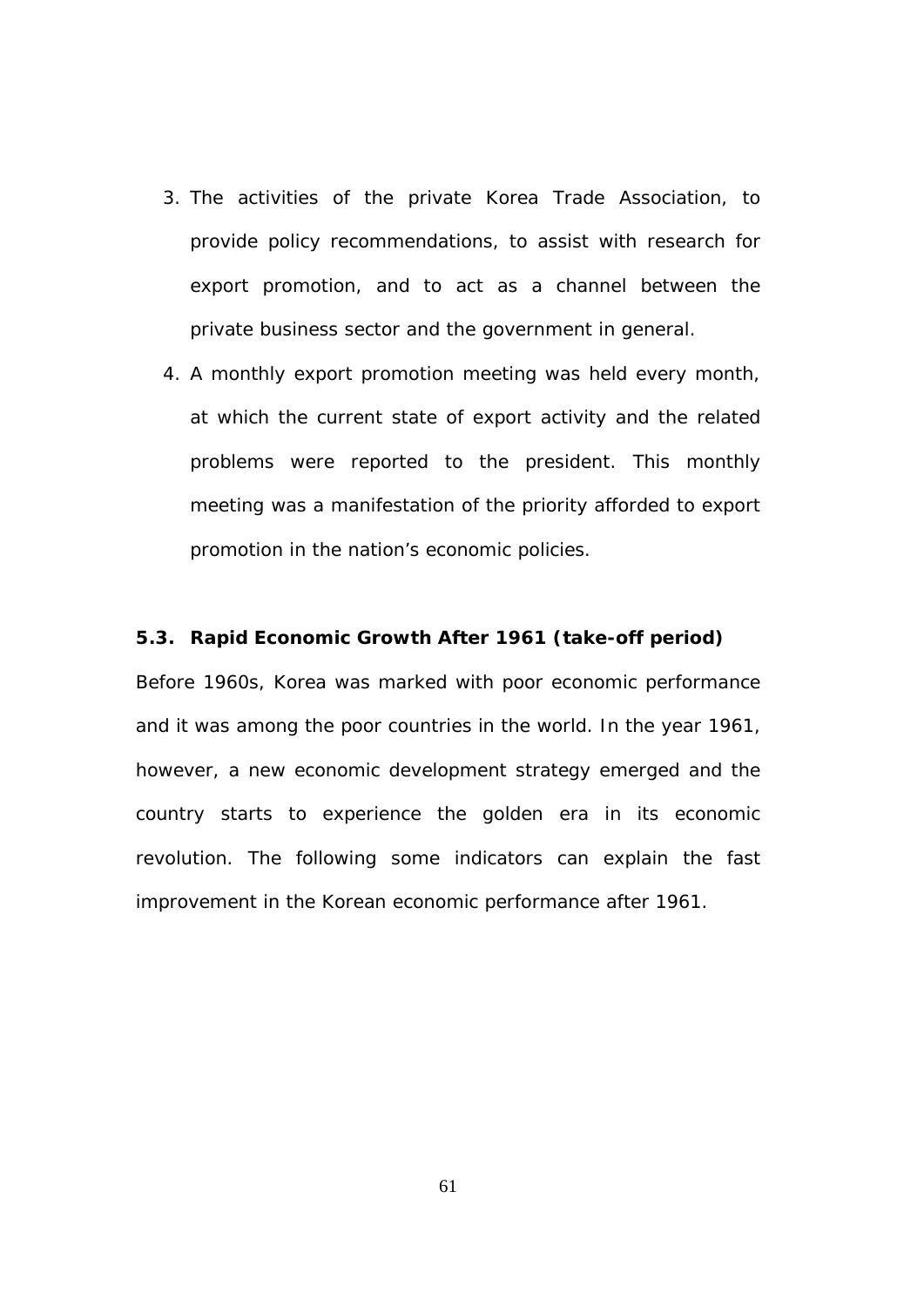- 3. The activities of the private Korea Trade Association, to provide policy recommendations, to assist with research for export promotion, and to act as a channel between the private business sector and the government in general.
- 4. A monthly export promotion meeting was held every month, at which the current state of export activity and the related problems were reported to the president. This monthly meeting was a manifestation of the priority afforded to export promotion in the nation's economic policies.

# **5.3. Rapid Economic Growth After 1961 (take-off period)**

Before 1960s, Korea was marked with poor economic performance and it was among the poor countries in the world. In the year 1961, however, a new economic development strategy emerged and the country starts to experience the golden era in its economic revolution. The following some indicators can explain the fast improvement in the Korean economic performance after 1961.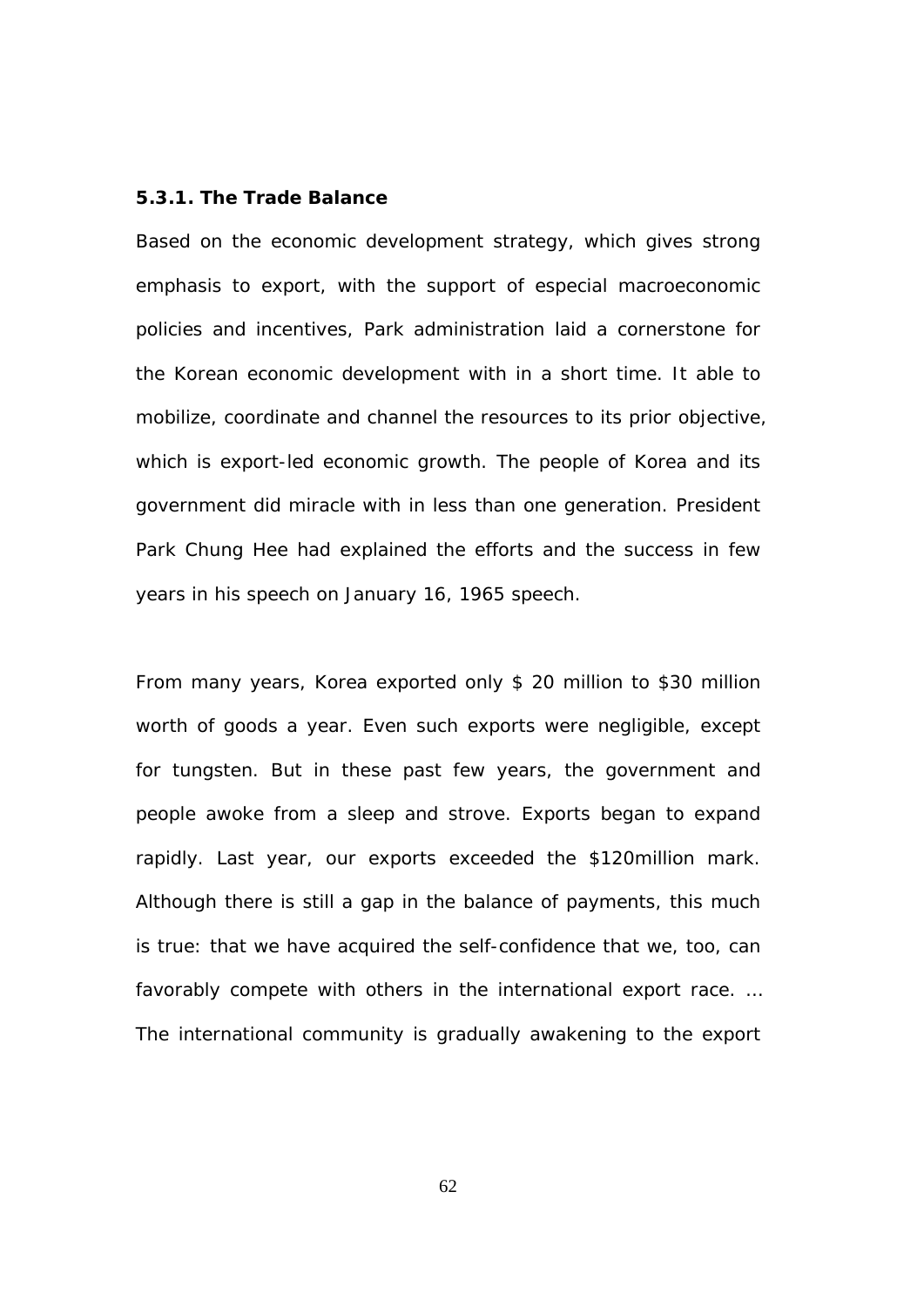## **5.3.1. The Trade Balance**

Based on the economic development strategy, which gives strong emphasis to export, with the support of especial macroeconomic policies and incentives, Park administration laid a cornerstone for the Korean economic development with in a short time. It able to mobilize, coordinate and channel the resources to its prior objective, which is export-led economic growth. The people of Korea and its government did miracle with in less than one generation. President Park Chung Hee had explained the efforts and the success in few years in his speech on January 16, 1965 speech.

From many years, Korea exported only \$ 20 million to \$30 million worth of goods a year. Even such exports were negligible, except for tungsten. But in these past few years, the government and people awoke from a sleep and strove. Exports began to expand rapidly. Last year, our exports exceeded the \$120million mark. Although there is still a gap in the balance of payments, this much is true: that we have acquired the self-confidence that we, too, can favorably compete with others in the international export race. … The international community is gradually awakening to the export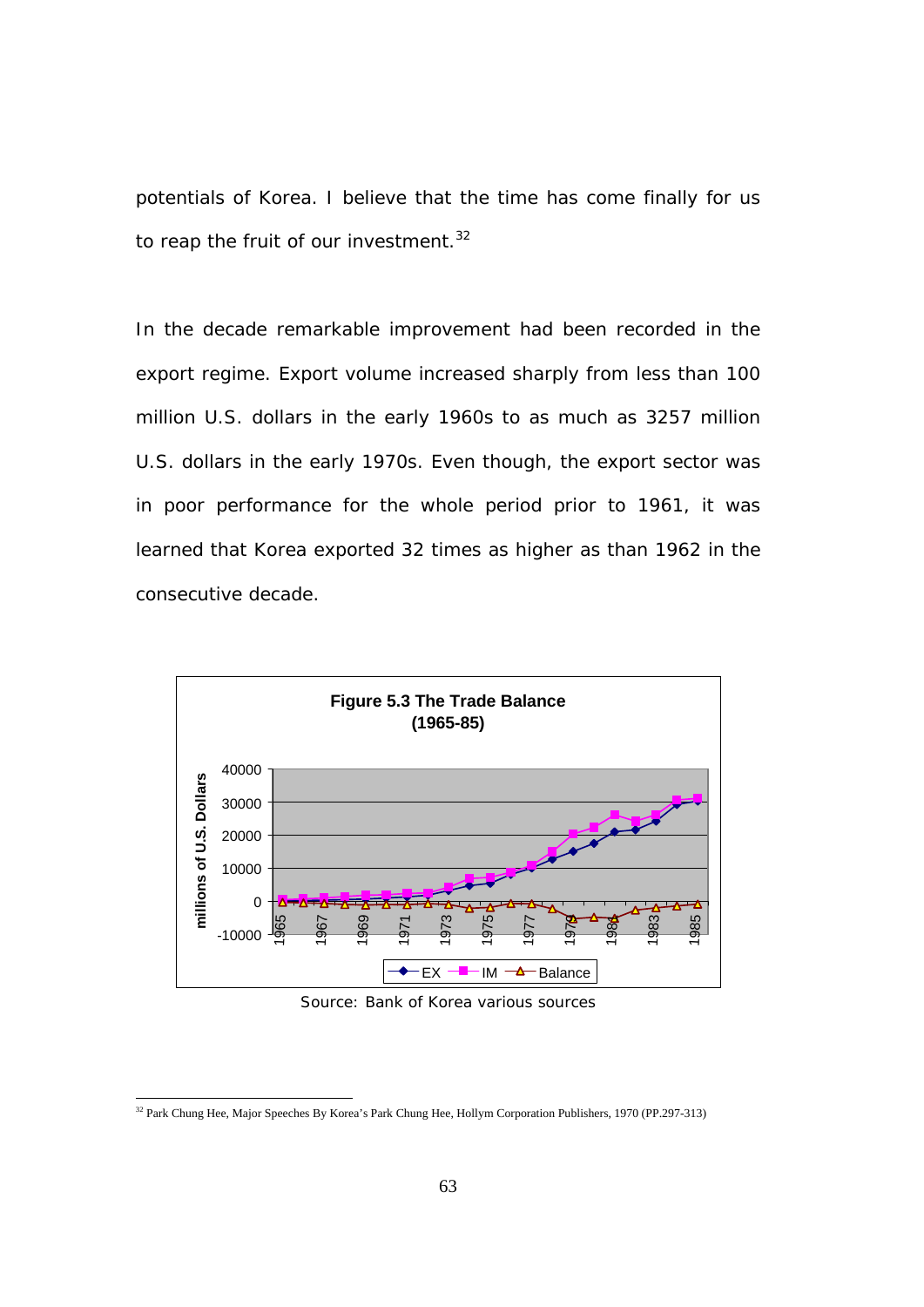potentials of Korea. I believe that the time has come finally for us to reap the fruit of our investment*. 32* 

In the decade remarkable improvement had been recorded in the export regime. Export volume increased sharply from less than 100 million U.S. dollars in the early 1960s to as much as 3257 million U.S. dollars in the early 1970s. Even though, the export sector was in poor performance for the whole period prior to 1961, it was learned that Korea exported 32 times as higher as than 1962 in the consecutive decade.



Source: Bank of Korea various sources

<sup>&</sup>lt;sup>32</sup> Park Chung Hee, Major Speeches By Korea's Park Chung Hee, Hollym Corporation Publishers, 1970 (PP.297-313)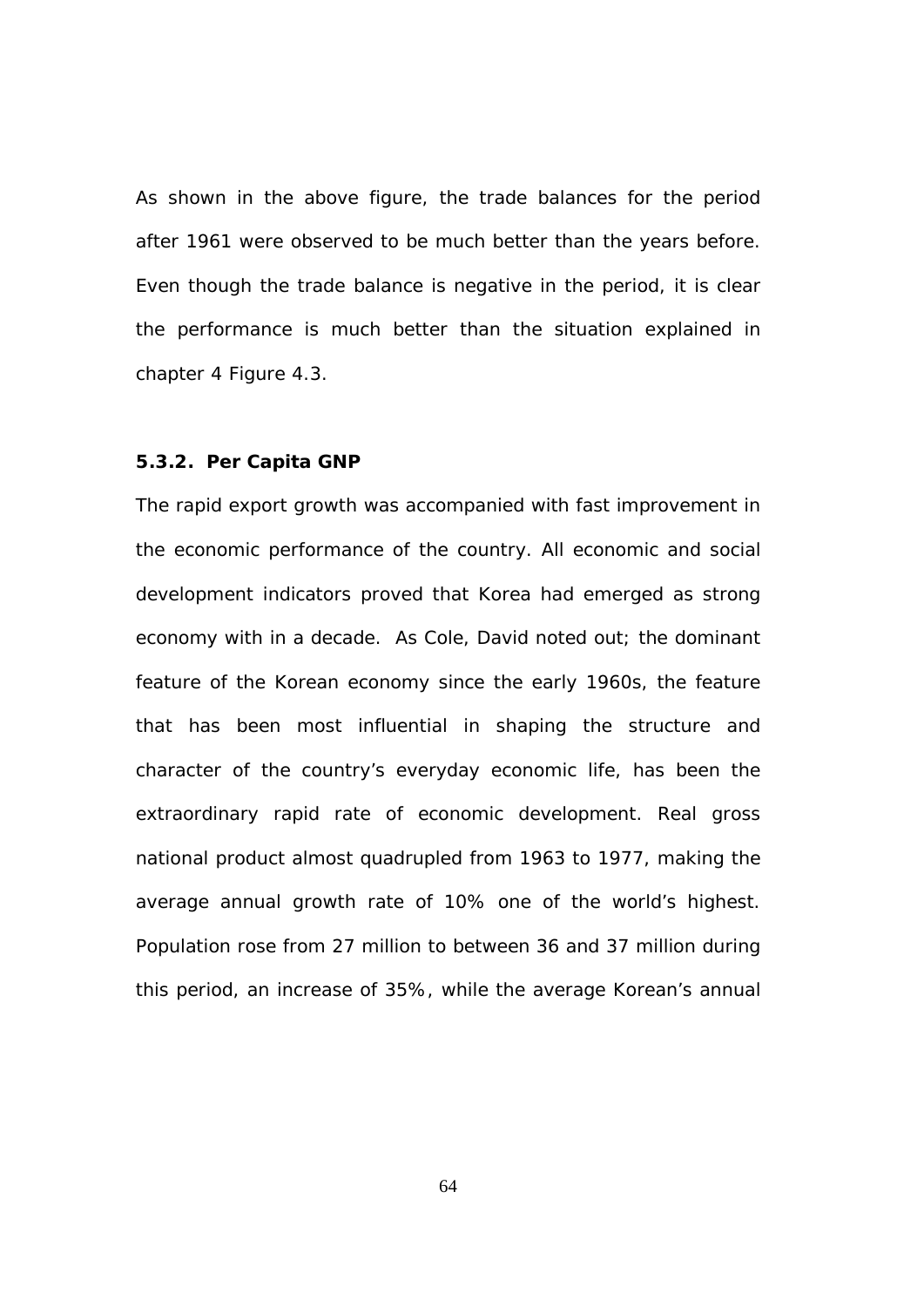As shown in the above figure, the trade balances for the period after 1961 were observed to be much better than the years before. Even though the trade balance is negative in the period, it is clear the performance is much better than the situation explained in chapter 4 Figure 4.3.

#### **5.3.2. Per Capita GNP**

The rapid export growth was accompanied with fast improvement in the economic performance of the country. All economic and social development indicators proved that Korea had emerged as strong economy with in a decade. As Cole, David noted out; the dominant feature of the Korean economy since the early 1960s, the feature that has been most influential in shaping the structure and character of the country's everyday economic life, has been the extraordinary rapid rate of economic development. Real gross national product almost quadrupled from 1963 to 1977, making the average annual growth rate of 10% one of the world's highest. Population rose from 27 million to between 36 and 37 million during this period, an increase of 35%, while the average Korean's annual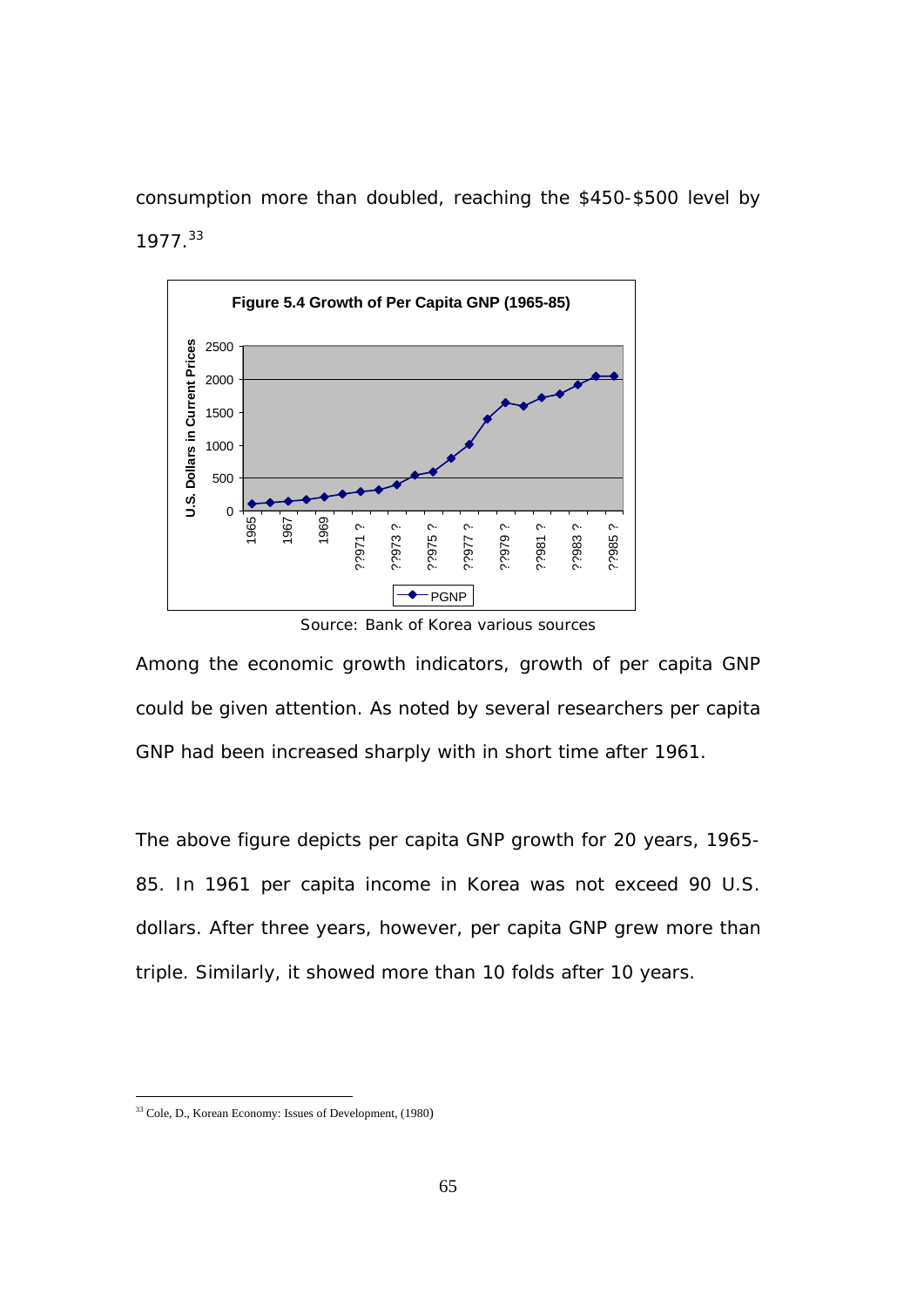consumption more than doubled, reaching the \$450-\$500 level by 1977.33



Source: Bank of Korea various sources

Among the economic growth indicators, growth of per capita GNP could be given attention. As noted by several researchers per capita GNP had been increased sharply with in short time after 1961.

The above figure depicts per capita GNP growth for 20 years, 1965- 85. In 1961 per capita income in Korea was not exceed 90 U.S. dollars. After three years, however, per capita GNP grew more than triple. Similarly, it showed more than 10 folds after 10 years.

<sup>&</sup>lt;sup>33</sup> Cole, D., Korean Economy: Issues of Development, (1980)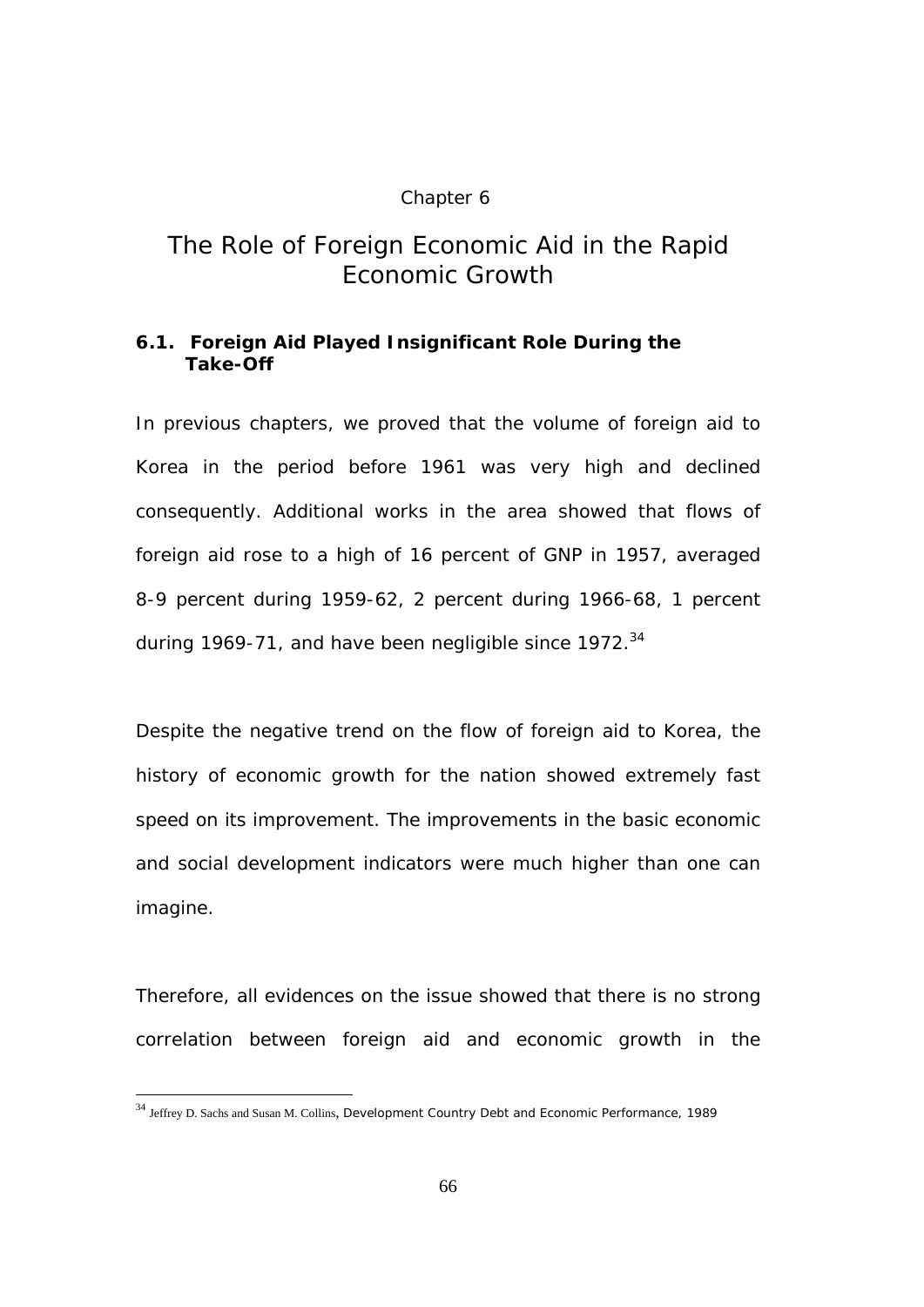#### Chapter 6

# *The Role of Foreign Economic Aid in the Rapid Economic Growth*

### **6.1. Foreign Aid Played Insignificant Role During the Take-Off**

In previous chapters, we proved that the volume of foreign aid to Korea in the period before 1961 was very high and declined consequently. Additional works in the area showed that flows of foreign aid rose to a high of 16 percent of GNP in 1957, averaged 8-9 percent during 1959-62, 2 percent during 1966-68, 1 percent during 1969-71, and have been negligible since  $1972^{34}$ 

Despite the negative trend on the flow of foreign aid to Korea, the history of economic growth for the nation showed extremely fast speed on its improvement. The improvements in the basic economic and social development indicators were much higher than one can imagine.

Therefore, all evidences on the issue showed that there is no strong correlation between foreign aid and economic growth in the

<sup>34</sup> Jeffrey D. Sachs and Susan M. Collins, Development Country Debt and Economic Performance, 1989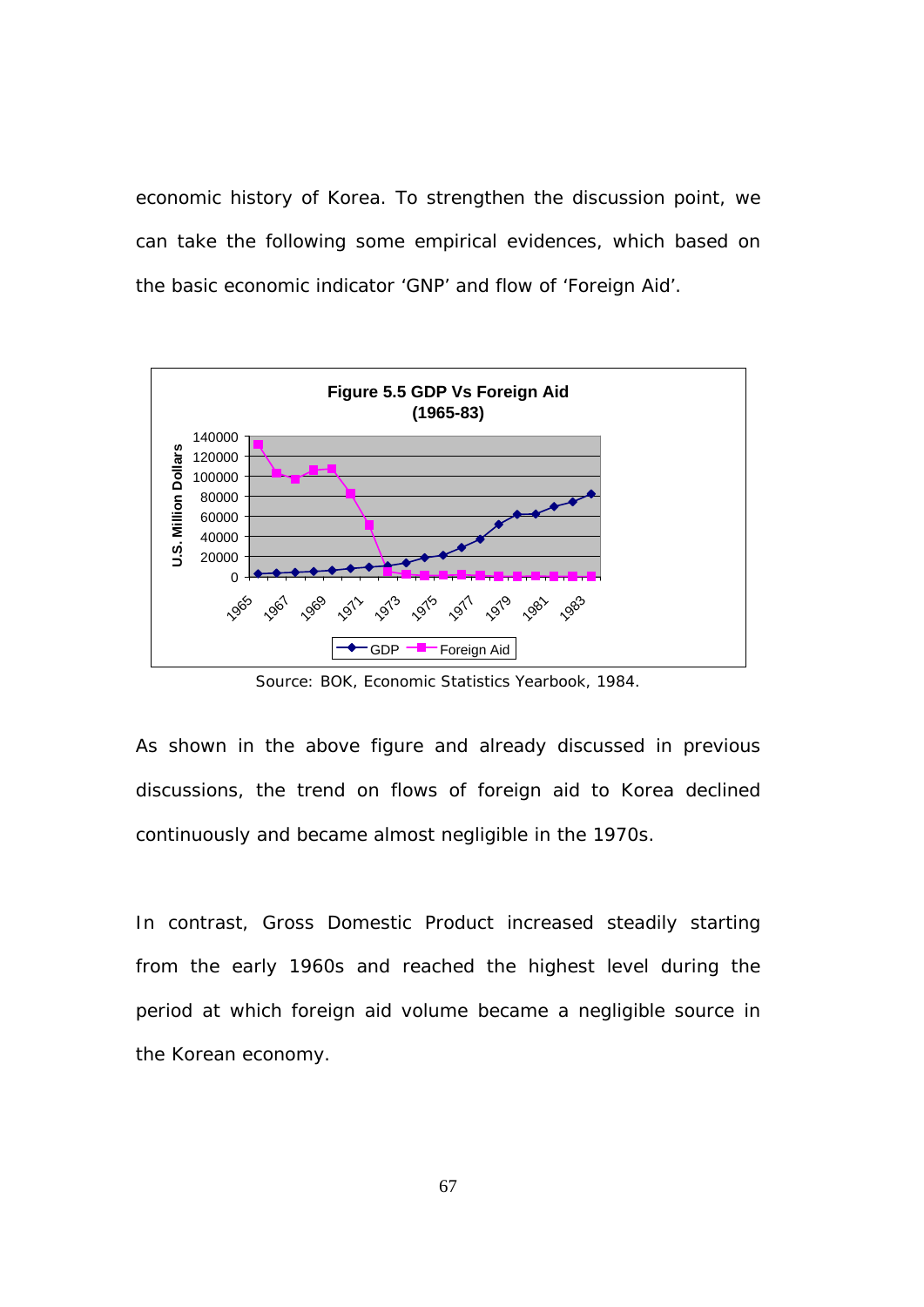economic history of Korea. To strengthen the discussion point, we can take the following some empirical evidences, which based on the basic economic indicator 'GNP' and flow of 'Foreign Aid'.



Source: BOK, Economic Statistics Yearbook, 1984.

As shown in the above figure and already discussed in previous discussions, the trend on flows of foreign aid to Korea declined continuously and became almost negligible in the 1970s.

In contrast, Gross Domestic Product increased steadily starting from the early 1960s and reached the highest level during the period at which foreign aid volume became a negligible source in the Korean economy.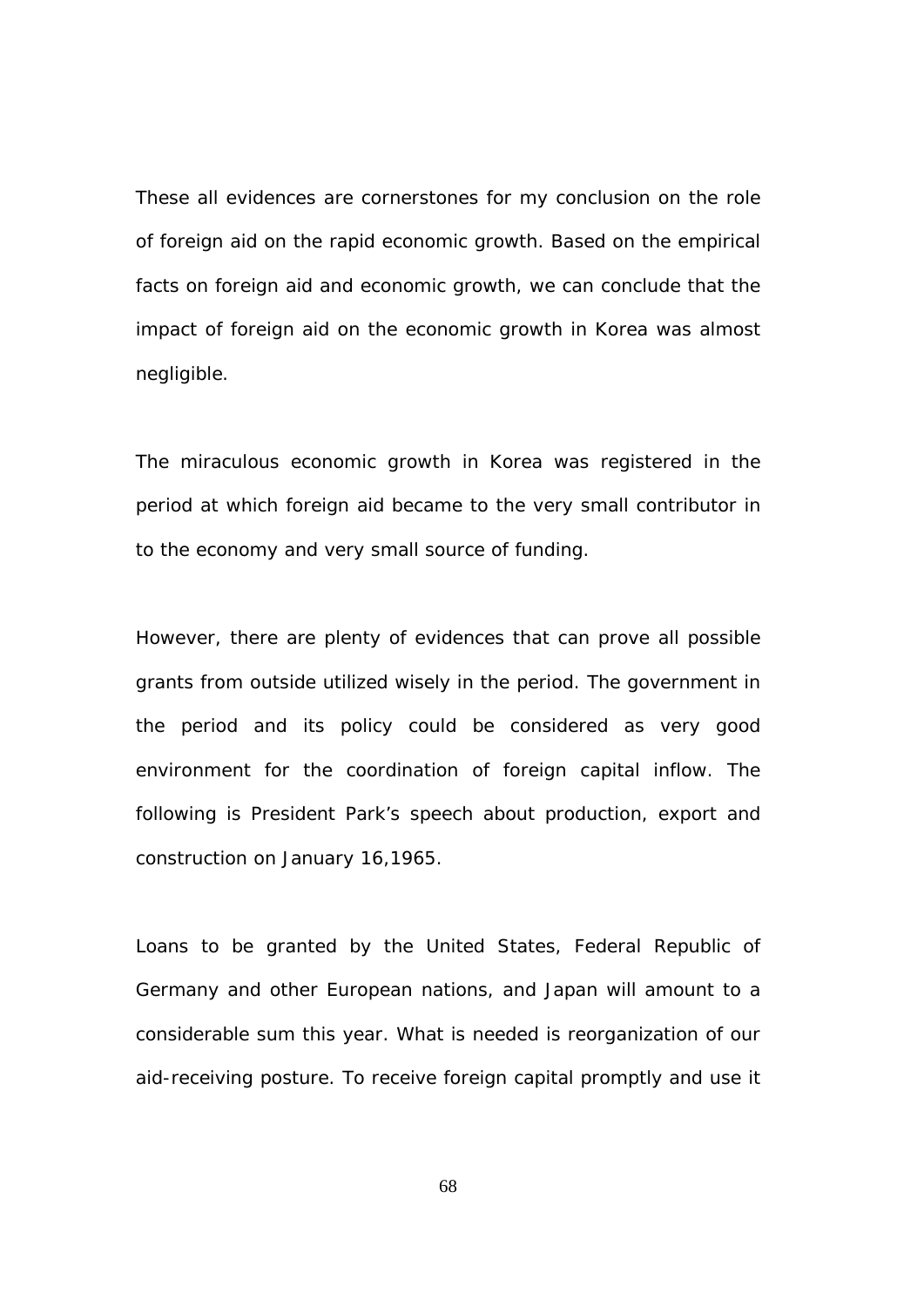These all evidences are cornerstones for my conclusion on the role of foreign aid on the rapid economic growth. Based on the empirical facts on foreign aid and economic growth, we can conclude that the impact of foreign aid on the economic growth in Korea was almost negligible.

The miraculous economic growth in Korea was registered in the period at which foreign aid became to the very small contributor in to the economy and very small source of funding.

However, there are plenty of evidences that can prove all possible grants from outside utilized wisely in the period. The government in the period and its policy could be considered as very good environment for the coordination of foreign capital inflow. The following is President Park's speech about production, export and construction on January 16,1965.

Loans to be granted by the United States, Federal Republic of Germany and other European nations, and Japan will amount to a considerable sum this year. What is needed is reorganization of our aid-receiving posture. To receive foreign capital promptly and use it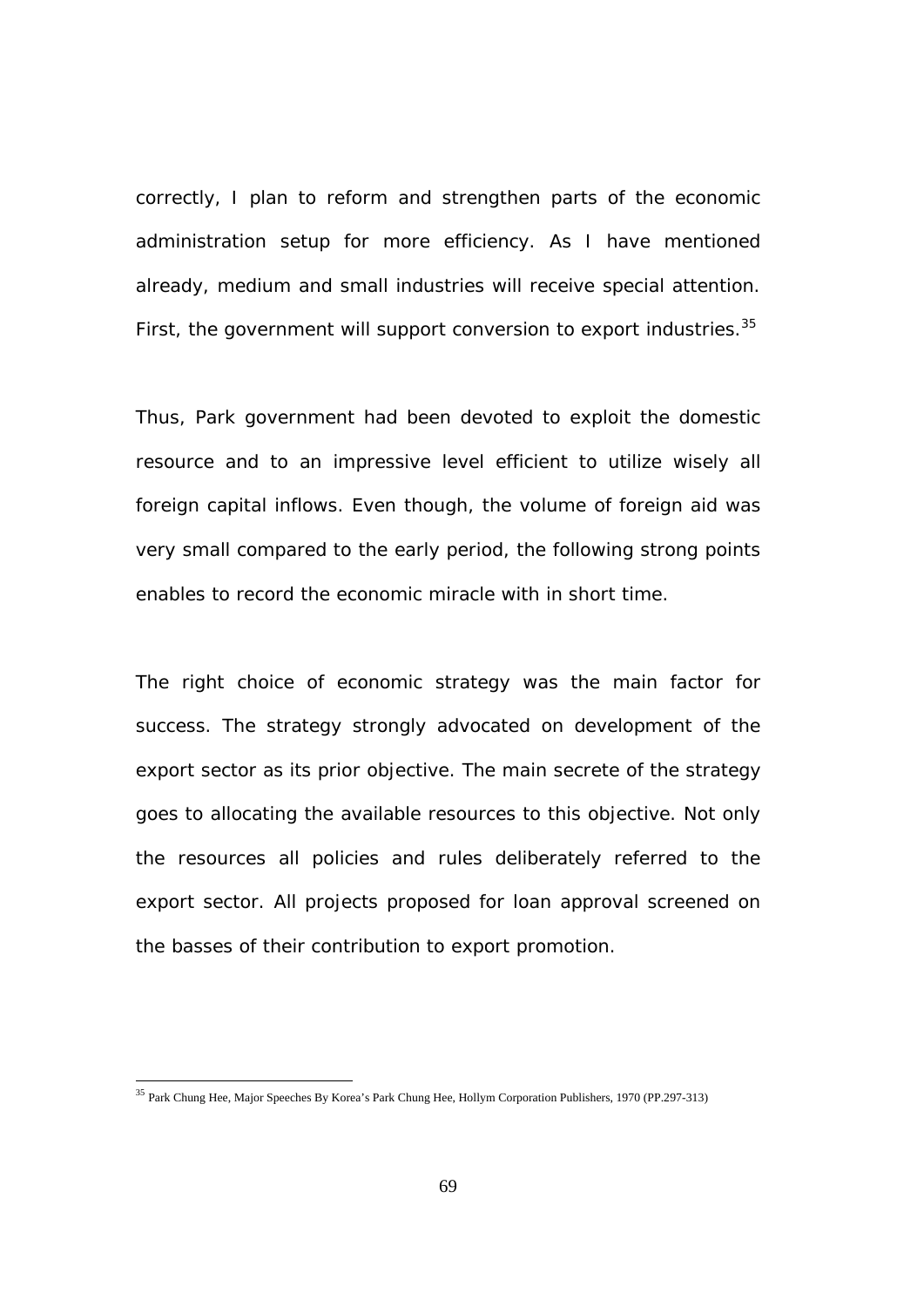correctly, I plan to reform and strengthen parts of the economic administration setup for more efficiency. As I have mentioned already, medium and small industries will receive special attention. First, the government will support conversion to export industries.<sup>35</sup>

Thus, Park government had been devoted to exploit the domestic resource and to an impressive level efficient to utilize wisely all foreign capital inflows. Even though, the volume of foreign aid was very small compared to the early period, the following strong points enables to record the economic miracle with in short time.

The right choice of economic strategy was the main factor for success. The strategy strongly advocated on development of the export sector as its prior objective. The main secrete of the strategy goes to allocating the available resources to this objective. Not only the resources all policies and rules deliberately referred to the export sector. All projects proposed for loan approval screened on the basses of their contribution to export promotion.

l

<sup>&</sup>lt;sup>35</sup> Park Chung Hee, Major Speeches By Korea's Park Chung Hee, Hollym Corporation Publishers, 1970 (PP.297-313)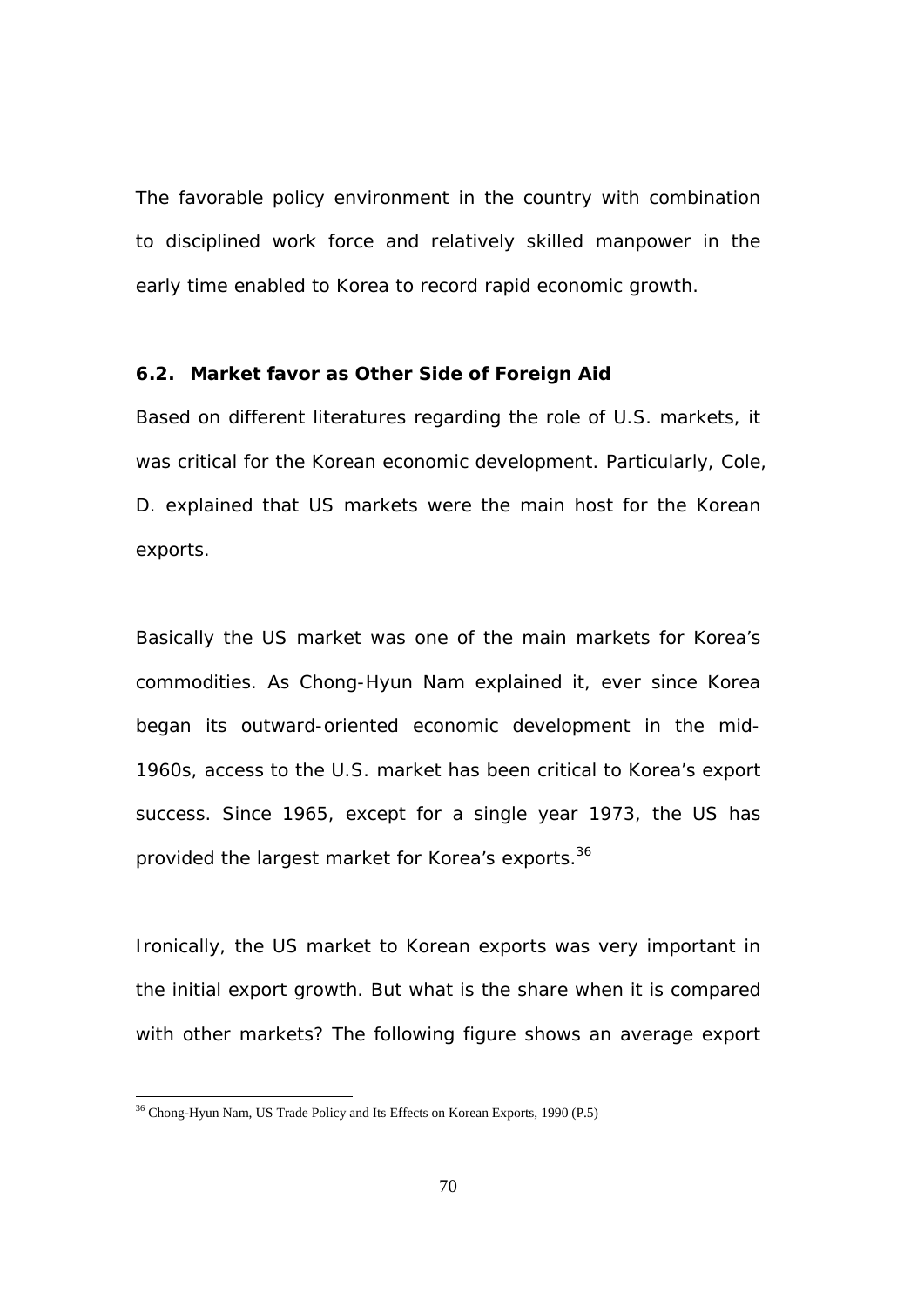The favorable policy environment in the country with combination to disciplined work force and relatively skilled manpower in the early time enabled to Korea to record rapid economic growth.

#### **6.2. Market favor as Other Side of Foreign Aid**

Based on different literatures regarding the role of U.S. markets, it was critical for the Korean economic development. Particularly, Cole, D. explained that US markets were the main host for the Korean exports.

Basically the US market was one of the main markets for Korea's commodities. As Chong-Hyun Nam explained it, ever since Korea began its outward-oriented economic development in the mid-1960s, access to the U.S. market has been critical to Korea's export success. Since 1965, except for a single year 1973, the US has provided the largest market for Korea's exports.<sup>36</sup>

Ironically, the US market to Korean exports was very important in the initial export growth. But what is the share when it is compared with other markets? The following figure shows an average export

<sup>&</sup>lt;sup>36</sup> Chong-Hyun Nam, US Trade Policy and Its Effects on Korean Exports, 1990 (P.5)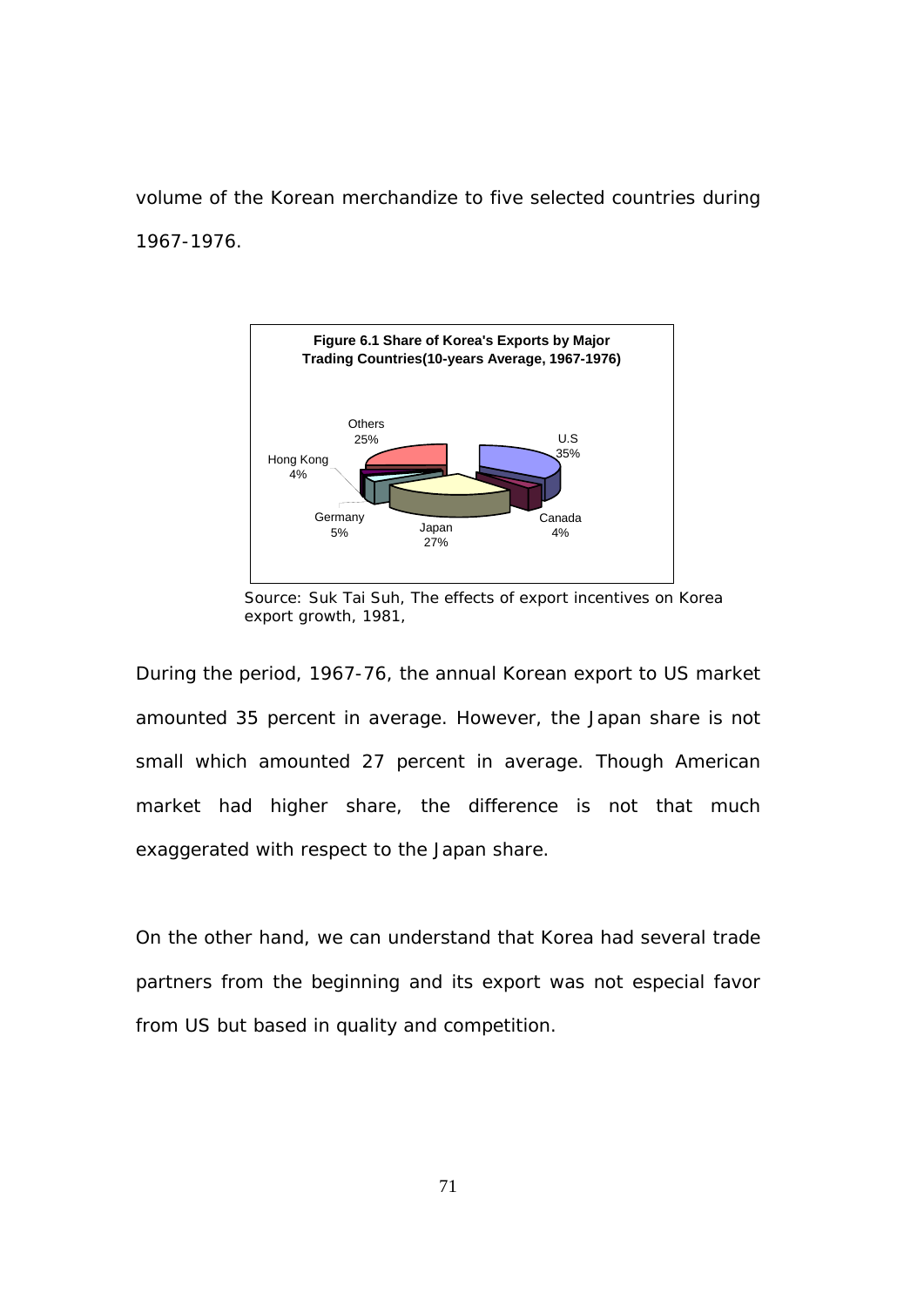volume of the Korean merchandize to five selected countries during 1967-1976.



Source: Suk Tai Suh, The effects of export incentives on Korea export growth, 1981,

During the period, 1967-76, the annual Korean export to US market amounted 35 percent in average. However, the Japan share is not small which amounted 27 percent in average. Though American market had higher share, the difference is not that much exaggerated with respect to the Japan share.

On the other hand, we can understand that Korea had several trade partners from the beginning and its export was not especial favor from US but based in quality and competition.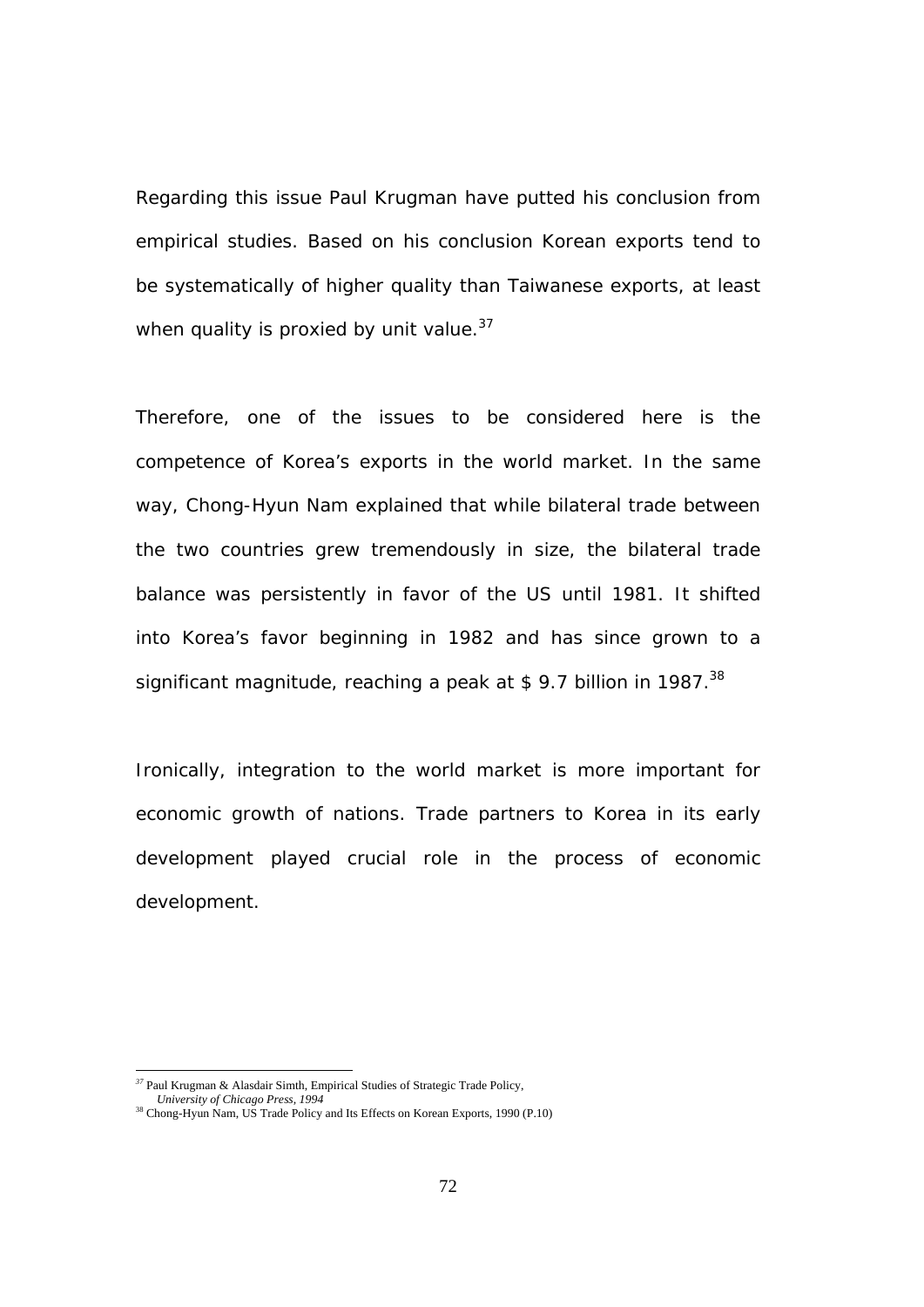Regarding this issue Paul Krugman have putted his conclusion from empirical studies. Based on his conclusion Korean exports tend to be systematically of higher quality than Taiwanese exports, at least when quality is proxied by unit value. $37$ 

Therefore, one of the issues to be considered here is the competence of Korea's exports in the world market. In the same way, Chong-Hyun Nam explained that while bilateral trade between the two countries grew tremendously in size, the bilateral trade balance was persistently in favor of the US until 1981. It shifted into Korea's favor beginning in 1982 and has since grown to a significant magnitude, reaching a peak at \$ 9.7 billion in 1987.<sup>38</sup>

Ironically, integration to the world market is more important for economic growth of nations. Trade partners to Korea in its early development played crucial role in the process of economic development.

 *University of Chicago Press, 1994* 

 $\overline{a}$ *<sup>37</sup>* Paul Krugman & Alasdair Simth, Empirical Studies of Strategic Trade Policy,

<sup>&</sup>lt;sup>38</sup> Chong-Hyun Nam, US Trade Policy and Its Effects on Korean Exports, 1990 (P.10)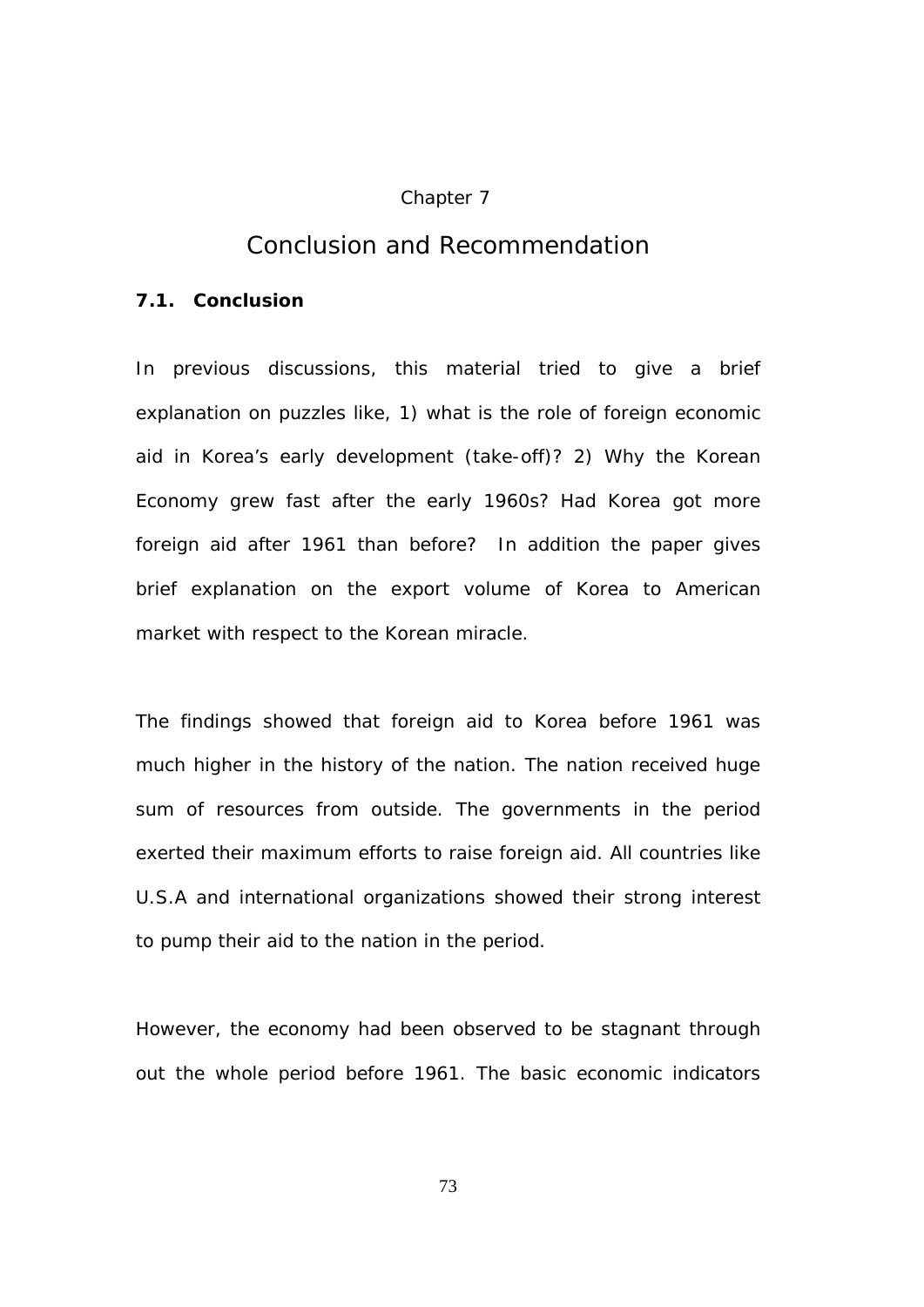#### Chapter 7

## *Conclusion and Recommendation*

#### **7.1. Conclusion**

In previous discussions, this material tried to give a brief explanation on puzzles like, 1) what is the role of foreign economic aid in Korea's early development (take-off)? 2) Why the Korean Economy grew fast after the early 1960s? Had Korea got more foreign aid after 1961 than before? In addition the paper gives brief explanation on the export volume of Korea to American market with respect to the Korean miracle.

The findings showed that foreign aid to Korea before 1961 was much higher in the history of the nation. The nation received huge sum of resources from outside. The governments in the period exerted their maximum efforts to raise foreign aid. All countries like U.S.A and international organizations showed their strong interest to pump their aid to the nation in the period.

However, the economy had been observed to be stagnant through out the whole period before 1961. The basic economic indicators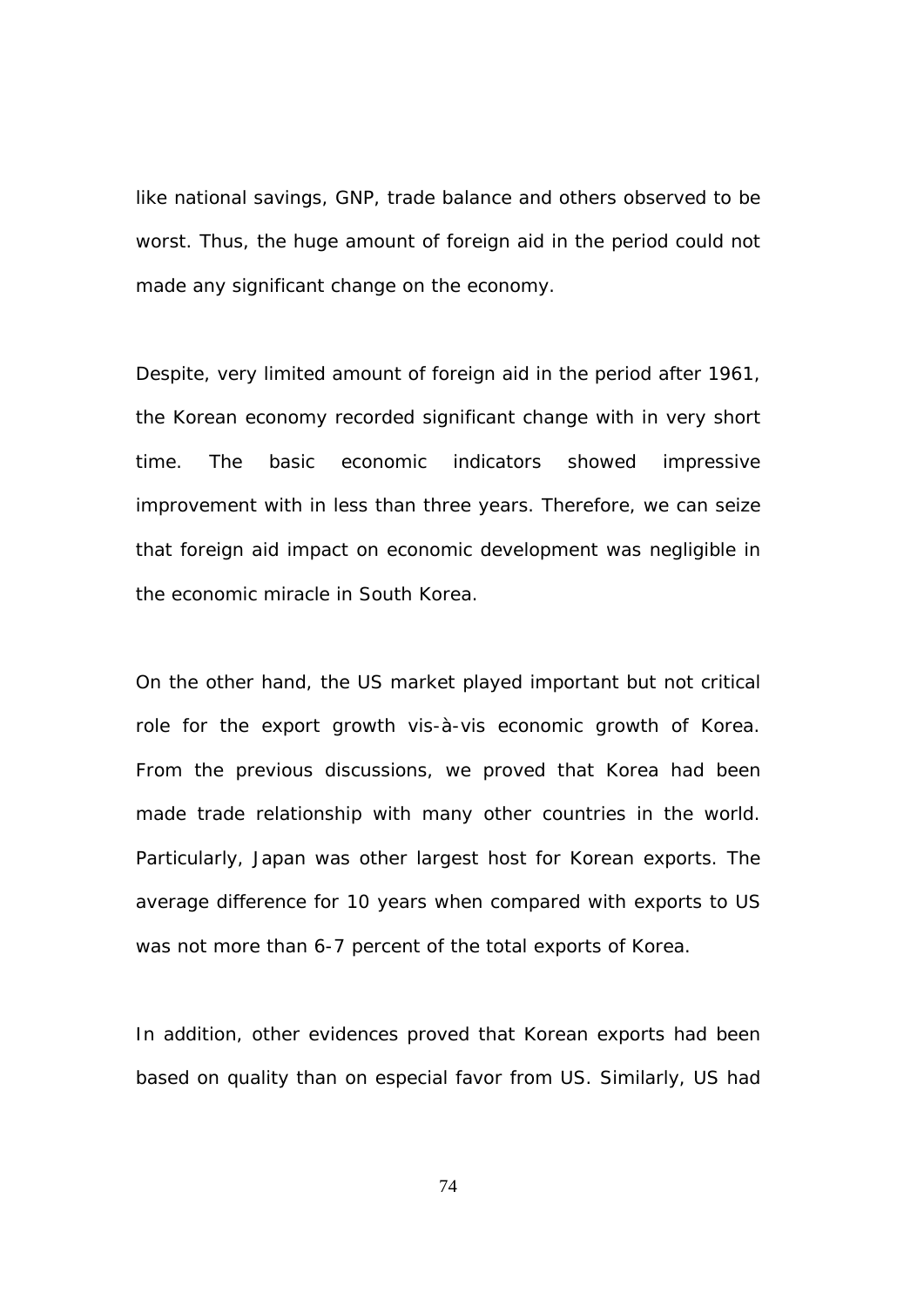like national savings, GNP, trade balance and others observed to be worst. Thus, the huge amount of foreign aid in the period could not made any significant change on the economy.

Despite, very limited amount of foreign aid in the period after 1961, the Korean economy recorded significant change with in very short time. The basic economic indicators showed impressive improvement with in less than three years. Therefore, we can seize that foreign aid impact on economic development was negligible in the economic miracle in South Korea.

On the other hand, the US market played important but not critical role for the export growth vis-à-vis economic growth of Korea. From the previous discussions, we proved that Korea had been made trade relationship with many other countries in the world. Particularly, Japan was other largest host for Korean exports. The average difference for 10 years when compared with exports to US was not more than 6-7 percent of the total exports of Korea.

In addition, other evidences proved that Korean exports had been based on quality than on especial favor from US. Similarly, US had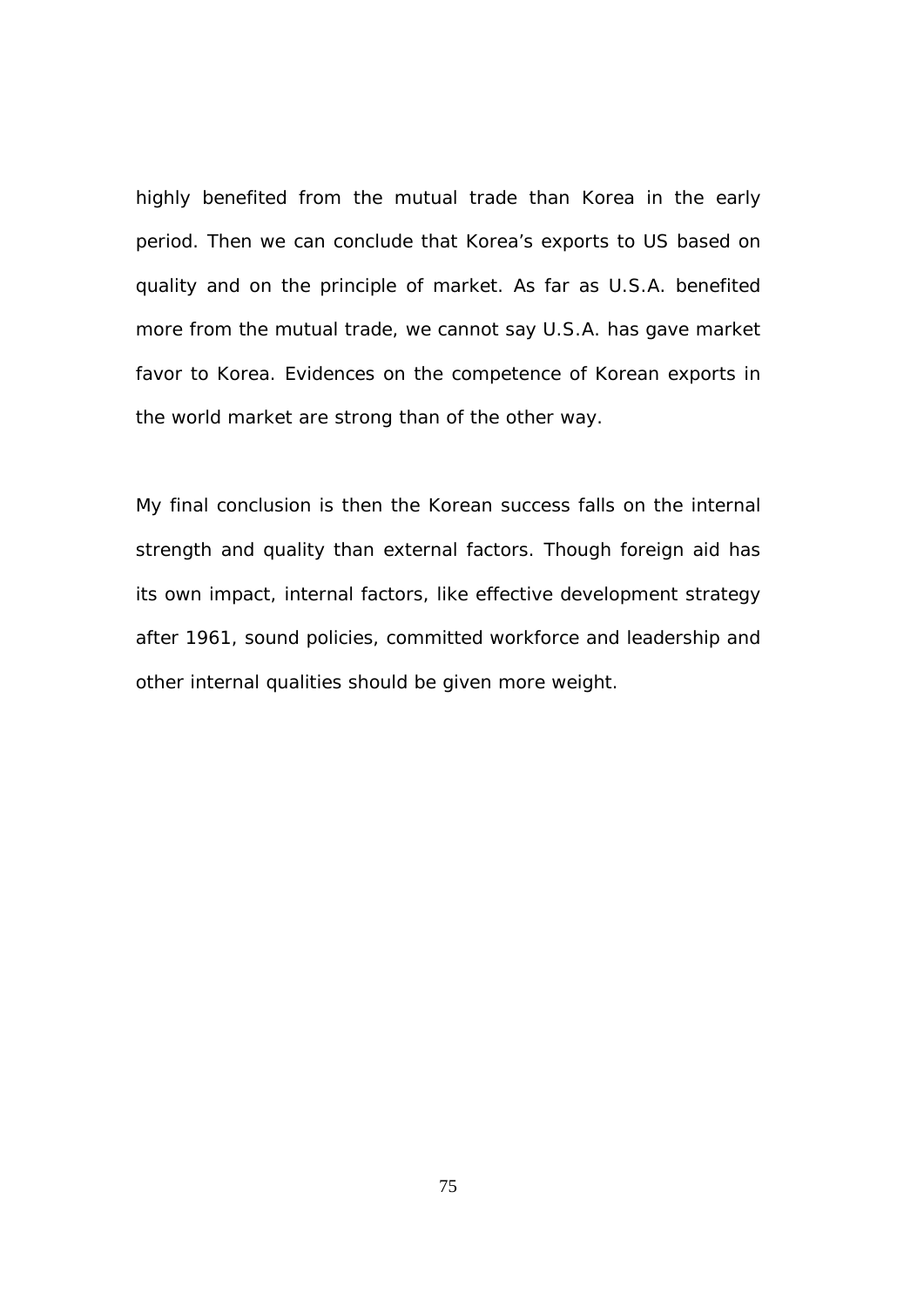highly benefited from the mutual trade than Korea in the early period. Then we can conclude that Korea's exports to US based on quality and on the principle of market. As far as U.S.A. benefited more from the mutual trade, we cannot say U.S.A. has gave market favor to Korea. Evidences on the competence of Korean exports in the world market are strong than of the other way.

My final conclusion is then the Korean success falls on the internal strength and quality than external factors. Though foreign aid has its own impact, internal factors, like effective development strategy after 1961, sound policies, committed workforce and leadership and other internal qualities should be given more weight.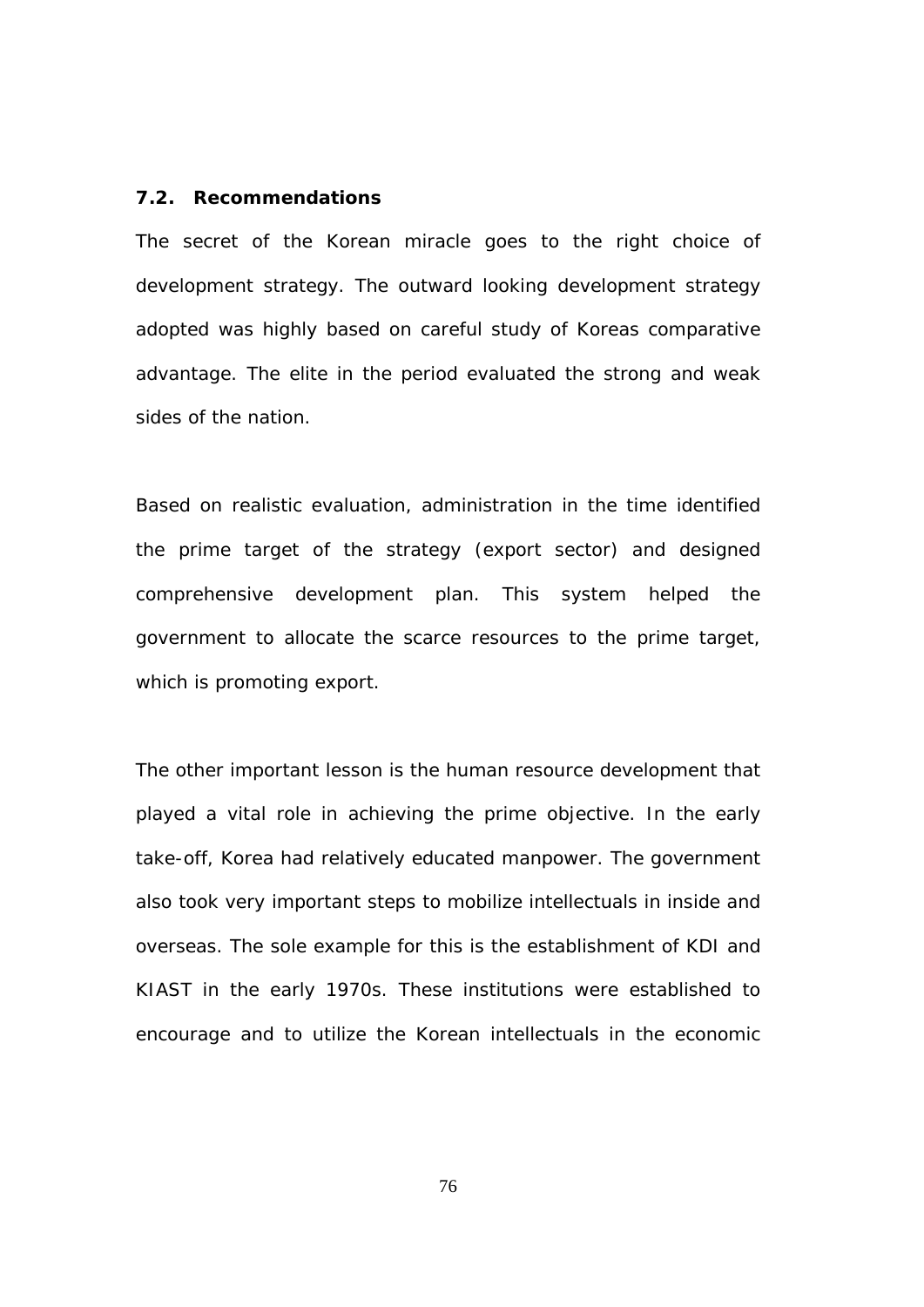#### **7.2. Recommendations**

The secret of the Korean miracle goes to the right choice of development strategy. The outward looking development strategy adopted was highly based on careful study of Koreas comparative advantage. The elite in the period evaluated the strong and weak sides of the nation.

Based on realistic evaluation, administration in the time identified the prime target of the strategy (export sector) and designed comprehensive development plan. This system helped the government to allocate the scarce resources to the prime target, which is promoting export.

The other important lesson is the human resource development that played a vital role in achieving the prime objective. In the early take-off, Korea had relatively educated manpower. The government also took very important steps to mobilize intellectuals in inside and overseas. The sole example for this is the establishment of KDI and KIAST in the early 1970s. These institutions were established to encourage and to utilize the Korean intellectuals in the economic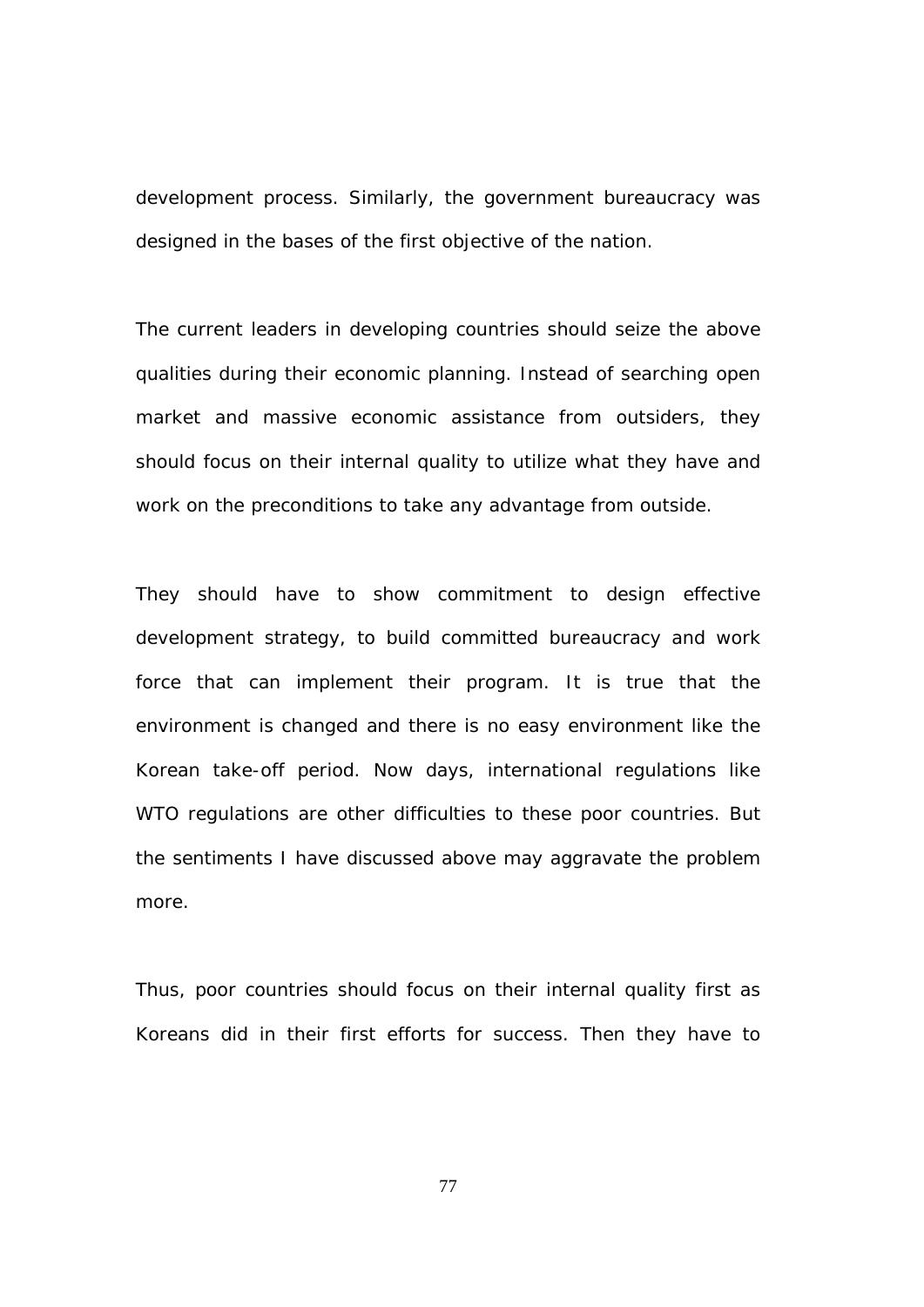development process. Similarly, the government bureaucracy was designed in the bases of the first objective of the nation.

The current leaders in developing countries should seize the above qualities during their economic planning. Instead of searching open market and massive economic assistance from outsiders, they should focus on their internal quality to utilize what they have and work on the preconditions to take any advantage from outside.

They should have to show commitment to design effective development strategy, to build committed bureaucracy and work force that can implement their program. It is true that the environment is changed and there is no easy environment like the Korean take-off period. Now days, international regulations like WTO regulations are other difficulties to these poor countries. But the sentiments I have discussed above may aggravate the problem more.

Thus, poor countries should focus on their internal quality first as Koreans did in their first efforts for success. Then they have to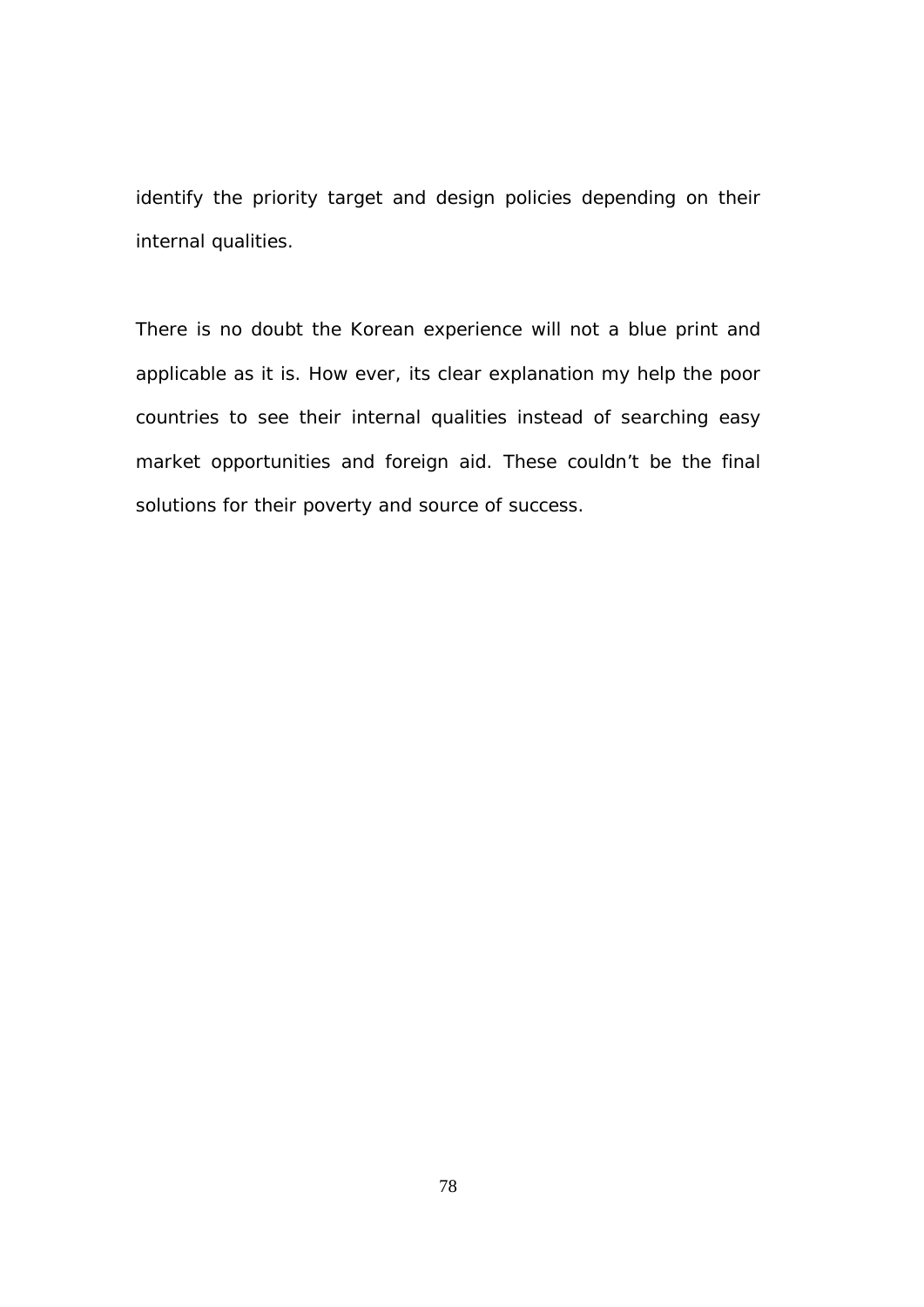identify the priority target and design policies depending on their internal qualities.

There is no doubt the Korean experience will not a blue print and applicable as it is. How ever, its clear explanation my help the poor countries to see their internal qualities instead of searching easy market opportunities and foreign aid. These couldn't be the final solutions for their poverty and source of success.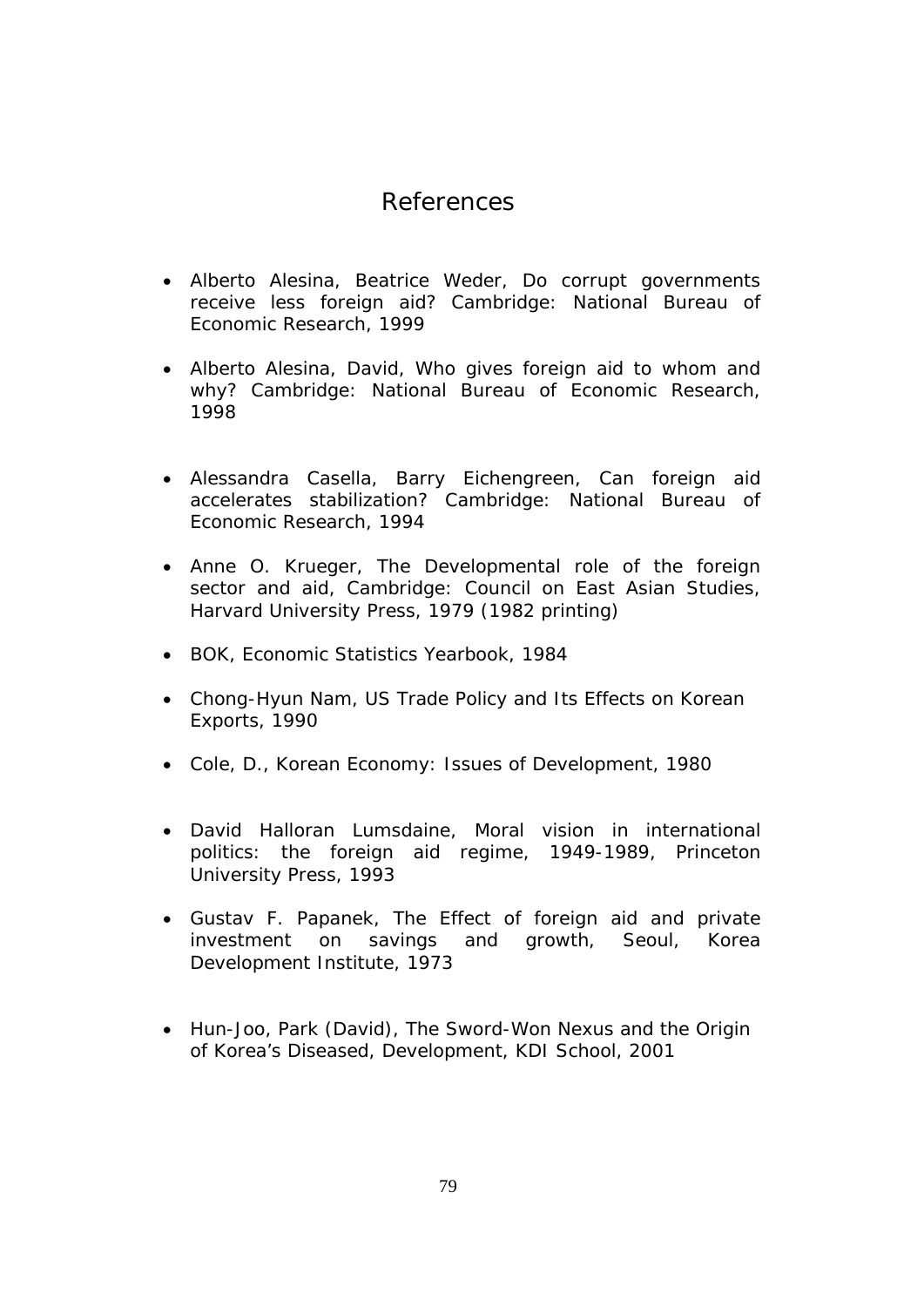# *References*

- Alberto Alesina, Beatrice Weder, Do corrupt governments receive less foreign aid? Cambridge: National Bureau of Economic Research, 1999
- Alberto Alesina, David, Who gives foreign aid to whom and why? Cambridge: National Bureau of Economic Research, 1998
- Alessandra Casella, Barry Eichengreen, Can foreign aid accelerates stabilization? Cambridge: National Bureau of Economic Research, 1994
- Anne O. Krueger, The Developmental role of the foreign sector and aid, Cambridge: Council on East Asian Studies, Harvard University Press, 1979 (1982 printing)
- BOK, Economic Statistics Yearbook, 1984
- Chong-Hyun Nam, US Trade Policy and Its Effects on Korean Exports, 1990
- Cole, D., Korean Economy: Issues of Development, 1980
- David Halloran Lumsdaine, Moral vision in international politics: the foreign aid regime, 1949-1989, Princeton University Press, 1993
- Gustav F. Papanek, The Effect of foreign aid and private investment on savings and growth, Seoul, Korea Development Institute, 1973
- Hun-Joo, Park (David), The Sword-Won Nexus and the Origin of Korea's Diseased, Development, KDI School, 2001